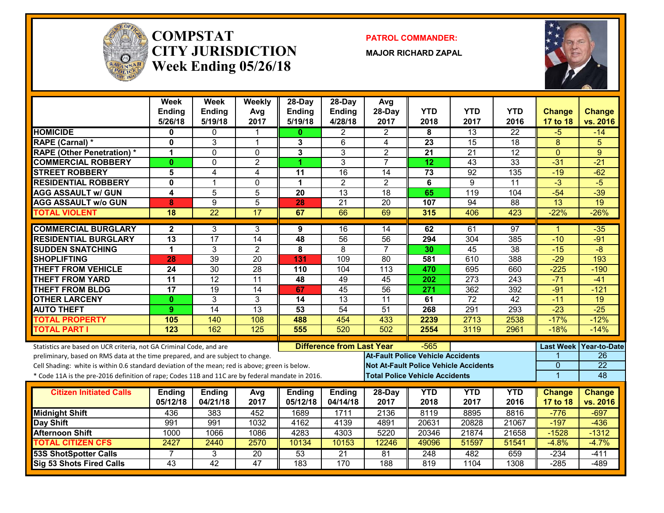

#### **COMPSTATCITY JURISDICTIONWeek Ending 05/26/18**

**PATROL COMMANDER:**

**MAJOR RICHARD ZAPAL**



|                                                                                                  | Week<br><b>Ending</b><br>5/26/18 | Week<br><b>Ending</b><br>5/19/18 | Weekly<br>Avg<br>2017 | 28-Day<br><b>Ending</b><br>5/19/18 | $28-Day$<br>Ending<br>4/28/18    | Avg<br>28-Day<br>2017                    | <b>YTD</b><br>2018                    | <b>YTD</b><br>2017                           | <b>YTD</b><br>2016 | <b>Change</b><br>17 to 18 | <b>Change</b><br>vs. 2016 |
|--------------------------------------------------------------------------------------------------|----------------------------------|----------------------------------|-----------------------|------------------------------------|----------------------------------|------------------------------------------|---------------------------------------|----------------------------------------------|--------------------|---------------------------|---------------------------|
| <b>HOMICIDE</b>                                                                                  | 0                                | $\mathbf{0}$                     | 1                     | $\mathbf{0}$                       | $\overline{2}$                   | $\overline{2}$                           | 8                                     | 13                                           | $\overline{22}$    | $-5$                      | $-14$                     |
| RAPE (Carnal) *                                                                                  | $\mathbf{0}$                     | 3                                | $\mathbf{1}$          | 3                                  | 6                                | $\overline{4}$                           | $\overline{23}$                       | 15                                           | $\overline{18}$    | $\overline{8}$            | 5                         |
| <b>RAPE (Other Penetration) *</b>                                                                | 1                                | $\mathbf{0}$                     | 0                     | 3                                  | 3                                | $\overline{c}$                           | 21                                    | $\overline{21}$                              | $\overline{12}$    | $\overline{0}$            | 9                         |
| <b>COMMERCIAL ROBBERY</b>                                                                        | $\mathbf{0}$                     | $\mathbf{0}$                     | $\overline{c}$        | 1.                                 | 3                                | $\overline{7}$                           | 12                                    | 43                                           | $\overline{33}$    | $-31$                     | $-21$                     |
| <b>STREET ROBBERY</b>                                                                            | 5                                | $\overline{4}$                   | 4                     | 11                                 | $\overline{16}$                  | $\overline{14}$                          | 73                                    | $\overline{92}$                              | $\overline{135}$   | $-19$                     | $-62$                     |
| <b>RESIDENTIAL ROBBERY</b>                                                                       | $\mathbf{0}$                     | $\overline{1}$                   | $\mathbf 0$           | $\mathbf 1$                        | $\overline{2}$                   | $\overline{2}$                           | 6                                     | 9                                            | $\overline{11}$    | $-3$                      | $-5$                      |
| <b>AGG ASSAULT w/ GUN</b>                                                                        | 4                                | 5                                | $\overline{5}$        | $\overline{20}$                    | $\overline{13}$                  | $\overline{18}$                          | 65                                    | $\overline{119}$                             | 104                | $-54$                     | $-39$                     |
| <b>AGG ASSAULT w/o GUN</b>                                                                       | 8                                | $\overline{9}$                   | $\overline{5}$        | 28                                 | $\overline{21}$                  | $\overline{20}$                          | 107                                   | 94                                           | $\overline{88}$    | $\overline{13}$           | $\overline{19}$           |
| <b>TOTAL VIOLENT</b>                                                                             | 18                               | $\overline{22}$                  | 17                    | 67                                 | 66                               | 69                                       | 315                                   | 406                                          | 423                | $-22%$                    | $-26%$                    |
| <b>COMMERCIAL BURGLARY</b>                                                                       | $\mathbf{2}$                     | 3                                | 3                     | 9                                  | 16                               | 14                                       | 62                                    | 61                                           | 97                 | 1                         | $-35$                     |
| <b>RESIDENTIAL BURGLARY</b>                                                                      | $\overline{13}$                  | 17                               | $\overline{14}$       | 48                                 | 56                               | $\overline{56}$                          | 294                                   | $\overline{304}$                             | 385                | $-10$                     | $-91$                     |
| <b>SUDDEN SNATCHING</b>                                                                          | 1                                | 3                                | $\overline{2}$        | 8                                  | 8                                | $\overline{7}$                           | 30                                    | $\overline{45}$                              | $\overline{38}$    | $-15$                     | $\overline{-8}$           |
| <b>SHOPLIFTING</b>                                                                               | 28                               | $\overline{39}$                  | $\overline{20}$       | 131                                | 109                              | $\overline{80}$                          | 581                                   | 610                                          | 388                | $-29$                     | 193                       |
| <b>THEFT FROM VEHICLE</b>                                                                        | 24                               | $\overline{30}$                  | $\overline{28}$       | 110                                | 104                              | 113                                      | 470                                   | 695                                          | 660                | $-225$                    | $-190$                    |
| <b>THEFT FROM YARD</b>                                                                           | $\overline{11}$                  | $\overline{12}$                  | $\overline{11}$       | 48                                 | 49                               | 45                                       | 202                                   | $\overline{273}$                             | 243                | $-71$                     | $-41$                     |
| <b>THEFT FROM BLDG</b>                                                                           | $\overline{17}$                  | $\overline{19}$                  | $\overline{14}$       | 67                                 | 45                               | $\overline{56}$                          | 271                                   | 362                                          | 392                | $-91$                     | $-121$                    |
| <b>OTHER LARCENY</b>                                                                             | $\mathbf{0}$                     | $\overline{3}$                   | 3                     | 14                                 | $\overline{13}$                  | 11                                       | 61                                    | $\overline{72}$                              | $\overline{42}$    | $-11$                     | $\overline{19}$           |
| <b>AUTO THEFT</b>                                                                                | 9                                | 14                               | $\overline{13}$       | 53                                 | 54                               | 51                                       | 268                                   | 291                                          | 293                | $-23$                     | $-25$                     |
| <b>TOTAL PROPERTY</b>                                                                            | 105                              | 140                              | 108                   | 488                                | 454                              | 433                                      | 2239                                  | 2713                                         | 2538               | $-17%$                    | $-12%$                    |
| <b>TOTAL PART I</b>                                                                              | 123                              | 162                              | 125                   | 555                                | 520                              | 502                                      | 2554                                  | 3119                                         | 2961               | $-18%$                    | $-14%$                    |
| Statistics are based on UCR criteria, not GA Criminal Code, and are                              |                                  |                                  |                       |                                    | <b>Difference from Last Year</b> |                                          | $-565$                                |                                              |                    | <b>Last Week</b>          | Year-to-Date              |
| preliminary, based on RMS data at the time prepared, and are subject to change.                  |                                  |                                  |                       |                                    |                                  | <b>At-Fault Police Vehicle Accidents</b> |                                       |                                              |                    |                           | 26                        |
| Cell Shading: white is within 0.6 standard deviation of the mean; red is above; green is below.  |                                  |                                  |                       |                                    |                                  |                                          |                                       | <b>Not At-Fault Police Vehicle Accidents</b> |                    | $\mathbf{0}$              | $\overline{22}$           |
| * Code 11A is the pre-2016 definition of rape; Codes 11B and 11C are by federal mandate in 2016. |                                  |                                  |                       |                                    |                                  |                                          | <b>Total Police Vehicle Accidents</b> |                                              |                    | $\mathbf{1}$              | 48                        |
|                                                                                                  |                                  |                                  |                       |                                    |                                  |                                          |                                       |                                              |                    |                           |                           |
| <b>Citizen Initiated Calls</b>                                                                   | <b>Ending</b>                    | <b>Ending</b>                    | Avg                   | <b>Ending</b>                      | <b>Ending</b>                    | 28-Day                                   | <b>YTD</b>                            | <b>YTD</b>                                   | <b>YTD</b>         | <b>Change</b>             | <b>Change</b>             |
|                                                                                                  | 05/12/18                         | 04/21/18                         | 2017                  | 05/12/18                           | 04/14/18                         | 2017                                     | 2018                                  | 2017                                         | 2016               | 17 to 18                  | vs. 2016                  |
| <b>Midnight Shift</b>                                                                            | 436                              | 383                              | 452                   | 1689                               | 1711                             | 2136                                     | 8119                                  | 8895                                         | 8816               | $-776$                    | $-697$                    |
| Day Shift                                                                                        | 991                              | 991                              | 1032                  | 4162                               | 4139                             | 4891                                     | 20631                                 | 20828                                        | 21067              | $-197$                    | $-436$                    |
| <b>Afternoon Shift</b>                                                                           | 1000                             | 1066                             | 1086                  | 4283                               | 4303                             | 5220                                     | 20346                                 | 21874                                        | 21658              | $-1528$                   | $-1312$                   |
| <b>TOTAL CITIZEN CFS</b>                                                                         | 2427                             | 2440                             | 2570                  | 10134                              | 10153                            | 12246                                    | 49096                                 | 51597                                        | 51541              | $-4.8%$                   | $-4.7%$                   |
| <b>53S ShotSpotter Calls</b>                                                                     |                                  | 3                                | $\overline{20}$       | 53                                 | $\overline{21}$                  | 81                                       | 248                                   | 482                                          | 659                | $-234$                    | $-411$                    |
| Sig 53 Shots Fired Calls                                                                         | $\overline{43}$                  | 42                               | $\overline{47}$       | 183                                | 170                              | 188                                      | 819                                   | 1104                                         | 1308               | $-285$                    | $-489$                    |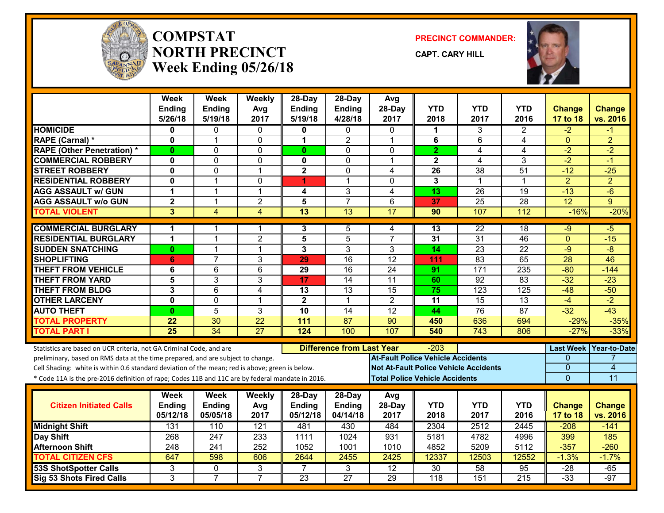

#### **COMPSTATNORTH PRECINCTWeek Ending 05/26/18**

**PRECINCT COMMANDER:**

**CAPT. CARY HILL**



|                                                                                                  | Week<br>Ending          | <b>Week</b><br><b>Ending</b> | Weekly<br>Avg   | $28-Dav$<br>Ending | $28$ -Day<br>Ending              | Avg<br>28-Day                            | <b>YTD</b>       | <b>YTD</b>                                   | <b>YTD</b>       | <b>Change</b>    | <b>Change</b>  |
|--------------------------------------------------------------------------------------------------|-------------------------|------------------------------|-----------------|--------------------|----------------------------------|------------------------------------------|------------------|----------------------------------------------|------------------|------------------|----------------|
|                                                                                                  | 5/26/18                 | 5/19/18                      | 2017            | 5/19/18            | 4/28/18                          | 2017                                     | 2018             | 2017                                         | 2016             | 17 to 18         | vs. 2016       |
| <b>HOMICIDE</b>                                                                                  | 0                       | 0                            | $\mathbf{0}$    | 0                  | 0                                | $\Omega$                                 | 1                | 3                                            | $\overline{2}$   | $-2$             | -1             |
| RAPE (Carnal) *                                                                                  | 0                       | $\overline{1}$               | $\Omega$        | 1                  | $\overline{2}$                   | $\mathbf 1$                              | 6                | 6                                            | 4                | $\mathbf 0$      | $\overline{2}$ |
| <b>RAPE (Other Penetration) *</b>                                                                | 0                       | $\Omega$                     | $\Omega$        | $\mathbf{0}$       | $\mathbf 0$                      | $\mathbf{0}$                             | $\overline{2}$   | 4                                            | 4                | $-2$             | $-2$           |
| <b>COMMERCIAL ROBBERY</b>                                                                        | $\mathbf{0}$            | $\Omega$                     | $\mathbf 0$     | $\mathbf 0$        | $\mathbf 0$                      | 1                                        | $\overline{2}$   | 4                                            | $\overline{3}$   | $-2$             | $-1$           |
| <b>STREET ROBBERY</b>                                                                            | 0                       | $\mathbf 0$                  | $\overline{1}$  | $\mathbf 2$        | $\mathbf 0$                      | 4                                        | 26               | 38                                           | 51               | $-12$            | $-25$          |
| <b>RESIDENTIAL ROBBERY</b>                                                                       | 0                       | 1                            | 0               | 4                  | 1                                | $\mathbf{0}$                             | $\mathbf{3}$     | $\mathbf 1$                                  | 1                | $\overline{2}$   | $\overline{2}$ |
| <b>AGG ASSAULT w/ GUN</b>                                                                        | 1                       | 1                            | $\mathbf 1$     | 4                  | 3                                | $\overline{4}$                           | $\overline{13}$  | 26                                           | $\overline{19}$  | $-13$            | $-6$           |
| <b>AGG ASSAULT w/o GUN</b>                                                                       | $\overline{\mathbf{2}}$ | 1                            | $\overline{2}$  | $\overline{5}$     | $\overline{7}$                   | 6                                        | 37               | $\overline{25}$                              | 28               | $\overline{12}$  | 9              |
| <b>TOTAL VIOLENT</b>                                                                             | 3                       | 4                            | $\overline{4}$  | 13                 | $\overline{13}$                  | 17                                       | 90               | 107                                          | 112              | $-16%$           | $-20%$         |
| <b>COMMERCIAL BURGLARY</b>                                                                       | 1                       |                              | 1               | 3                  | 5                                | 4                                        | 13               | 22                                           | 18               | $-9$             | -5             |
| <b>RESIDENTIAL BURGLARY</b>                                                                      | 1                       | 1                            | $\overline{2}$  | 5                  | 5                                | $\overline{7}$                           | 31               | 31                                           | 46               | $\overline{0}$   | $-15$          |
| <b>SUDDEN SNATCHING</b>                                                                          | 0                       | 1                            | $\mathbf{1}$    | 3                  | 3                                | 3                                        | 14               | 23                                           | $\overline{22}$  | $-9$             | $-8$           |
| <b>SHOPLIFTING</b>                                                                               | 6                       | $\overline{7}$               | $\overline{3}$  | 29                 | 16                               | $\overline{12}$                          | 111              | 83                                           | 65               | 28               | 46             |
| <b>THEFT FROM VEHICLE</b>                                                                        | 6                       | 6                            | $6\phantom{1}$  | 29                 | 16                               | 24                                       | 91               | 171                                          | 235              | $-80$            | $-144$         |
| <b>THEFT FROM YARD</b>                                                                           | 5                       | 3                            | $\overline{3}$  | $\overline{17}$    | $\overline{14}$                  | $\overline{11}$                          | 60               | $\overline{92}$                              | $\overline{83}$  | $-32$            | $-23$          |
| <b>THEFT FROM BLDG</b>                                                                           | 3                       | 6                            | $\overline{4}$  | 13                 | $\overline{13}$                  | $\overline{15}$                          | 75               | $\overline{123}$                             | 125              | $-48$            | $-50$          |
| <b>OTHER LARCENY</b>                                                                             | 0                       | $\mathbf 0$                  | $\overline{1}$  | $\mathbf{2}$       | $\mathbf{1}$                     | $\overline{2}$                           | 11               | 15                                           | 13               | $-4$             | $-2$           |
| <b>AUTO THEFT</b>                                                                                | $\mathbf{0}$            | 5                            | $\overline{3}$  | 10                 | $\overline{14}$                  | $\overline{12}$                          | 44               | 76                                           | 87               | $-32$            | $-43$          |
| <b>TOTAL PROPERTY</b>                                                                            | 22                      | $\overline{30}$              | $\overline{22}$ | 111                | $\overline{87}$                  | $\overline{90}$                          | 450              | 636                                          | 694              | $-29%$           | $-35%$         |
| <b>TOTAL PART I</b>                                                                              | $\overline{25}$         | 34                           | $\overline{27}$ | 124                | 100                              | 107                                      | 540              | 743                                          | 806              | $-27%$           | $-33%$         |
| Statistics are based on UCR criteria, not GA Criminal Code, and are                              |                         |                              |                 |                    | <b>Difference from Last Year</b> |                                          | $-203$           |                                              |                  | <b>Last Week</b> | Year-to-Date   |
| preliminary, based on RMS data at the time prepared, and are subject to change.                  |                         |                              |                 |                    |                                  | <b>At-Fault Police Vehicle Accidents</b> |                  |                                              |                  | 0                |                |
| Cell Shading: white is within 0.6 standard deviation of the mean; red is above; green is below.  |                         |                              |                 |                    |                                  |                                          |                  | <b>Not At-Fault Police Vehicle Accidents</b> |                  | $\mathbf{0}$     | 4              |
| * Code 11A is the pre-2016 definition of rape; Codes 11B and 11C are by federal mandate in 2016. |                         |                              |                 |                    |                                  | <b>Total Police Vehicle Accidents</b>    |                  |                                              |                  | $\overline{0}$   | 11             |
|                                                                                                  | Week                    | <b>Week</b>                  | Weekly          | 28-Day             | 28-Day                           | Avg                                      |                  |                                              |                  |                  |                |
| <b>Citizen Initiated Calls</b>                                                                   | Ending                  | <b>Ending</b>                | Avg             | Ending             | <b>Ending</b>                    | 28-Day                                   | <b>YTD</b>       | <b>YTD</b>                                   | <b>YTD</b>       | <b>Change</b>    | <b>Change</b>  |
|                                                                                                  | 05/12/18                | 05/05/18                     | 2017            | 05/12/18           | 04/14/18                         | 2017                                     | 2018             | 2017                                         | 2016             | 17 to 18         | vs. 2016       |
| <b>Midnight Shift</b>                                                                            | 131                     | 110                          | 121             | 481                | 430                              | 484                                      | 2304             | 2512                                         | 2445             | $-208$           | $-141$         |
| <b>Day Shift</b>                                                                                 | 268                     | 247                          | 233             | 1111               | 1024                             | 931                                      | 5181             | 4782                                         | 4996             | 399              | 185            |
| <b>Afternoon Shift</b>                                                                           | 248                     | $\overline{241}$             | 252             | 1052               | 1001                             | 1010                                     | 4852             | 5209                                         | 5112             | $-357$           | $-260$         |
| <b>TOTAL CITIZEN CFS</b>                                                                         | 647                     | 598                          | 606             | 2644               | 2455                             | 2425                                     | 12337            | 12503                                        | 12552            | $-1.3%$          | $-1.7%$        |
| <b>53S ShotSpotter Calls</b>                                                                     | 3                       | 0                            | 3               | $\overline{7}$     | 3                                | $\overline{12}$                          | 30               | $\overline{58}$                              | 95               | $-28$            | $-65$          |
| Sig 53 Shots Fired Calls                                                                         | 3                       | $\overline{7}$               | $\overline{7}$  | 23                 | $\overline{27}$                  | 29                                       | $\overline{118}$ | 151                                          | $\overline{215}$ | $-33$            | $-97$          |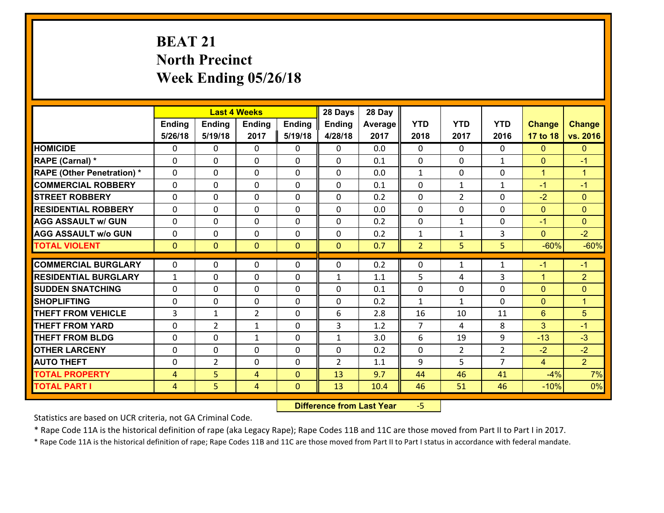# **BEAT 21 North Precinct Week Ending 05/26/18**

|                                              |               |                | <b>Last 4 Weeks</b> |                              | 28 Days        | 28 Day      |                |                |                |                 |                      |
|----------------------------------------------|---------------|----------------|---------------------|------------------------------|----------------|-------------|----------------|----------------|----------------|-----------------|----------------------|
|                                              | <b>Ending</b> | <b>Ending</b>  | Ending              | <b>Ending</b>                | <b>Ending</b>  | Average     | <b>YTD</b>     | <b>YTD</b>     | <b>YTD</b>     | <b>Change</b>   | <b>Change</b>        |
|                                              | 5/26/18       | 5/19/18        | 2017                | 5/19/18                      | 4/28/18        | 2017        | 2018           | 2017           | 2016           | 17 to 18        | vs. 2016             |
| <b>HOMICIDE</b>                              | 0             | $\Omega$       | $\Omega$            | 0                            | $\Omega$       | 0.0         | $\Omega$       | $\Omega$       | $\Omega$       | $\mathbf{0}$    | $\mathbf{0}$         |
| RAPE (Carnal) *                              | $\Omega$      | $\Omega$       | $\mathbf{0}$        | 0                            | $\Omega$       | 0.1         | $\Omega$       | $\Omega$       | $\mathbf{1}$   | $\mathbf{0}$    | $-1$                 |
| <b>RAPE (Other Penetration) *</b>            | 0             | 0              | $\mathbf 0$         | 0                            | 0              | 0.0         | $\mathbf{1}$   | 0              | 0              | $\mathbf{1}$    | $\mathbf{1}$         |
| <b>COMMERCIAL ROBBERY</b>                    | $\Omega$      | 0              | 0                   | $\Omega$                     | $\mathbf{0}$   | 0.1         | $\mathbf{0}$   | $\mathbf{1}$   | 1              | $-1$            | $-1$                 |
| <b>STREET ROBBERY</b>                        | 0             | 0              | $\mathbf 0$         | 0                            | 0              | 0.2         | $\mathbf 0$    | $\overline{2}$ | 0              | $-2$            | $\mathbf{0}$         |
| <b>RESIDENTIAL ROBBERY</b>                   | 0             | 0              | $\mathbf 0$         | 0                            | 0              | 0.0         | $\mathbf 0$    | $\mathbf 0$    | 0              | $\mathbf{0}$    | $\mathbf{0}$         |
| <b>AGG ASSAULT w/ GUN</b>                    | 0             | 0              | 0                   | $\Omega$                     | 0              | 0.2         | $\mathbf 0$    | $\mathbf{1}$   | 0              | $-1$            | $\mathbf{0}$         |
| <b>AGG ASSAULT w/o GUN</b>                   | 0             | 0              | $\mathbf 0$         | $\Omega$                     | 0              | 0.2         | $\mathbf{1}$   | $\mathbf{1}$   | 3              | $\mathbf{0}$    | $-2$                 |
| <b>TOTAL VIOLENT</b>                         | $\mathbf{0}$  | $\overline{0}$ | $\mathbf{0}$        | $\overline{0}$               | $\mathbf{0}$   | 0.7         | $\overline{2}$ | 5              | 5              | $-60%$          | $-60%$               |
| <b>COMMERCIAL BURGLARY</b>                   | $\Omega$      | 0              | $\mathbf{0}$        | 0                            | 0              | 0.2         | $\mathbf{0}$   | $\mathbf{1}$   | $\mathbf{1}$   | $-1$            | $-1$                 |
| <b>RESIDENTIAL BURGLARY</b>                  | $\mathbf{1}$  | 0              | $\mathbf 0$         | 0                            | $\mathbf{1}$   | 1.1         | 5              | 4              | 3              | $\mathbf{1}$    | $\overline{2}$       |
| <b>ISUDDEN SNATCHING</b>                     | $\Omega$      | $\Omega$       | $\mathbf{0}$        | $\Omega$                     | 0              | 0.1         | $\mathbf{0}$   | $\Omega$       | $\Omega$       | $\mathbf{0}$    | $\mathbf{0}$         |
| <b>SHOPLIFTING</b>                           | $\Omega$      | $\Omega$       | $\Omega$            | $\Omega$                     | $\Omega$       | 0.2         | $\mathbf{1}$   | $\mathbf{1}$   | $\Omega$       | $\mathbf{0}$    | $\blacktriangleleft$ |
| <b>THEFT FROM VEHICLE</b>                    | 3             | $\mathbf{1}$   | $\overline{2}$      | 0                            | 6              | 2.8         | 16             | 10             | 11             | 6               | 5                    |
| <b>THEFT FROM YARD</b>                       | 0             | $\overline{2}$ | 1                   | 0                            | 3              | 1.2         | $\overline{7}$ | 4              | 8              | 3               | $-1$                 |
| <b>THEFT FROM BLDG</b>                       | $\Omega$      | 0              | $\mathbf{1}$        | 0                            | $\mathbf{1}$   | 3.0         | 6              | 19             | 9              | $-13$           | $-3$                 |
| <b>OTHER LARCENY</b>                         | 0             | 0              | $\mathbf 0$         | 0                            | 0              | 0.2         | $\mathbf 0$    | $\overline{2}$ | $\overline{2}$ | $-2$            | $-2$                 |
|                                              |               |                | 0                   | $\Omega$                     | $\overline{2}$ | 1.1         | 9              | 5              | $\overline{7}$ | $\overline{4}$  | 2 <sup>1</sup>       |
|                                              |               |                |                     |                              |                |             |                |                |                |                 |                      |
| <b>AUTO THEFT</b>                            | 0             | $\overline{2}$ |                     |                              |                |             |                |                |                |                 |                      |
| <b>TOTAL PROPERTY</b><br><b>TOTAL PART I</b> | 4<br>4        | 5<br>5         | 4<br>4              | $\mathbf{0}$<br>$\mathbf{0}$ | 13<br>13       | 9.7<br>10.4 | 44<br>46       | 46<br>51       | 41<br>46       | $-4%$<br>$-10%$ | 7%<br>0%             |

 **Difference from Last Year**‐5

Statistics are based on UCR criteria, not GA Criminal Code.

\* Rape Code 11A is the historical definition of rape (aka Legacy Rape); Rape Codes 11B and 11C are those moved from Part II to Part I in 2017.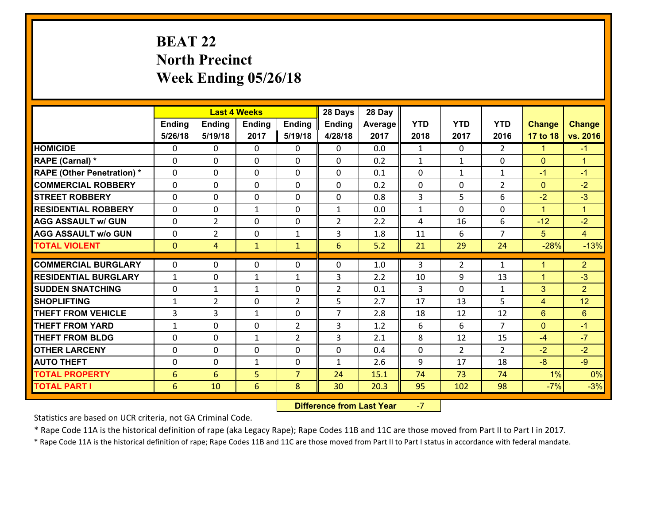# **BEAT 22 North Precinct Week Ending 05/26/18**

|                                   |                 |                | <b>Last 4 Weeks</b> |                | 28 Days        | 28 Day  |                |                |                |                |                      |
|-----------------------------------|-----------------|----------------|---------------------|----------------|----------------|---------|----------------|----------------|----------------|----------------|----------------------|
|                                   | Ending          | <b>Ending</b>  | <b>Ending</b>       | Ending         | <b>Ending</b>  | Average | <b>YTD</b>     | <b>YTD</b>     | <b>YTD</b>     | <b>Change</b>  | <b>Change</b>        |
|                                   | 5/26/18         | 5/19/18        | 2017                | 5/19/18        | 4/28/18        | 2017    | 2018           | 2017           | 2016           | 17 to 18       | vs. 2016             |
| <b>HOMICIDE</b>                   | $\Omega$        | 0              | $\Omega$            | 0              | $\Omega$       | 0.0     | 1              | $\Omega$       | $\mathcal{L}$  | $\mathbf{1}$   | $-1$                 |
| RAPE (Carnal) *                   | 0               | 0              | $\mathbf{0}$        | 0              | $\Omega$       | 0.2     | $\mathbf{1}$   | $\mathbf{1}$   | $\Omega$       | $\mathbf{0}$   | $\blacktriangleleft$ |
| <b>RAPE (Other Penetration) *</b> | $\Omega$        | 0              | $\mathbf{0}$        | $\Omega$       | $\Omega$       | 0.1     | $\Omega$       | $\mathbf{1}$   | $\mathbf{1}$   | $-1$           | $-1$                 |
| <b>COMMERCIAL ROBBERY</b>         | 0               | 0              | 0                   | 0              | 0              | 0.2     | $\mathbf{0}$   | 0              | $\overline{2}$ | $\mathbf{0}$   | $-2$                 |
| <b>STREET ROBBERY</b>             | $\Omega$        | 0              | $\mathbf 0$         | 0              | 0              | 0.8     | $\overline{3}$ | 5              | 6              | $-2$           | $-3$                 |
| <b>RESIDENTIAL ROBBERY</b>        | $\Omega$        | 0              | $\mathbf{1}$        | $\Omega$       | $\mathbf{1}$   | 0.0     | $\mathbf{1}$   | $\Omega$       | 0              | $\mathbf{1}$   | $\blacktriangleleft$ |
| <b>AGG ASSAULT w/ GUN</b>         | 0               | $\overline{2}$ | $\mathbf 0$         | 0              | $\overline{2}$ | 2.2     | 4              | 16             | 6              | $-12$          | $-2$                 |
| <b>AGG ASSAULT w/o GUN</b>        | 0               | $\overline{2}$ | $\mathbf 0$         | $\mathbf{1}$   | 3              | 1.8     | 11             | 6              | $\overline{7}$ | 5              | $\overline{4}$       |
| <b>TOTAL VIOLENT</b>              | $\mathbf{0}$    | $\overline{4}$ | $\mathbf{1}$        | $\mathbf{1}$   | 6              | 5.2     | 21             | 29             | 24             | $-28%$         | $-13%$               |
| <b>COMMERCIAL BURGLARY</b>        | $\Omega$        | 0              | $\mathbf{0}$        | $\Omega$       | $\Omega$       | 1.0     | 3              | $\overline{2}$ | $\mathbf{1}$   | $\overline{1}$ | $\overline{2}$       |
|                                   |                 |                |                     |                |                |         |                |                |                |                |                      |
| <b>RESIDENTIAL BURGLARY</b>       | $\mathbf{1}$    | 0              | $\mathbf{1}$        | $\mathbf{1}$   | 3              | 2.2     | 10             | 9              | 13             | $\mathbf{1}$   | $-3$                 |
| <b>SUDDEN SNATCHING</b>           | 0               | 1              | $\mathbf{1}$        | 0              | $\overline{2}$ | 0.1     | 3              | $\mathbf 0$    | $\mathbf{1}$   | 3              | $\overline{2}$       |
| <b>SHOPLIFTING</b>                | $\mathbf{1}$    | $\overline{2}$ | $\mathbf 0$         | $\overline{2}$ | 5              | 2.7     | 17             | 13             | 5              | 4              | 12                   |
| <b>THEFT FROM VEHICLE</b>         | $\overline{3}$  | 3              | 1                   | 0              | $\overline{7}$ | 2.8     | 18             | 12             | 12             | $6\phantom{1}$ | $6\phantom{1}$       |
| <b>THEFT FROM YARD</b>            | $\mathbf{1}$    | 0              | $\mathbf 0$         | $\overline{2}$ | 3              | 1.2     | 6              | 6              | $\overline{7}$ | $\mathbf{0}$   | $-1$                 |
| <b>THEFT FROM BLDG</b>            | 0               | 0              | 1                   | $\overline{2}$ | 3              | 2.1     | 8              | 12             | 15             | $-4$           | $-7$                 |
| <b>OTHER LARCENY</b>              | 0               | 0              | $\mathbf 0$         | 0              | 0              | 0.4     | $\mathbf 0$    | $\overline{2}$ | $\overline{2}$ | $-2$           | $-2$                 |
| <b>AUTO THEFT</b>                 | $\mathbf{0}$    | 0              | $\mathbf{1}$        | 0              | $\mathbf{1}$   | 2.6     | 9              | 17             | 18             | $-8$           | $-9$                 |
| <b>TOTAL PROPERTY</b>             | $6\phantom{1}6$ | 6              | 5                   | $\overline{7}$ | 24             | 15.1    | 74             | 73             | 74             | 1%             | 0%                   |
| <b>TOTAL PART I</b>               | 6               | 10             | 6                   | 8              | 30             | 20.3    | 95             | 102            | 98             | $-7%$          | $-3%$                |

 **Difference from Last Year**‐7

Statistics are based on UCR criteria, not GA Criminal Code.

\* Rape Code 11A is the historical definition of rape (aka Legacy Rape); Rape Codes 11B and 11C are those moved from Part II to Part I in 2017.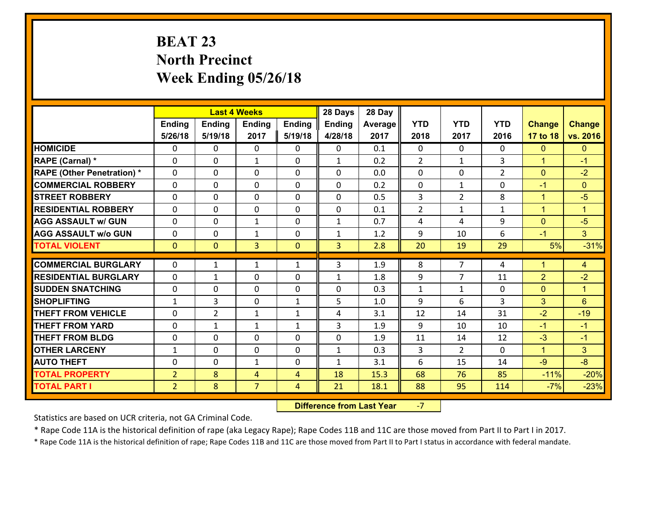# **BEAT 23 North Precinct Week Ending 05/26/18**

|                                              |                |                | <b>Last 4 Weeks</b> |                | 28 Days        | 28 Day  |                |                |                |                 |                      |
|----------------------------------------------|----------------|----------------|---------------------|----------------|----------------|---------|----------------|----------------|----------------|-----------------|----------------------|
|                                              | Ending         | <b>Ending</b>  | <b>Ending</b>       | <b>Ending</b>  | <b>Ending</b>  | Average | <b>YTD</b>     | <b>YTD</b>     | <b>YTD</b>     | <b>Change</b>   | <b>Change</b>        |
|                                              | 5/26/18        | 5/19/18        | 2017                | 5/19/18        | 4/28/18        | 2017    | 2018           | 2017           | 2016           | 17 to 18        | vs. 2016             |
| <b>HOMICIDE</b>                              | 0              | 0              | $\mathbf{0}$        | 0              | 0              | 0.1     | $\Omega$       | $\Omega$       | $\Omega$       | $\mathbf{0}$    | $\mathbf{0}$         |
| RAPE (Carnal) *                              | $\Omega$       | 0              | 1                   | 0              | $\mathbf{1}$   | 0.2     | 2              | $\mathbf{1}$   | 3              | $\mathbf{1}$    | $-1$                 |
| <b>RAPE (Other Penetration) *</b>            | $\Omega$       | $\Omega$       | $\Omega$            | $\Omega$       | $\Omega$       | 0.0     | $\Omega$       | $\Omega$       | $\overline{2}$ | $\mathbf{0}$    | $-2$                 |
| <b>COMMERCIAL ROBBERY</b>                    | 0              | 0              | $\mathbf 0$         | 0              | 0              | 0.2     | 0              | $\mathbf{1}$   | 0              | $-1$            | $\mathbf{0}$         |
| <b>STREET ROBBERY</b>                        | $\Omega$       | 0              | $\mathbf 0$         | $\Omega$       | 0              | 0.5     | 3              | $\overline{2}$ | 8              | $\mathbf{1}$    | $-5$                 |
| <b>RESIDENTIAL ROBBERY</b>                   | $\Omega$       | $\Omega$       | $\mathbf 0$         | $\Omega$       | 0              | 0.1     | $\overline{2}$ | $\mathbf{1}$   | $\mathbf{1}$   | $\mathbf{1}$    | $\blacktriangleleft$ |
| <b>AGG ASSAULT w/ GUN</b>                    | $\Omega$       | 0              | $\mathbf{1}$        | $\Omega$       | $\mathbf{1}$   | 0.7     | 4              | 4              | 9              | $\mathbf{0}$    | $-5$                 |
| <b>AGG ASSAULT w/o GUN</b>                   | 0              | 0              | $\mathbf{1}$        | 0              | $\mathbf{1}$   | 1.2     | 9              | 10             | 6              | $-1$            | 3 <sup>1</sup>       |
| <b>TOTAL VIOLENT</b>                         | $\mathbf{0}$   | $\overline{0}$ | $\overline{3}$      | $\mathbf{0}$   | $\overline{3}$ | 2.8     | 20             | 19             | 29             | 5%              | $-31%$               |
| <b>COMMERCIAL BURGLARY</b>                   | $\Omega$       | 1              | 1                   | $\mathbf{1}$   | 3              | 1.9     | 8              | $\overline{7}$ | 4              | $\mathbf{1}$    | $\overline{4}$       |
| <b>RESIDENTIAL BURGLARY</b>                  | $\Omega$       |                | $\mathbf{0}$        | 0              |                | 1.8     | 9              | $\overline{7}$ | 11             | $\overline{2}$  | $-2$                 |
| <b>SUDDEN SNATCHING</b>                      |                | 1              |                     |                | 1<br>$\Omega$  | 0.3     | $\mathbf{1}$   | $\mathbf{1}$   | $\Omega$       |                 | $\blacktriangleleft$ |
|                                              | 0              | 0              | $\mathbf{0}$        | $\Omega$       |                |         |                |                |                |                 |                      |
|                                              |                |                |                     |                |                |         |                |                |                | $\mathbf{0}$    |                      |
| <b>SHOPLIFTING</b>                           | $\mathbf{1}$   | 3              | $\mathbf 0$         | $\mathbf{1}$   | 5              | 1.0     | 9              | 6              | 3              | 3               | 6                    |
| <b>THEFT FROM VEHICLE</b>                    | $\Omega$       | $\overline{2}$ | $\mathbf{1}$        | $\mathbf{1}$   | 4              | 3.1     | 12             | 14             | 31             | $-2$            | $-19$                |
| <b>THEFT FROM YARD</b>                       | 0              | 1              | 1                   | $\mathbf{1}$   | 3              | 1.9     | 9              | 10             | 10             | $-1$            | $-1$                 |
| <b>THEFT FROM BLDG</b>                       | 0              | 0              | $\mathbf 0$         | 0              | 0              | 1.9     | 11             | 14             | 12             | $-3$            | $-1$                 |
| <b>OTHER LARCENY</b>                         | $\mathbf{1}$   | 0              | $\mathbf 0$         | 0              | $\mathbf{1}$   | 0.3     | 3              | $\overline{2}$ | $\Omega$       | $\mathbf{1}$    | 3                    |
| <b>AUTO THEFT</b>                            | 0              | 0              | 1                   | 0              | $\mathbf{1}$   | 3.1     | 6              | 15             | 14             | $-9$            | $-8$                 |
| <b>TOTAL PROPERTY</b><br><b>TOTAL PART I</b> | $\overline{2}$ | 8              | 4                   | $\overline{4}$ | 18             | 15.3    | 68             | 76             | 85             | $-11%$<br>$-7%$ | $-20%$<br>$-23%$     |

 **Difference from Last Year**‐7

Statistics are based on UCR criteria, not GA Criminal Code.

\* Rape Code 11A is the historical definition of rape (aka Legacy Rape); Rape Codes 11B and 11C are those moved from Part II to Part I in 2017.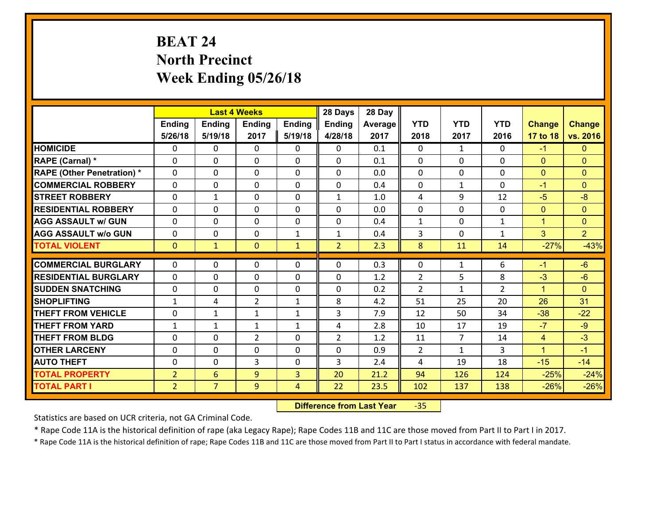# **BEAT 24 North Precinct Week Ending 05/26/18**

|                                               |                |                | <b>Last 4 Weeks</b>           |              | 28 Days        | 28 Day     |                |                    |                      |                    |                    |
|-----------------------------------------------|----------------|----------------|-------------------------------|--------------|----------------|------------|----------------|--------------------|----------------------|--------------------|--------------------|
|                                               | Ending         | <b>Ending</b>  | <b>Ending</b>                 | Ending       | <b>Ending</b>  | Average    | <b>YTD</b>     | <b>YTD</b>         | <b>YTD</b>           | <b>Change</b>      | <b>Change</b>      |
|                                               | 5/26/18        | 5/19/18        | 2017                          | 5/19/18      | 4/28/18        | 2017       | 2018           | 2017               | 2016                 | 17 to 18           | vs. 2016           |
| <b>HOMICIDE</b>                               | $\Omega$       | 0              | $\Omega$                      | 0            | $\Omega$       | 0.1        | $\Omega$       | $\mathbf{1}$       | 0                    | $-1$               | $\mathbf{0}$       |
| RAPE (Carnal) *                               | 0              | 0              | $\mathbf{0}$                  | 0            | 0              | 0.1        | $\mathbf{0}$   | 0                  | 0                    | $\mathbf{0}$       | $\mathbf{0}$       |
| <b>RAPE (Other Penetration) *</b>             | $\Omega$       | 0              | $\mathbf{0}$                  | $\Omega$     | $\Omega$       | 0.0        | $\Omega$       | $\Omega$           | $\Omega$             | $\mathbf{0}$       | $\mathbf{0}$       |
| <b>COMMERCIAL ROBBERY</b>                     | 0              | 0              | 0                             | 0            | 0              | 0.4        | $\mathbf{0}$   | $\mathbf{1}$       | $\Omega$             | $-1$               | $\mathbf{0}$       |
| <b>STREET ROBBERY</b>                         | $\Omega$       | $\mathbf 1$    | $\mathbf 0$                   | 0            | $\mathbf{1}$   | 1.0        | 4              | 9                  | 12                   | $-5$               | $-8$               |
| <b>RESIDENTIAL ROBBERY</b>                    | $\Omega$       | $\Omega$       | $\mathbf 0$                   | $\Omega$     | 0              | 0.0        | $\mathbf 0$    | $\Omega$           | $\Omega$             | $\mathbf{0}$       | $\mathbf{0}$       |
| <b>AGG ASSAULT w/ GUN</b>                     | $\Omega$       | 0              | $\mathbf 0$                   | $\Omega$     | 0              | 0.4        | $\mathbf 1$    | $\mathbf 0$        | $\mathbf{1}$         | $\mathbf{1}$       | $\overline{0}$     |
| <b>AGG ASSAULT w/o GUN</b>                    | 0              | 0              | $\mathbf 0$                   | $\mathbf{1}$ | $\mathbf{1}$   | 0.4        | 3              | $\mathbf 0$        | $\mathbf{1}$         | 3                  | 2 <sup>1</sup>     |
| <b>TOTAL VIOLENT</b>                          | $\mathbf{0}$   | $\mathbf{1}$   | $\mathbf{O}$                  | $\mathbf{1}$ | $\overline{2}$ | 2.3        | 8              | 11                 | 14                   | $-27%$             | $-43%$             |
| <b>COMMERCIAL BURGLARY</b>                    | $\Omega$       | 0              | $\mathbf{0}$                  | $\Omega$     | $\Omega$       | 0.3        | $\Omega$       | $\mathbf{1}$       | 6                    | $-1$               | $-6$               |
|                                               |                |                |                               |              |                |            |                |                    |                      |                    |                    |
| <b>RESIDENTIAL BURGLARY</b>                   | 0              | 0              | $\mathbf 0$                   | 0            | 0              | 1.2        | $\overline{2}$ | 5                  | 8                    | $-3$               | $-6$               |
| <b>SUDDEN SNATCHING</b><br><b>SHOPLIFTING</b> | 0              | 0              | $\mathbf 0$<br>$\overline{2}$ | 0            | 0<br>8         | 0.2<br>4.2 | 2<br>51        | $\mathbf{1}$<br>25 | $\overline{2}$<br>20 | $\mathbf{1}$<br>26 | $\mathbf{0}$<br>31 |
|                                               | $\mathbf{1}$   | 4              |                               | $\mathbf{1}$ |                |            |                |                    |                      |                    |                    |
| <b>THEFT FROM VEHICLE</b>                     | 0              | $\mathbf{1}$   | 1                             | $\mathbf{1}$ | 3              | 7.9        | 12             | 50                 | 34                   | $-38$              | $-22$              |
| <b>THEFT FROM YARD</b>                        | $\mathbf{1}$   | $\mathbf{1}$   | $\mathbf{1}$                  | $\mathbf{1}$ | 4              | 2.8        | 10             | 17                 | 19                   | $-7$               | $-9$               |
| <b>THEFT FROM BLDG</b>                        | 0              | 0              | $\overline{2}$                | 0            | $\overline{2}$ | 1.2        | 11             | $\overline{7}$     | 14                   | $\overline{4}$     | $-3$               |
| <b>OTHER LARCENY</b>                          | 0              | 0              | $\mathbf 0$                   | 0            | 0              | 0.9        | $\overline{2}$ | $\mathbf{1}$       | 3                    | $\mathbf{1}$       | $-1$               |
| <b>AUTO THEFT</b>                             | 0              | 0              | 3                             | 0            | 3              | 2.4        | 4              | 19                 | 18                   | $-15$              | $-14$              |
| <b>TOTAL PROPERTY</b>                         | $\overline{2}$ | 6              | 9                             | 3            | 20             | 21.2       | 94             | 126                | 124                  | $-25%$             | $-24%$             |
| <b>TOTAL PART I</b>                           | $\overline{2}$ | $\overline{7}$ | 9                             | 4            | 22             | 23.5       | 102            | 137                | 138                  | $-26%$             | $-26%$             |

 **Difference from Last Year**‐35

Statistics are based on UCR criteria, not GA Criminal Code.

\* Rape Code 11A is the historical definition of rape (aka Legacy Rape); Rape Codes 11B and 11C are those moved from Part II to Part I in 2017.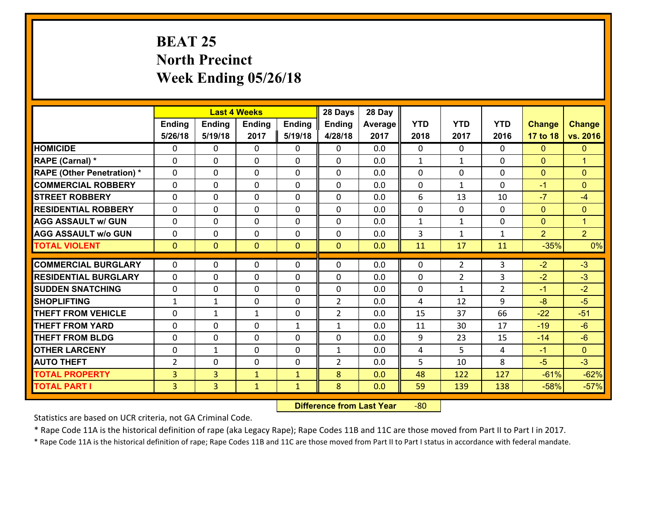# **BEAT 25 North Precinct Week Ending 05/26/18**

|                                              |                     |                                  | <b>Last 4 Weeks</b>          |                              | 28 Days        | 28 Day     |              |                |                |                  |                  |
|----------------------------------------------|---------------------|----------------------------------|------------------------------|------------------------------|----------------|------------|--------------|----------------|----------------|------------------|------------------|
|                                              | Ending              | <b>Ending</b>                    | Ending                       | <b>Ending</b>                | Ending         | Average    | <b>YTD</b>   | <b>YTD</b>     | <b>YTD</b>     | <b>Change</b>    | <b>Change</b>    |
|                                              | 5/26/18             | 5/19/18                          | 2017                         | 5/19/18                      | 4/28/18        | 2017       | 2018         | 2017           | 2016           | 17 to 18         | vs. 2016         |
| <b>HOMICIDE</b>                              | 0                   | 0                                | 0                            | 0                            | 0              | 0.0        | $\Omega$     | $\Omega$       | 0              | $\mathbf{0}$     | $\mathbf{0}$     |
| RAPE (Carnal) *                              | 0                   | 0                                | $\mathbf 0$                  | 0                            | $\Omega$       | 0.0        | $\mathbf{1}$ | $\mathbf{1}$   | 0              | $\mathbf{0}$     | $\overline{1}$   |
| <b>RAPE (Other Penetration) *</b>            | $\Omega$            | 0                                | $\mathbf{0}$                 | 0                            | 0              | 0.0        | $\mathbf 0$  | 0              | 0              | $\mathbf{0}$     | $\mathbf{0}$     |
| <b>COMMERCIAL ROBBERY</b>                    | $\mathbf{0}$        | 0                                | $\mathbf{0}$                 | 0                            | 0              | 0.0        | $\mathbf{0}$ | $\mathbf{1}$   | $\Omega$       | $-1$             | $\mathbf{0}$     |
| <b>STREET ROBBERY</b>                        | $\Omega$            | 0                                | $\mathbf{0}$                 | 0                            | 0              | 0.0        | 6            | 13             | 10             | $-7$             | $-4$             |
| <b>RESIDENTIAL ROBBERY</b>                   | $\Omega$            | 0                                | $\mathbf{0}$                 | $\Omega$                     | 0              | 0.0        | 0            | $\mathbf{0}$   | $\Omega$       | $\mathbf{0}$     | $\mathbf{0}$     |
| <b>AGG ASSAULT w/ GUN</b>                    | 0                   | 0                                | $\mathbf 0$                  | 0                            | 0              | 0.0        | $\mathbf{1}$ | $\mathbf{1}$   | 0              | $\mathbf{0}$     | $\mathbf{1}$     |
| <b>AGG ASSAULT w/o GUN</b>                   | 0                   | 0                                | $\mathbf 0$                  | 0                            | $\mathbf 0$    | 0.0        | 3            | $\mathbf{1}$   | $\mathbf{1}$   | $\overline{2}$   | 2 <sup>1</sup>   |
| <b>TOTAL VIOLENT</b>                         | $\mathbf{0}$        | $\overline{0}$                   | $\mathbf{0}$                 | $\overline{0}$               | $\mathbf{0}$   | 0.0        | 11           | 17             | 11             | $-35%$           | 0%               |
| <b>COMMERCIAL BURGLARY</b>                   | 0                   | 0                                | $\mathbf{0}$                 | 0                            | 0              | 0.0        | $\mathbf{0}$ | $\overline{2}$ | 3              | $-2$             | $-3$             |
| <b>RESIDENTIAL BURGLARY</b>                  | 0                   | 0                                | $\mathbf 0$                  | 0                            | 0              | 0.0        | 0            | $\overline{2}$ | 3              | $-2$             | $-3$             |
| <b>SUDDEN SNATCHING</b>                      | 0                   | 0                                | $\mathbf 0$                  | 0                            | 0              |            | 0            | $\mathbf{1}$   | $\overline{2}$ |                  | $-2$             |
|                                              |                     |                                  |                              |                              |                |            |              |                |                |                  |                  |
|                                              |                     |                                  |                              |                              |                | 0.0        |              |                |                | $-1$             |                  |
| <b>SHOPLIFTING</b>                           | $\mathbf{1}$        | $\mathbf{1}$                     | $\mathbf{0}$                 | $\Omega$                     | $\overline{2}$ | 0.0        | 4            | 12             | 9              | $-8$             | $-5$             |
| <b>THEFT FROM VEHICLE</b>                    | 0                   | 1                                | 1                            | 0                            | $\overline{2}$ | 0.0        | 15           | 37             | 66             | $-22$            | $-51$            |
| <b>THEFT FROM YARD</b>                       | $\mathbf 0$         | 0                                | $\mathbf 0$                  | $\mathbf{1}$                 | $\mathbf{1}$   | 0.0        | 11           | 30             | 17             | $-19$            | $-6$             |
| <b>THEFT FROM BLDG</b>                       | 0                   | 0                                | $\mathbf 0$                  | 0                            | 0              | 0.0        | 9            | 23             | 15             | $-14$            | $-6$             |
| <b>OTHER LARCENY</b>                         | $\mathbf 0$         | $\mathbf 1$                      | $\mathbf 0$                  | 0                            | $\mathbf{1}$   | 0.0        | 4            | 5              | 4              | $-1$             | $\overline{0}$   |
| <b>AUTO THEFT</b>                            | $\overline{2}$      | 0                                | 0                            | 0                            | $\overline{2}$ | 0.0        | 5            | 10             | 8              | $-5$             | $-3$             |
| <b>TOTAL PROPERTY</b><br><b>TOTAL PART I</b> | 3<br>$\overline{3}$ | $\overline{3}$<br>$\overline{3}$ | $\mathbf{1}$<br>$\mathbf{1}$ | $\mathbf{1}$<br>$\mathbf{1}$ | 8<br>8         | 0.0<br>0.0 | 48<br>59     | 122<br>139     | 127<br>138     | $-61%$<br>$-58%$ | $-62%$<br>$-57%$ |

 **Difference from Last Year**r -80

Statistics are based on UCR criteria, not GA Criminal Code.

\* Rape Code 11A is the historical definition of rape (aka Legacy Rape); Rape Codes 11B and 11C are those moved from Part II to Part I in 2017.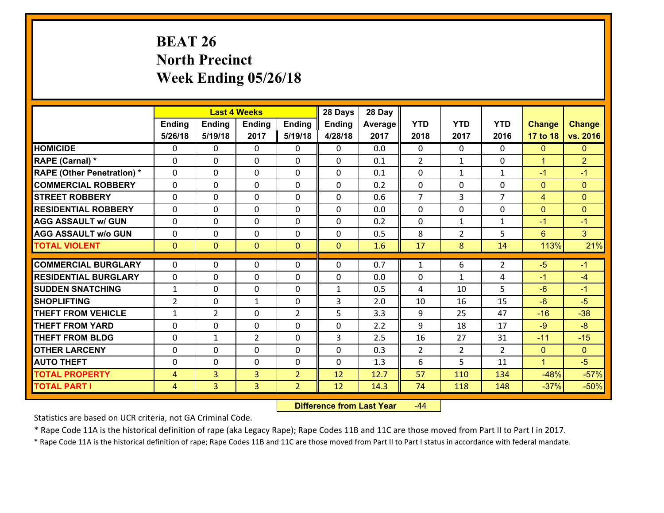# **BEAT 26 North Precinct Week Ending 05/26/18**

|                                   |                |                | <b>Last 4 Weeks</b> |                | 28 Days       | 28 Day  |                |                |                |                |                |
|-----------------------------------|----------------|----------------|---------------------|----------------|---------------|---------|----------------|----------------|----------------|----------------|----------------|
|                                   | Ending         | <b>Ending</b>  | <b>Ending</b>       | Ending         | <b>Ending</b> | Average | <b>YTD</b>     | <b>YTD</b>     | <b>YTD</b>     | <b>Change</b>  | <b>Change</b>  |
|                                   | 5/26/18        | 5/19/18        | 2017                | 5/19/18        | 4/28/18       | 2017    | 2018           | 2017           | 2016           | 17 to 18       | vs. 2016       |
| <b>HOMICIDE</b>                   | $\Omega$       | 0              | $\Omega$            | 0              | $\Omega$      | 0.0     | $\Omega$       | $\Omega$       | 0              | $\mathbf{0}$   | $\mathbf{0}$   |
| RAPE (Carnal) *                   | 0              | 0              | $\mathbf{0}$        | 0              | $\Omega$      | 0.1     | 2              | $\mathbf{1}$   | $\Omega$       | $\mathbf{1}$   | $\overline{2}$ |
| <b>RAPE (Other Penetration) *</b> | $\Omega$       | 0              | $\mathbf{0}$        | $\Omega$       | $\Omega$      | 0.1     | $\Omega$       | $\mathbf 1$    | $\mathbf{1}$   | $-1$           | $-1$           |
| <b>COMMERCIAL ROBBERY</b>         | 0              | 0              | 0                   | 0              | 0             | 0.2     | $\mathbf{0}$   | 0              | $\Omega$       | $\mathbf{0}$   | $\mathbf{0}$   |
| <b>STREET ROBBERY</b>             | $\Omega$       | 0              | $\mathbf 0$         | 0              | 0             | 0.6     | $\overline{7}$ | $\overline{3}$ | $\overline{7}$ | $\overline{4}$ | $\mathbf{0}$   |
| <b>RESIDENTIAL ROBBERY</b>        | $\Omega$       | $\Omega$       | $\mathbf 0$         | $\Omega$       | 0             | 0.0     | $\Omega$       | $\Omega$       | $\Omega$       | $\mathbf{0}$   | $\mathbf{0}$   |
| <b>AGG ASSAULT w/ GUN</b>         | $\Omega$       | 0              | $\mathbf 0$         | $\Omega$       | 0             | 0.2     | $\mathbf 0$    | $\mathbf{1}$   | $\mathbf{1}$   | $-1$           | $-1$           |
| <b>AGG ASSAULT w/o GUN</b>        | 0              | 0              | $\mathbf 0$         | 0              | 0             | 0.5     | 8              | $\overline{2}$ | 5              | $6^{\circ}$    | 3 <sup>1</sup> |
| <b>TOTAL VIOLENT</b>              | $\mathbf{0}$   | $\overline{0}$ | $\mathbf{O}$        | $\mathbf{0}$   | $\mathbf{0}$  | 1.6     | 17             | 8              | 14             | 113%           | 21%            |
| <b>COMMERCIAL BURGLARY</b>        | $\Omega$       | 0              | $\mathbf{0}$        | $\Omega$       | $\Omega$      | 0.7     | $\mathbf{1}$   | 6              | $\overline{2}$ | $-5$           | $-1$           |
| <b>RESIDENTIAL BURGLARY</b>       | 0              | 0              | $\mathbf 0$         | 0              | 0             | 0.0     | 0              | $\mathbf 1$    | 4              | $-1$           | $-4$           |
| <b>SUDDEN SNATCHING</b>           | $\mathbf{1}$   | 0              | $\mathbf 0$         | 0              | $\mathbf{1}$  | 0.5     | 4              | 10             | 5              | $-6$           | $-1$           |
| <b>SHOPLIFTING</b>                | $\overline{2}$ | 0              | 1                   | 0              | 3             | 2.0     | 10             | 16             | 15             | $-6$           | $-5$           |
| <b>THEFT FROM VEHICLE</b>         | $\mathbf{1}$   | $\overline{2}$ | $\mathbf 0$         | $\overline{2}$ | 5             | 3.3     | 9              | 25             | 47             | $-16$          | $-38$          |
| <b>THEFT FROM YARD</b>            | 0              | 0              | $\mathbf 0$         | 0              | 0             | 2.2     | 9              | 18             | 17             | $-9$           | $-8$           |
| <b>THEFT FROM BLDG</b>            | 0              | 1              | $\overline{2}$      | 0              | 3             | 2.5     | 16             | 27             | 31             | $-11$          | $-15$          |
| <b>OTHER LARCENY</b>              | 0              | 0              | $\mathbf 0$         | 0              | 0             | 0.3     | $\overline{2}$ | $\overline{2}$ | $\overline{2}$ | $\mathbf{0}$   | $\overline{0}$ |
| <b>AUTO THEFT</b>                 | $\mathbf{0}$   | 0              | $\mathbf{0}$        | 0              | 0             | 1.3     | 6              | 5              | 11             | $\mathbf{1}$   | $-5$           |
| <b>TOTAL PROPERTY</b>             | $\overline{4}$ | 3              | $\overline{3}$      | $\overline{2}$ | 12            | 12.7    | 57             | 110            | 134            | $-48%$         | $-57%$         |
| <b>TOTAL PART I</b>               | $\overline{4}$ | $\overline{3}$ | 3                   | $\overline{2}$ | 12            | 14.3    | 74             | 118            | 148            | $-37%$         | $-50%$         |

 **Difference from Last Year**r -44

Statistics are based on UCR criteria, not GA Criminal Code.

\* Rape Code 11A is the historical definition of rape (aka Legacy Rape); Rape Codes 11B and 11C are those moved from Part II to Part I in 2017.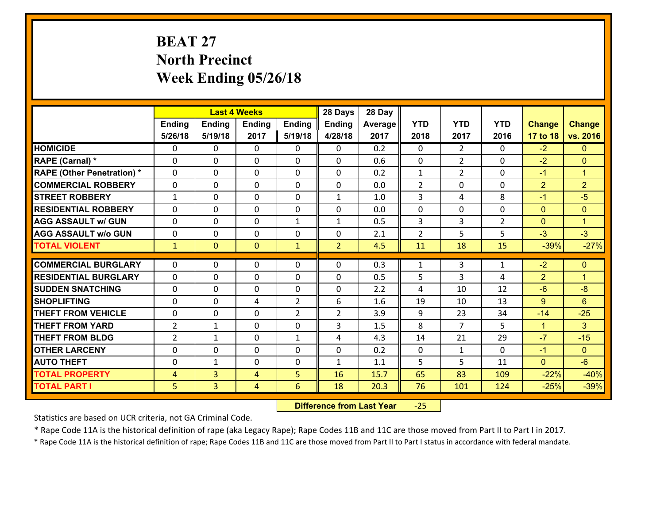# **BEAT 27 North Precinct Week Ending 05/26/18**

|                                   |                |                | <b>Last 4 Weeks</b> |                | 28 Days        | 28 Day  |                |                |                |                |                      |
|-----------------------------------|----------------|----------------|---------------------|----------------|----------------|---------|----------------|----------------|----------------|----------------|----------------------|
|                                   | Ending         | <b>Ending</b>  | <b>Ending</b>       | Ending         | <b>Ending</b>  | Average | <b>YTD</b>     | <b>YTD</b>     | <b>YTD</b>     | <b>Change</b>  | <b>Change</b>        |
|                                   | 5/26/18        | 5/19/18        | 2017                | 5/19/18        | 4/28/18        | 2017    | 2018           | 2017           | 2016           | 17 to 18       | vs. 2016             |
| <b>HOMICIDE</b>                   | $\Omega$       | 0              | $\Omega$            | 0              | $\Omega$       | 0.2     | $\Omega$       | $\overline{2}$ | $\Omega$       | $-2$           | $\mathbf{0}$         |
| RAPE (Carnal) *                   | 0              | 0              | $\mathbf{0}$        | 0              | $\Omega$       | 0.6     | $\mathbf{0}$   | $\overline{2}$ | $\Omega$       | $-2$           | $\mathbf{0}$         |
| <b>RAPE (Other Penetration) *</b> | $\Omega$       | 0              | $\mathbf{0}$        | $\Omega$       | $\Omega$       | 0.2     | $\mathbf{1}$   | $\overline{2}$ | $\Omega$       | $-1$           | $\blacktriangleleft$ |
| <b>COMMERCIAL ROBBERY</b>         | 0              | 0              | 0                   | 0              | 0              | 0.0     | $\overline{2}$ | 0              | $\Omega$       | $\overline{2}$ | $\overline{2}$       |
| <b>STREET ROBBERY</b>             | $\mathbf{1}$   | 0              | $\mathbf 0$         | 0              | $\mathbf{1}$   | 1.0     | $\overline{3}$ | 4              | 8              | $-1$           | $-5$                 |
| <b>RESIDENTIAL ROBBERY</b>        | $\Omega$       | $\Omega$       | $\mathbf 0$         | $\Omega$       | 0              | 0.0     | $\mathbf 0$    | 0              | $\Omega$       | $\mathbf{0}$   | $\mathbf{0}$         |
| <b>AGG ASSAULT w/ GUN</b>         | $\Omega$       | 0              | $\mathbf 0$         | $\mathbf{1}$   | $\mathbf{1}$   | 0.5     | 3              | 3              | $\overline{2}$ | $\mathbf{0}$   | $\blacktriangleleft$ |
| <b>AGG ASSAULT w/o GUN</b>        | 0              | 0              | $\mathbf 0$         | 0              | 0              | 2.1     | $\overline{2}$ | 5              | 5              | $-3$           | $-3$                 |
| <b>TOTAL VIOLENT</b>              | $\mathbf{1}$   | $\overline{0}$ | $\mathbf{O}$        | $\mathbf{1}$   | $\overline{2}$ | 4.5     | 11             | 18             | 15             | $-39%$         | $-27%$               |
| <b>COMMERCIAL BURGLARY</b>        | $\Omega$       | 0              | $\mathbf{0}$        | $\Omega$       | $\Omega$       | 0.3     | $\mathbf{1}$   | 3              | $\mathbf{1}$   | $-2$           | $\mathbf{0}$         |
| <b>RESIDENTIAL BURGLARY</b>       | 0              | 0              | $\mathbf 0$         | 0              | 0              | 0.5     | 5              | 3              | 4              | $\overline{2}$ | $\overline{1}$       |
| <b>SUDDEN SNATCHING</b>           | 0              | 0              | $\mathbf 0$         | 0              | 0              | 2.2     | 4              | 10             | 12             | $-6$           | $-8$                 |
| <b>SHOPLIFTING</b>                | $\Omega$       | 0              | 4                   | $\overline{2}$ | 6              | 1.6     | 19             | 10             | 13             | 9              | 6                    |
| <b>THEFT FROM VEHICLE</b>         | 0              | 0              | $\mathbf 0$         | $\overline{2}$ | $\overline{2}$ | 3.9     | 9              | 23             | 34             | $-14$          | $-25$                |
| <b>THEFT FROM YARD</b>            | $\overline{2}$ | $\mathbf 1$    | $\mathbf 0$         | 0              | 3              | 1.5     | 8              | $\overline{7}$ | 5              | $\mathbf{1}$   | 3                    |
| <b>THEFT FROM BLDG</b>            | $\overline{2}$ | 1              | $\mathbf 0$         | $\mathbf{1}$   | 4              | 4.3     | 14             | 21             | 29             | $-7$           | $-15$                |
| <b>OTHER LARCENY</b>              | 0              | 0              | $\mathbf 0$         | 0              | 0              | 0.2     | $\mathbf 0$    | $\mathbf{1}$   | $\Omega$       | $-1$           | $\overline{0}$       |
| <b>AUTO THEFT</b>                 | 0              | 1              | $\mathbf{0}$        | 0              | $\mathbf{1}$   | 1.1     | 5              | 5              | 11             | $\mathbf{0}$   | $-6$                 |
| <b>TOTAL PROPERTY</b>             | $\overline{4}$ | 3              | 4                   | 5              | 16             | 15.7    | 65             | 83             | 109            | $-22%$         | $-40%$               |
|                                   | 5              | $\overline{3}$ |                     | 6              | 18             |         | 76             |                |                |                | $-39%$               |
| <b>TOTAL PART I</b>               |                |                | 4                   |                |                | 20.3    |                | 101            | 124            | $-25%$         |                      |

 **Difference from Last Year**‐25

Statistics are based on UCR criteria, not GA Criminal Code.

\* Rape Code 11A is the historical definition of rape (aka Legacy Rape); Rape Codes 11B and 11C are those moved from Part II to Part I in 2017.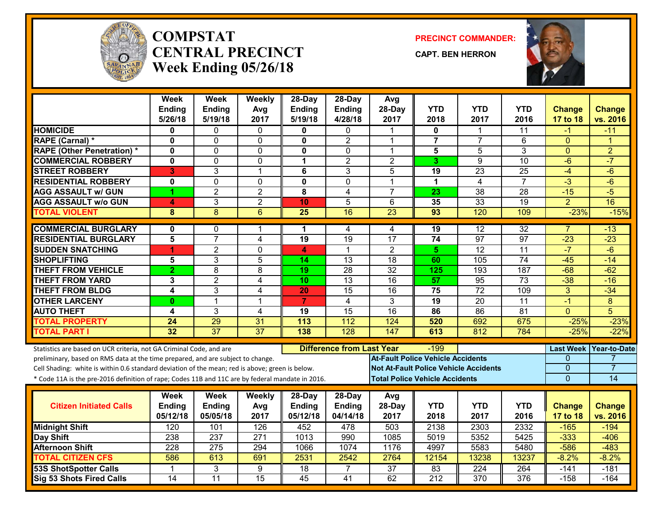

#### **COMPSTATCENTRAL PRECINCTWeek Ending 05/26/18**

**PRECINCT COMMANDER:**

**CAPT. BEN HERRON**



|                                                                                                  | Week<br><b>Ending</b> | <b>Week</b><br><b>Ending</b> | Weekly<br>Avg    | 28-Day<br><b>Ending</b> | 28-Day<br><b>Ending</b>          | Avg<br>28-Day                            | <b>YTD</b>              | <b>YTD</b>                                   | <b>YTD</b>       | <b>Change</b>    | <b>Change</b>       |
|--------------------------------------------------------------------------------------------------|-----------------------|------------------------------|------------------|-------------------------|----------------------------------|------------------------------------------|-------------------------|----------------------------------------------|------------------|------------------|---------------------|
|                                                                                                  | 5/26/18               | 5/19/18                      | 2017             | 5/19/18                 | 4/28/18                          | 2017                                     | 2018                    | 2017                                         | 2016             | 17 to 18         | vs. 2016            |
| <b>HOMICIDE</b>                                                                                  | $\bf{0}$              | 0                            | $\Omega$         | 0                       | 0                                |                                          | 0                       |                                              | 11               | -1               | $-11$               |
| RAPE (Carnal) *                                                                                  | $\mathbf 0$           | 0                            | $\mathbf 0$      | $\mathbf{0}$            | $\overline{2}$                   | 1                                        | $\overline{\mathbf{7}}$ | $\overline{7}$                               | 6                | $\Omega$         | 1                   |
| <b>RAPE (Other Penetration) *</b>                                                                | $\mathbf 0$           | 0                            | $\mathbf 0$      | 0                       | 0                                | 1                                        | 5                       | $\overline{5}$                               | 3                | $\mathbf{0}$     | $\overline{2}$      |
| <b>COMMERCIAL ROBBERY</b>                                                                        | $\mathbf{0}$          | 0                            | $\mathbf 0$      | $\mathbf 1$             | $\overline{2}$                   | $\overline{2}$                           | 3                       | 9                                            | 10               | $-6$             | $-7$                |
| <b>STREET ROBBERY</b>                                                                            | 3                     | 3                            | $\mathbf 1$      | 6                       | 3                                | 5                                        | 19                      | 23                                           | 25               | $-4$             | $-6$                |
| <b>RESIDENTIAL ROBBERY</b>                                                                       | $\mathbf 0$           | $\overline{0}$               | $\Omega$         | $\overline{\mathbf{0}}$ | $\overline{0}$                   | 1                                        | $\mathbf{1}$            | $\overline{\mathbf{4}}$                      | $\overline{7}$   | $-3$             | $-6$                |
| <b>AGG ASSAULT w/ GUN</b>                                                                        | 1                     | $\overline{2}$               | $\overline{2}$   | 8                       | 4                                | $\overline{7}$                           | 23                      | $\overline{38}$                              | $\overline{28}$  | $-15$            | $-5$                |
| <b>AGG ASSAULT W/o GUN</b>                                                                       | 4                     | 3                            | $\overline{2}$   | 10                      | $\overline{5}$                   | 6                                        | 35                      | 33                                           | 19               | $\overline{2}$   | 16                  |
| <b>TOTAL VIOLENT</b>                                                                             | 8                     | $\overline{8}$               | 6                | $\overline{25}$         | 16                               | 23                                       | 93                      | 120                                          | 109              | $-23%$           | $-15%$              |
| <b>COMMERCIAL BURGLARY</b>                                                                       | 0                     | 0                            | 1                | 1                       | 4                                | 4                                        | 19                      | 12                                           | $\overline{32}$  | $\overline{7}$   | $-13$               |
| <b>RESIDENTIAL BURGLARY</b>                                                                      | 5                     | $\overline{7}$               | 4                | 19                      | 19                               | 17                                       | $\overline{74}$         | $\overline{97}$                              | 97               | $-23$            | $-23$               |
| <b>SUDDEN SNATCHING</b>                                                                          | 1                     | $\overline{2}$               | $\Omega$         | 4                       | $\mathbf 1$                      | $\overline{2}$                           | 5                       | 12                                           | 11               | $-7$             | $-6$                |
| <b>SHOPLIFTING</b>                                                                               | 5                     | 3                            | 5                | 14                      | 13                               | $\overline{18}$                          | 60                      | 105                                          | $\overline{74}$  | $-45$            | $-14$               |
| <b>THEFT FROM VEHICLE</b>                                                                        | $\overline{2}$        | $\overline{8}$               | 8                | $\overline{19}$         | $\overline{28}$                  | $\overline{32}$                          | 125                     | 193                                          | $\overline{187}$ | $-68$            | $-62$               |
| <b>THEFT FROM YARD</b>                                                                           | 3                     | $\overline{2}$               | 4                | 10                      | $\overline{13}$                  | $\overline{16}$                          | 57                      | 95                                           | $\overline{73}$  | $-38$            | $-16$               |
| <b>THEFT FROM BLDG</b>                                                                           | 4                     | 3                            | 4                | 20                      | 15                               | 16                                       | 75                      | 72                                           | 109              | 3                | $-34$               |
| <b>OTHER LARCENY</b>                                                                             | $\bf{0}$              | $\mathbf{1}$                 | 1                | $\overline{7}$          | $\overline{4}$                   | $\overline{3}$                           | $\overline{19}$         | 20                                           | $\overline{11}$  | $-1$             | $\overline{8}$      |
| <b>AUTO THEFT</b>                                                                                | 4                     | 3                            | $\overline{4}$   | 19                      | $\overline{15}$                  | $\overline{16}$                          | 86                      | $\overline{86}$                              | $\overline{81}$  | $\Omega$         | 5                   |
| <b>TOTAL PROPERTY</b>                                                                            | 24                    | 29                           | 31               | 113                     | 112                              | 124                                      | 520                     | 692                                          | 675              | $-25%$           | $-23%$              |
| <b>TOTAL PART I</b>                                                                              | 32                    | $\overline{37}$              | $\overline{37}$  | 138                     | 128                              | 147                                      | 613                     | 812                                          | 784              | $-25%$           | $-22%$              |
| Statistics are based on UCR criteria, not GA Criminal Code, and are                              |                       |                              |                  |                         | <b>Difference from Last Year</b> |                                          | -199                    |                                              |                  | <b>Last Week</b> | <b>Year-to-Date</b> |
| preliminary, based on RMS data at the time prepared, and are subject to change.                  |                       |                              |                  |                         |                                  | <b>At-Fault Police Vehicle Accidents</b> |                         |                                              |                  | 0                |                     |
| Cell Shading: white is within 0.6 standard deviation of the mean; red is above; green is below.  |                       |                              |                  |                         |                                  |                                          |                         | <b>Not At-Fault Police Vehicle Accidents</b> |                  | $\overline{0}$   | 7                   |
| * Code 11A is the pre-2016 definition of rape; Codes 11B and 11C are by federal mandate in 2016. |                       |                              |                  |                         |                                  | <b>Total Police Vehicle Accidents</b>    |                         |                                              |                  | $\mathbf 0$      | 14                  |
|                                                                                                  | Week                  | <b>Week</b>                  | Weekly           | 28-Day                  | 28-Day                           | Avg                                      |                         |                                              |                  |                  |                     |
| <b>Citizen Initiated Calls</b>                                                                   | <b>Ending</b>         | <b>Ending</b>                | Avg              | <b>Ending</b>           | <b>Ending</b>                    | 28-Day                                   | <b>YTD</b>              | <b>YTD</b>                                   | <b>YTD</b>       | <b>Change</b>    | <b>Change</b>       |
|                                                                                                  | 05/12/18              | 05/05/18                     | 2017             | 05/12/18                | 04/14/18                         | 2017                                     | 2018                    | 2017                                         | 2016             | 17 to 18         | vs. 2016            |
| <b>Midnight Shift</b>                                                                            | 120                   | 101                          | 126              | 452                     | 478                              | 503                                      | 2138                    | 2303                                         | 2332             | $-165$           | $-194$              |
| Day Shift                                                                                        | 238                   | $\overline{237}$             | $\overline{271}$ | 1013                    | 990                              | 1085                                     | 5019                    | 5352                                         | 5425             | $-333$           | $-406$              |
| <b>Afternoon Shift</b>                                                                           | 228                   | 275                          | 294              | 1066                    | 1074                             | 1176                                     | 4997                    | 5583                                         | 5480             | $-586$           | $-483$              |
| <b>TOTAL CITIZEN CFS</b>                                                                         | 586                   | 613                          | 691              | 2531                    | 2542                             | 2764                                     | 12154                   | 13238                                        | 13237            | $-8.2%$          | $-8.2%$             |
| <b>53S ShotSpotter Calls</b>                                                                     | -1                    | 3                            | $\overline{9}$   | $\overline{18}$         | 7                                | $\overline{37}$                          | 83                      | $\overline{224}$                             | 264              | $-141$           | $-181$              |
| Sig 53 Shots Fired Calls                                                                         | $\overline{14}$       | $\overline{11}$              | $\overline{15}$  | $\overline{45}$         | 41                               | 62                                       | $\overline{212}$        | $\overline{370}$                             | 376              | $-158$           | $-164$              |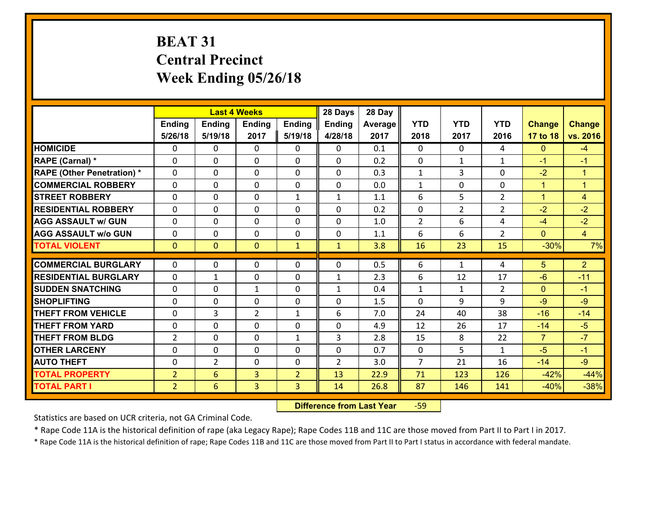# **BEAT 31 Central Precinct Week Ending 05/26/18**

|                                   |                |                 | <b>Last 4 Weeks</b> |                | 28 Days        | 28 Day  |                |                |                |                |                |
|-----------------------------------|----------------|-----------------|---------------------|----------------|----------------|---------|----------------|----------------|----------------|----------------|----------------|
|                                   | <b>Ending</b>  | <b>Ending</b>   | <b>Ending</b>       | Ending         | <b>Ending</b>  | Average | <b>YTD</b>     | <b>YTD</b>     | <b>YTD</b>     | <b>Change</b>  | <b>Change</b>  |
|                                   | 5/26/18        | 5/19/18         | 2017                | 5/19/18        | 4/28/18        | 2017    | 2018           | 2017           | 2016           | 17 to 18       | vs. 2016       |
| <b>HOMICIDE</b>                   | 0              | $\Omega$        | $\Omega$            | 0              | $\Omega$       | 0.1     | $\Omega$       | $\Omega$       | 4              | $\mathbf{0}$   | $-4$           |
| RAPE (Carnal) *                   | 0              | 0               | $\mathbf{0}$        | 0              | 0              | 0.2     | $\mathbf{0}$   | $\mathbf{1}$   | $\mathbf{1}$   | $-1$           | $-1$           |
| <b>RAPE (Other Penetration) *</b> | $\Omega$       | 0               | $\mathbf{0}$        | $\Omega$       | 0              | 0.3     | $\mathbf{1}$   | 3              | $\Omega$       | $-2$           | $\overline{1}$ |
| <b>COMMERCIAL ROBBERY</b>         | 0              | 0               | 0                   | $\Omega$       | $\mathbf{0}$   | 0.0     | $\mathbf{1}$   | $\mathbf{0}$   | 0              | $\mathbf{1}$   | $\mathbf{1}$   |
| <b>STREET ROBBERY</b>             | 0              | 0               | $\mathbf 0$         | $\mathbf{1}$   | $\mathbf{1}$   | 1.1     | 6              | 5              | $\overline{2}$ | $\mathbf{1}$   | $\overline{4}$ |
| <b>RESIDENTIAL ROBBERY</b>        | $\Omega$       | $\Omega$        | $\mathbf 0$         | $\Omega$       | $\Omega$       | 0.2     | $\mathbf 0$    | $\overline{2}$ | $\overline{2}$ | $-2$           | $-2$           |
| <b>AGG ASSAULT w/ GUN</b>         | 0              | $\Omega$        | $\mathbf 0$         | $\Omega$       | 0              | 1.0     | $\overline{2}$ | 6              | 4              | $-4$           | $-2$           |
| <b>AGG ASSAULT w/o GUN</b>        | 0              | 0               | $\mathbf 0$         | 0              | 0              | 1.1     | 6              | 6              | $\overline{2}$ | $\mathbf{0}$   | $\overline{4}$ |
| <b>TOTAL VIOLENT</b>              | $\mathbf{0}$   | $\overline{0}$  | $\mathbf{0}$        | $\mathbf{1}$   | $\mathbf{1}$   | 3.8     | 16             | 23             | 15             | $-30%$         | 7%             |
| <b>COMMERCIAL BURGLARY</b>        | $\Omega$       | $\Omega$        | $\mathbf{0}$        | $\Omega$       | 0              | 0.5     | 6              | $\mathbf{1}$   | 4              | 5              | $\overline{2}$ |
| <b>RESIDENTIAL BURGLARY</b>       | 0              | $\mathbf{1}$    | $\mathbf 0$         | 0              | $\mathbf{1}$   | 2.3     | 6              | 12             | 17             | $-6$           | $-11$          |
| <b>SUDDEN SNATCHING</b>           | 0              | 0               | $\mathbf{1}$        | $\Omega$       | $\mathbf{1}$   | 0.4     | $\mathbf{1}$   | $\mathbf{1}$   | $\overline{2}$ | $\mathbf{0}$   | $-1$           |
| <b>SHOPLIFTING</b>                | 0              | 0               | $\mathbf 0$         | 0              | 0              | 1.5     | $\Omega$       | 9              | 9              | $-9$           | $-9$           |
| <b>THEFT FROM VEHICLE</b>         | 0              | 3               | $\overline{2}$      | $\mathbf{1}$   | 6              | 7.0     | 24             | 40             | 38             | $-16$          | $-14$          |
| <b>THEFT FROM YARD</b>            | 0              | $\mathbf 0$     | $\mathbf 0$         | 0              | 0              | 4.9     | 12             | 26             | 17             | $-14$          | $-5$           |
| <b>THEFT FROM BLDG</b>            | $\overline{2}$ | 0               | $\mathbf 0$         | $\mathbf{1}$   | 3              | 2.8     | 15             | 8              | 22             | $\overline{7}$ | $-7$           |
| <b>OTHER LARCENY</b>              | 0              | 0               | $\mathbf 0$         | 0              | 0              | 0.7     | $\mathbf 0$    | 5              | $\mathbf{1}$   | $-5$           | $-1$           |
| <b>AUTO THEFT</b>                 | 0              | $\overline{2}$  | $\mathbf{0}$        | $\Omega$       | $\overline{2}$ | 3.0     | $\overline{7}$ | 21             | 16             | $-14$          | $-9$           |
| <b>TOTAL PROPERTY</b>             | $\overline{2}$ | 6               | 3                   | $\overline{2}$ | 13             | 22.9    | 71             | 123            | 126            | $-42%$         | $-44%$         |
| <b>TOTAL PART I</b>               | $\overline{2}$ | $6\overline{6}$ | 3                   | 3              | 14             | 26.8    | 87             | 146            | 141            | $-40%$         | $-38%$         |

 **Difference from Last Year**r -59

Statistics are based on UCR criteria, not GA Criminal Code.

\* Rape Code 11A is the historical definition of rape (aka Legacy Rape); Rape Codes 11B and 11C are those moved from Part II to Part I in 2017.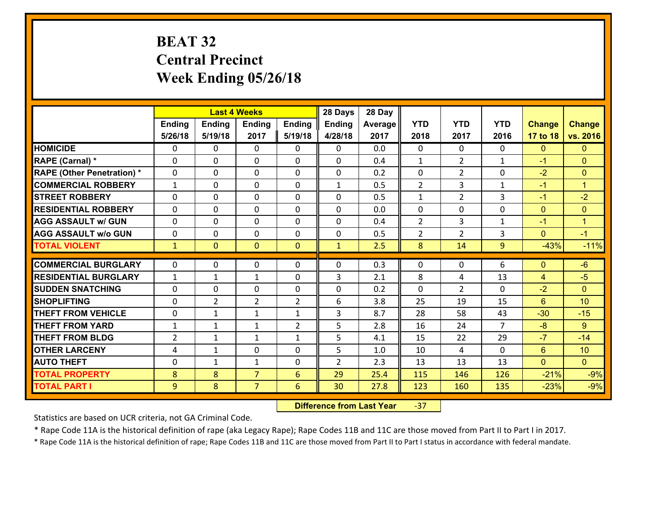# **BEAT 32 Central Precinct Week Ending 05/26/18**

|                                   |                |                | <b>Last 4 Weeks</b> |                | 28 Days        | 28 Day  |                |                |                |                |                |
|-----------------------------------|----------------|----------------|---------------------|----------------|----------------|---------|----------------|----------------|----------------|----------------|----------------|
|                                   | Ending         | <b>Ending</b>  | <b>Ending</b>       | Ending         | <b>Ending</b>  | Average | <b>YTD</b>     | <b>YTD</b>     | <b>YTD</b>     | <b>Change</b>  | <b>Change</b>  |
|                                   | 5/26/18        | 5/19/18        | 2017                | 5/19/18        | 4/28/18        | 2017    | 2018           | 2017           | 2016           | 17 to 18       | vs. 2016       |
| <b>HOMICIDE</b>                   | $\Omega$       | 0              | $\Omega$            | 0              | $\Omega$       | 0.0     | 0              | $\Omega$       | 0              | $\mathbf{0}$   | $\Omega$       |
| RAPE (Carnal) *                   | $\mathbf{0}$   | 0              | $\mathbf{0}$        | 0              | 0              | 0.4     | $\mathbf{1}$   | $\overline{2}$ | $\mathbf{1}$   | $-1$           | $\mathbf{0}$   |
| <b>RAPE (Other Penetration) *</b> | $\mathbf{0}$   | 0              | $\mathbf{0}$        | $\Omega$       | 0              | 0.2     | $\Omega$       | 2              | 0              | $-2$           | $\mathbf{0}$   |
| <b>COMMERCIAL ROBBERY</b>         | $\mathbf{1}$   | 0              | 0                   | 0              | $\mathbf{1}$   | 0.5     | $\overline{2}$ | 3              | $\mathbf{1}$   | $-1$           | $\mathbf{1}$   |
| <b>STREET ROBBERY</b>             | 0              | 0              | $\mathbf 0$         | 0              | 0              | 0.5     | $\mathbf{1}$   | $\overline{2}$ | 3              | $-1$           | $-2$           |
| <b>RESIDENTIAL ROBBERY</b>        | $\Omega$       | $\Omega$       | $\mathbf 0$         | $\Omega$       | 0              | 0.0     | 0              | $\Omega$       | 0              | $\mathbf{0}$   | $\Omega$       |
| <b>AGG ASSAULT w/ GUN</b>         | 0              | 0              | $\mathbf 0$         | 0              | 0              | 0.4     | $\overline{2}$ | 3              | $\mathbf{1}$   | $-1$           | $\mathbf{1}$   |
| <b>AGG ASSAULT W/o GUN</b>        | 0              | 0              | $\mathbf 0$         | $\mathbf 0$    | 0              | 0.5     | $\overline{2}$ | $\overline{2}$ | 3              | $\mathbf{0}$   | $-1$           |
| <b>TOTAL VIOLENT</b>              | $\mathbf{1}$   | $\overline{0}$ | $\mathbf{O}$        | $\mathbf{0}$   | $\mathbf{1}$   | 2.5     | 8              | 14             | 9              | $-43%$         | $-11%$         |
| <b>COMMERCIAL BURGLARY</b>        | $\Omega$       | 0              | $\mathbf{0}$        | $\Omega$       | $\Omega$       | 0.3     | $\Omega$       | $\Omega$       | 6              | $\mathbf{0}$   | $-6$           |
| <b>RESIDENTIAL BURGLARY</b>       | $\mathbf{1}$   | 1              | $\mathbf{1}$        | 0              | 3              | 2.1     | 8              | 4              | 13             | $\overline{4}$ | $-5$           |
| <b>SUDDEN SNATCHING</b>           | 0              | 0              | $\mathbf 0$         | 0              | 0              | 0.2     | 0              | $\overline{2}$ | 0              | $-2$           | $\Omega$       |
| <b>SHOPLIFTING</b>                | 0              | $\overline{2}$ | $\overline{2}$      | $\overline{2}$ | 6              | 3.8     | 25             | 19             | 15             | 6              | 10             |
| <b>THEFT FROM VEHICLE</b>         | 0              | 1              | $\mathbf{1}$        | $\mathbf{1}$   | 3              | 8.7     | 28             | 58             | 43             | $-30$          | $-15$          |
| <b>THEFT FROM YARD</b>            | $\mathbf 1$    | $\mathbf{1}$   | $\mathbf{1}$        | $\overline{2}$ | 5              | 2.8     | 16             | 24             | $\overline{7}$ | $-8$           | 9              |
| <b>THEFT FROM BLDG</b>            | $\overline{2}$ | 1              | 1                   | $\mathbf{1}$   | 5              | 4.1     | 15             | 22             | 29             | $-7$           | $-14$          |
| <b>OTHER LARCENY</b>              | 4              | $\mathbf{1}$   | $\mathbf 0$         | 0              | 5              | 1.0     | 10             | 4              | 0              | 6              | 10             |
| <b>AUTO THEFT</b>                 | $\mathbf{0}$   | $\mathbf{1}$   | $\mathbf{1}$        | 0              | $\overline{2}$ | 2.3     | 13             | 13             | 13             | $\mathbf{0}$   | $\overline{0}$ |
| <b>TOTAL PROPERTY</b>             | 8              | 8              | $\overline{7}$      | 6              | 29             | 25.4    | 115            | 146            | 126            | $-21%$         | $-9%$          |
| <b>TOTAL PART I</b>               | 9              | 8              | $\overline{7}$      | 6              | 30             | 27.8    | 123            | 160            | 135            | $-23%$         | $-9%$          |
|                                   |                |                |                     |                |                |         |                |                |                |                |                |

 **Difference from Last Year**‐37

Statistics are based on UCR criteria, not GA Criminal Code.

\* Rape Code 11A is the historical definition of rape (aka Legacy Rape); Rape Codes 11B and 11C are those moved from Part II to Part I in 2017.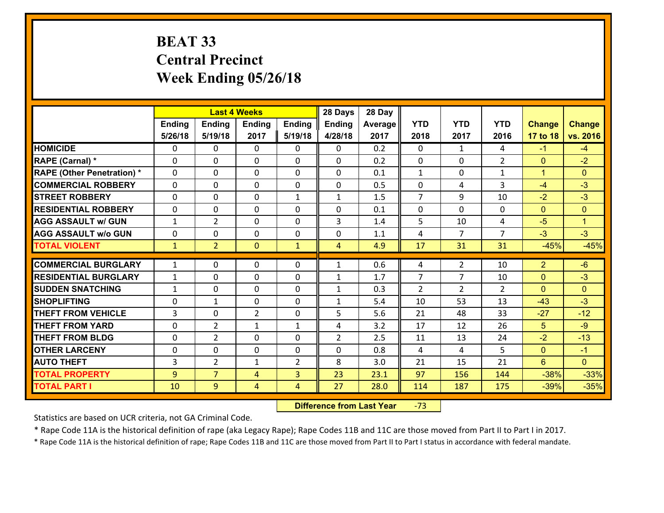# **BEAT 33 Central PrecinctWeek Ending 05/26/18**

|                                              |                |                     | <b>Last 4 Weeks</b> |              | 28 Days        | 28 Day       |                |                |                |                  |                  |
|----------------------------------------------|----------------|---------------------|---------------------|--------------|----------------|--------------|----------------|----------------|----------------|------------------|------------------|
|                                              | Ending         | <b>Ending</b>       | <b>Ending</b>       | Ending       | <b>Ending</b>  | Average      | <b>YTD</b>     | <b>YTD</b>     | <b>YTD</b>     | <b>Change</b>    | <b>Change</b>    |
|                                              | 5/26/18        | 5/19/18             | 2017                | 5/19/18      | 4/28/18        | 2017         | 2018           | 2017           | 2016           | 17 to 18         | vs. 2016         |
| <b>HOMICIDE</b>                              | $\Omega$       | 0                   | $\Omega$            | 0            | $\Omega$       | 0.2          | 0              | $\mathbf{1}$   | 4              | $-1$             | $-4$             |
| RAPE (Carnal) *                              | $\mathbf{0}$   | 0                   | $\mathbf{0}$        | 0            | $\Omega$       | 0.2          | $\mathbf{0}$   | $\mathbf{0}$   | $\overline{2}$ | $\mathbf{0}$     | $-2$             |
| <b>RAPE (Other Penetration) *</b>            | $\Omega$       | 0                   | $\mathbf{0}$        | $\Omega$     | $\Omega$       | 0.1          | $\mathbf{1}$   | 0              | $\mathbf{1}$   | $\mathbf{1}$     | $\Omega$         |
| <b>COMMERCIAL ROBBERY</b>                    | $\mathbf{0}$   | 0                   | 0                   | 0            | $\Omega$       | 0.5          | $\mathbf{0}$   | 4              | 3              | $-4$             | $-3$             |
| <b>STREET ROBBERY</b>                        | 0              | 0                   | $\mathbf 0$         | $\mathbf{1}$ | $\mathbf{1}$   | 1.5          | $\overline{7}$ | 9              | 10             | $-2$             | $-3$             |
| <b>RESIDENTIAL ROBBERY</b>                   | $\Omega$       | 0                   | $\mathbf 0$         | $\Omega$     | 0              | 0.1          | $\mathbf 0$    | $\Omega$       | 0              | $\mathbf{0}$     | $\Omega$         |
| <b>AGG ASSAULT w/ GUN</b>                    | $\mathbf{1}$   | $\overline{2}$      | $\mathbf 0$         | 0            | 3              | 1.4          | 5              | 10             | 4              | $-5$             | $\mathbf{1}$     |
| <b>AGG ASSAULT w/o GUN</b>                   | 0              | 0                   | $\mathbf 0$         | $\mathbf 0$  | 0              | 1.1          | 4              | $\overline{7}$ | $\overline{7}$ | $-3$             | $-3$             |
| <b>TOTAL VIOLENT</b>                         | $\mathbf{1}$   | $\overline{2}$      | $\mathbf{O}$        | $\mathbf{1}$ | $\overline{4}$ | 4.9          | 17             | 31             | 31             | $-45%$           | $-45%$           |
| <b>COMMERCIAL BURGLARY</b>                   | $\mathbf{1}$   | 0                   | $\mathbf{0}$        | $\Omega$     | $\mathbf{1}$   | 0.6          | 4              | $\overline{2}$ | 10             | $\overline{2}$   | $-6$             |
|                                              |                |                     |                     |              |                |              |                |                |                |                  |                  |
|                                              |                |                     |                     |              |                |              |                |                |                |                  |                  |
| <b>RESIDENTIAL BURGLARY</b>                  | $\mathbf{1}$   | 0                   | $\mathbf 0$         | 0            | $\mathbf{1}$   | 1.7          | $\overline{7}$ | $\overline{7}$ | 10             | $\mathbf{0}$     | $-3$             |
| <b>SUDDEN SNATCHING</b>                      | $\mathbf{1}$   | 0                   | $\mathbf 0$         | 0            | $\mathbf{1}$   | 0.3          | $\overline{2}$ | $\overline{2}$ | $\overline{2}$ | $\mathbf{0}$     | $\overline{0}$   |
| <b>SHOPLIFTING</b>                           | 0              | $\mathbf{1}$        | $\mathbf 0$         | 0            | $\mathbf{1}$   | 5.4          | 10             | 53             | 13             | $-43$            | $-3$             |
| <b>THEFT FROM VEHICLE</b>                    | $\overline{3}$ | 0                   | $\overline{2}$      | 0            | 5              | 5.6          | 21             | 48             | 33             | $-27$            | $-12$            |
| <b>THEFT FROM YARD</b>                       | 0              | $\overline{2}$      | $\mathbf{1}$        | $\mathbf{1}$ | 4              | 3.2          | 17             | 12             | 26             | 5                | $-9$             |
| <b>THEFT FROM BLDG</b>                       | 0              | $\overline{2}$      | $\mathbf 0$         | 0            | $\overline{2}$ | 2.5          | 11             | 13             | 24             | $-2$             | $-13$            |
| <b>OTHER LARCENY</b>                         | 0              | 0                   | $\mathbf 0$         | 0            | 0              | 0.8          | 4              | 4              | 5              | $\mathbf{0}$     | $-1$             |
| <b>AUTO THEFT</b>                            | 3              | $\overline{2}$      | $\mathbf{1}$        | 2            | 8              | 3.0          | 21             | 15             | 21             | 6                | $\overline{0}$   |
| <b>TOTAL PROPERTY</b><br><b>TOTAL PART I</b> | 9<br>10        | $\overline{7}$<br>9 | 4<br>4              | 3<br>4       | 23<br>27       | 23.1<br>28.0 | 97<br>114      | 156<br>187     | 144<br>175     | $-38%$<br>$-39%$ | $-33%$<br>$-35%$ |

 **Difference from Last Year**‐73

Statistics are based on UCR criteria, not GA Criminal Code.

\* Rape Code 11A is the historical definition of rape (aka Legacy Rape); Rape Codes 11B and 11C are those moved from Part II to Part I in 2017.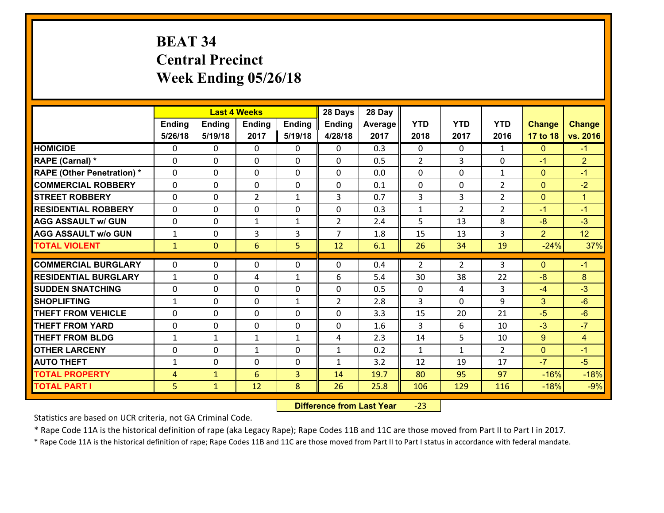# **BEAT 34 Central Precinct Week Ending 05/26/18**

|                                   |                |                | <b>Last 4 Weeks</b> |               | 28 Days        | 28 Day  |              |                |                |                |                |
|-----------------------------------|----------------|----------------|---------------------|---------------|----------------|---------|--------------|----------------|----------------|----------------|----------------|
|                                   | Ending         | <b>Ending</b>  | <b>Ending</b>       | <b>Ending</b> | <b>Ending</b>  | Average | <b>YTD</b>   | <b>YTD</b>     | <b>YTD</b>     | <b>Change</b>  | <b>Change</b>  |
|                                   | 5/26/18        | 5/19/18        | 2017                | 5/19/18       | 4/28/18        | 2017    | 2018         | 2017           | 2016           | 17 to 18       | vs. 2016       |
| <b>HOMICIDE</b>                   | $\Omega$       | 0              | 0                   | 0             | 0              | 0.3     | 0            | $\mathbf{0}$   | $\mathbf{1}$   | $\mathbf{0}$   | $-1$           |
| RAPE (Carnal) *                   | 0              | 0              | $\mathbf{0}$        | 0             | 0              | 0.5     | 2            | 3              | 0              | $-1$           | $\overline{2}$ |
| <b>RAPE (Other Penetration) *</b> | $\Omega$       | $\Omega$       | $\Omega$            | $\Omega$      | $\Omega$       | 0.0     | $\Omega$     | $\Omega$       | $\mathbf{1}$   | $\mathbf{0}$   | $-1$           |
| <b>COMMERCIAL ROBBERY</b>         | $\Omega$       | $\Omega$       | $\mathbf 0$         | $\Omega$      | 0              | 0.1     | $\mathbf 0$  | 0              | $\overline{2}$ | $\mathbf{0}$   | $-2$           |
| <b>STREET ROBBERY</b>             | 0              | 0              | $\overline{2}$      | $\mathbf{1}$  | 3              | 0.7     | 3            | 3              | $\overline{2}$ | $\mathbf{0}$   | $\mathbf{1}$   |
| <b>RESIDENTIAL ROBBERY</b>        | $\Omega$       | 0              | $\mathbf 0$         | 0             | 0              | 0.3     | $\mathbf{1}$ | $\overline{2}$ | $\overline{2}$ | $-1$           | $-1$           |
| <b>AGG ASSAULT w/ GUN</b>         | 0              | 0              | $\mathbf{1}$        | $\mathbf{1}$  | $\overline{2}$ | 2.4     | 5            | 13             | 8              | $-8$           | $-3$           |
| <b>AGG ASSAULT w/o GUN</b>        | $\mathbf{1}$   | 0              | 3                   | 3             | $\overline{7}$ | 1.8     | 15           | 13             | 3              | $\overline{2}$ | 12             |
| <b>TOTAL VIOLENT</b>              | $\mathbf{1}$   | $\overline{0}$ | 6                   | 5             | 12             | 6.1     | 26           | 34             | 19             | $-24%$         | 37%            |
| <b>COMMERCIAL BURGLARY</b>        | $\Omega$       | 0              |                     | 0             | $\Omega$       | 0.4     | 2            | $\overline{2}$ | 3              | $\mathbf{0}$   | $-1$           |
|                                   |                |                | 0                   |               |                |         |              |                |                |                |                |
| <b>RESIDENTIAL BURGLARY</b>       | $\mathbf{1}$   | 0              | 4                   | $\mathbf{1}$  | 6              | 5.4     | 30           | 38             | 22             | $-8$           | 8              |
| <b>SUDDEN SNATCHING</b>           | $\Omega$       | 0              | $\mathbf 0$         | $\Omega$      | 0              | 0.5     | $\Omega$     | 4              | 3              | $-4$           | $-3$           |
| <b>SHOPLIFTING</b>                | $\mathbf{1}$   | 0              | $\mathbf 0$         | $\mathbf{1}$  | $\overline{2}$ | 2.8     | 3            | $\Omega$       | 9              | 3              | $-6$           |
| <b>THEFT FROM VEHICLE</b>         | $\Omega$       | 0              | 0                   | 0             | $\Omega$       | 3.3     | 15           | 20             | 21             | $-5$           | $-6$           |
| <b>THEFT FROM YARD</b>            | 0              | 0              | $\mathbf 0$         | 0             | 0              | 1.6     | 3            | 6              | 10             | $-3$           | $-7$           |
| <b>THEFT FROM BLDG</b>            | $\mathbf{1}$   | $\mathbf{1}$   | $\mathbf{1}$        | $\mathbf{1}$  | 4              | 2.3     | 14           | 5              | 10             | 9              | $\overline{4}$ |
| <b>OTHER LARCENY</b>              | 0              | 0              | $\mathbf{1}$        | 0             | $\mathbf{1}$   | 0.2     | $\mathbf{1}$ | $\mathbf{1}$   | $\overline{2}$ | $\mathbf{0}$   | $-1$           |
| <b>AUTO THEFT</b>                 | $\mathbf{1}$   | 0              | $\mathbf 0$         | 0             | $\mathbf{1}$   | 3.2     | 12           | 19             | 17             | $-7$           | $-5$           |
| <b>TOTAL PROPERTY</b>             | $\overline{4}$ | $\mathbf{1}$   | 6                   | 3             | 14             | 19.7    | 80           | 95             | 97             | $-16%$         | $-18%$         |
| <b>TOTAL PART I</b>               | 5              | $\mathbf{1}$   | 12                  | 8             | 26             | 25.8    | 106          | 129            | 116            | $-18%$         | $-9%$          |

 **Difference from Last Year**‐23

Statistics are based on UCR criteria, not GA Criminal Code.

\* Rape Code 11A is the historical definition of rape (aka Legacy Rape); Rape Codes 11B and 11C are those moved from Part II to Part I in 2017.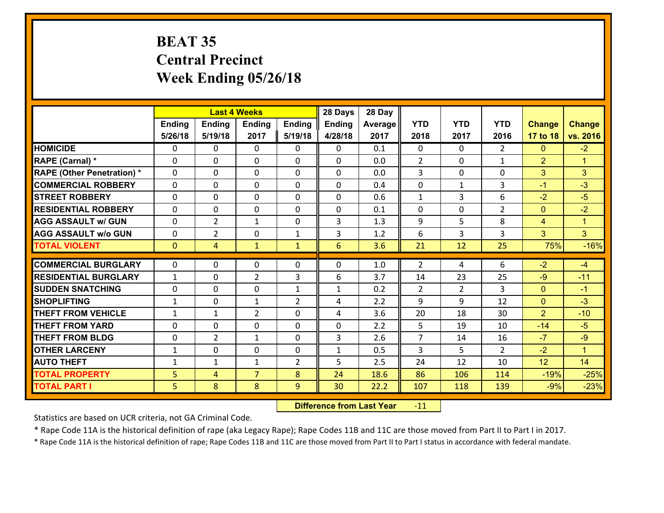# **BEAT 35 Central Precinct Week Ending 05/26/18**

|                                              |              |                | <b>Last 4 Weeks</b> |                | 28 Days         | 28 Day       |                |                |                |                 |                      |
|----------------------------------------------|--------------|----------------|---------------------|----------------|-----------------|--------------|----------------|----------------|----------------|-----------------|----------------------|
|                                              | Ending       | <b>Ending</b>  | <b>Ending</b>       | <b>Ending</b>  | <b>Ending</b>   | Average      | <b>YTD</b>     | <b>YTD</b>     | <b>YTD</b>     | <b>Change</b>   | <b>Change</b>        |
|                                              | 5/26/18      | 5/19/18        | 2017                | 5/19/18        | 4/28/18         | 2017         | 2018           | 2017           | 2016           | 17 to 18        | vs. 2016             |
| <b>HOMICIDE</b>                              | $\Omega$     | 0              | $\mathbf{0}$        | 0              | 0               | 0.1          | $\Omega$       | $\Omega$       | $\overline{2}$ | $\mathbf{0}$    | $-2$                 |
| RAPE (Carnal) *                              | $\Omega$     | 0              | $\mathbf{0}$        | 0              | $\Omega$        | 0.0          | 2              | $\Omega$       | $\mathbf{1}$   | $\overline{2}$  | $\blacktriangleleft$ |
| <b>RAPE (Other Penetration) *</b>            | $\Omega$     | $\Omega$       | $\Omega$            | $\Omega$       | $\Omega$        | 0.0          | 3              | $\Omega$       | $\Omega$       | 3               | 3                    |
| <b>COMMERCIAL ROBBERY</b>                    | 0            | 0              | $\mathbf 0$         | $\Omega$       | 0               | 0.4          | 0              | $\mathbf{1}$   | 3              | $-1$            | $-3$                 |
| <b>STREET ROBBERY</b>                        | $\Omega$     | 0              | $\mathbf 0$         | $\Omega$       | 0               | 0.6          | $\mathbf{1}$   | 3              | 6              | $-2$            | $-5$                 |
| <b>RESIDENTIAL ROBBERY</b>                   | $\Omega$     | $\Omega$       | $\mathbf 0$         | $\Omega$       | 0               | 0.1          | $\Omega$       | $\Omega$       | $\overline{2}$ | $\overline{0}$  | $-2$                 |
| <b>AGG ASSAULT w/ GUN</b>                    | $\Omega$     | $\overline{2}$ | 1                   | $\Omega$       | 3               | 1.3          | 9              | 5              | 8              | $\overline{4}$  | $\blacktriangleleft$ |
| <b>AGG ASSAULT w/o GUN</b>                   | 0            | $\overline{2}$ | $\mathbf 0$         | $\mathbf{1}$   | 3               | 1.2          | 6              | 3              | 3              | 3               | 3 <sup>1</sup>       |
| <b>TOTAL VIOLENT</b>                         | $\mathbf{0}$ | $\overline{4}$ | $\mathbf{1}$        | $\mathbf{1}$   | $6\overline{6}$ | 3.6          | 21             | 12             | 25             | 75%             | $-16%$               |
|                                              |              |                |                     |                |                 |              |                |                |                |                 |                      |
|                                              |              |                |                     |                |                 |              |                |                |                |                 |                      |
| <b>COMMERCIAL BURGLARY</b>                   | $\Omega$     | 0              | 0                   | 0              | $\Omega$        | 1.0          | 2              | 4              | 6              | $-2$            | $-4$                 |
| <b>RESIDENTIAL BURGLARY</b>                  | $\mathbf{1}$ | 0              | $\overline{2}$      | 3              | 6               | 3.7          | 14             | 23             | 25             | $-9$            | $-11$                |
| <b>SUDDEN SNATCHING</b>                      | $\Omega$     | 0              | $\mathbf{0}$        | $\mathbf{1}$   | $\mathbf{1}$    | 0.2          | $\overline{2}$ | $\overline{2}$ | 3              | $\mathbf{0}$    | $-1$                 |
| <b>SHOPLIFTING</b>                           | $\mathbf{1}$ | 0              | $\mathbf{1}$        | $\overline{2}$ | 4               | 2.2          | 9              | 9              | 12             | $\mathbf{0}$    | $-3$                 |
| <b>THEFT FROM VEHICLE</b>                    | $\mathbf{1}$ | 1              | $\overline{2}$      | $\Omega$       | 4               | 3.6          | 20             | 18             | 30             | $\overline{2}$  | $-10$                |
| <b>THEFT FROM YARD</b>                       | 0            | 0              | $\mathbf 0$         | $\Omega$       | 0               | 2.2          | 5              | 19             | 10             | $-14$           | $-5$                 |
| <b>THEFT FROM BLDG</b>                       | 0            | $\overline{2}$ | $\mathbf{1}$        | 0              | 3               | 2.6          | $\overline{7}$ | 14             | 16             | $-7$            | $-9$                 |
| <b>OTHER LARCENY</b>                         | $\mathbf{1}$ | 0              | $\mathbf 0$         | 0              | $\mathbf{1}$    | 0.5          | $\overline{3}$ | 5              | $\overline{2}$ | $-2$            | $\blacktriangleleft$ |
| <b>AUTO THEFT</b>                            | $\mathbf{1}$ | $\mathbf{1}$   | 1                   | $\overline{2}$ | 5               | 2.5          | 24             | 12             | 10             | 12              | 14                   |
| <b>TOTAL PROPERTY</b><br><b>TOTAL PART I</b> | 5<br>5       | 4<br>8         | $\overline{7}$<br>8 | 8<br>9         | 24<br>30        | 18.6<br>22.2 | 86<br>107      | 106<br>118     | 114<br>139     | $-19%$<br>$-9%$ | $-25%$<br>$-23%$     |

 **Difference from Last Year**r -11

Statistics are based on UCR criteria, not GA Criminal Code.

\* Rape Code 11A is the historical definition of rape (aka Legacy Rape); Rape Codes 11B and 11C are those moved from Part II to Part I in 2017.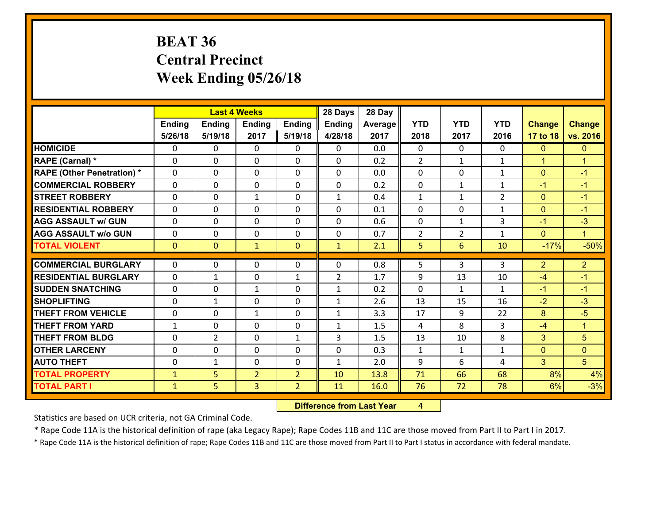# **BEAT 36 Central Precinct Week Ending 05/26/18**

|                                              |                              |                | <b>Last 4 Weeks</b> |                                  | 28 Days        | 28 Day       |                |                |                |                |                      |
|----------------------------------------------|------------------------------|----------------|---------------------|----------------------------------|----------------|--------------|----------------|----------------|----------------|----------------|----------------------|
|                                              | Ending                       | <b>Ending</b>  | <b>Ending</b>       | <b>Ending</b>                    | <b>Ending</b>  | Average      | <b>YTD</b>     | <b>YTD</b>     | <b>YTD</b>     | <b>Change</b>  | <b>Change</b>        |
|                                              | 5/26/18                      | 5/19/18        | 2017                | 5/19/18                          | 4/28/18        | 2017         | 2018           | 2017           | 2016           | 17 to 18       | vs. 2016             |
| <b>HOMICIDE</b>                              | 0                            | 0              | $\mathbf{0}$        | 0                                | 0              | 0.0          | $\Omega$       | $\Omega$       | $\Omega$       | $\mathbf{0}$   | $\mathbf{0}$         |
| RAPE (Carnal) *                              | $\Omega$                     | 0              | $\mathbf{0}$        | 0                                | $\Omega$       | 0.2          | 2              | $\mathbf{1}$   | $\mathbf{1}$   | $\mathbf{1}$   | $\blacktriangleleft$ |
| <b>RAPE (Other Penetration) *</b>            | $\Omega$                     | $\Omega$       | $\Omega$            | $\Omega$                         | $\Omega$       | 0.0          | $\Omega$       | $\Omega$       | $\mathbf{1}$   | $\mathbf{0}$   | $-1$                 |
| <b>COMMERCIAL ROBBERY</b>                    | 0                            | 0              | $\mathbf 0$         | 0                                | 0              | 0.2          | 0              | $\mathbf{1}$   | $\mathbf{1}$   | $-1$           | $-1$                 |
| <b>STREET ROBBERY</b>                        | $\Omega$                     | 0              | 1                   | 0                                | $\mathbf{1}$   | 0.4          | $\mathbf{1}$   | $\mathbf{1}$   | $\overline{2}$ | $\mathbf{0}$   | $-1$                 |
| <b>RESIDENTIAL ROBBERY</b>                   | $\Omega$                     | $\Omega$       | $\mathbf 0$         | $\Omega$                         | 0              | 0.1          | $\Omega$       | $\Omega$       | $\mathbf{1}$   | $\overline{0}$ | $-1$                 |
| <b>AGG ASSAULT w/ GUN</b>                    | $\Omega$                     | 0              | $\mathbf 0$         | $\Omega$                         | 0              | 0.6          | $\mathbf 0$    | $\mathbf{1}$   | 3              | $-1$           | $-3$                 |
| <b>AGG ASSAULT w/o GUN</b>                   | 0                            | 0              | $\mathbf 0$         | 0                                | 0              | 0.7          | $\overline{2}$ | $\overline{2}$ | $\mathbf{1}$   | $\overline{0}$ | $\mathbf{1}$         |
| <b>TOTAL VIOLENT</b>                         | $\mathbf{0}$                 | $\overline{0}$ | $\mathbf{1}$        | $\overline{0}$                   | $\mathbf{1}$   | 2.1          | 5              | 6              | 10             | $-17%$         | $-50%$               |
| <b>COMMERCIAL BURGLARY</b>                   | $\Omega$                     | 0              | 0                   | 0                                | $\Omega$       | 0.8          | 5              | 3              | 3              | $\overline{2}$ | $\overline{2}$       |
|                                              |                              |                |                     |                                  |                |              |                |                |                |                |                      |
|                                              |                              |                |                     |                                  |                |              |                |                |                |                |                      |
| <b>RESIDENTIAL BURGLARY</b>                  | $\Omega$                     | 1              | $\mathbf{0}$        | $\mathbf{1}$                     | $\overline{2}$ | 1.7          | 9              | 13             | 10             | $-4$           | $-1$                 |
| <b>SUDDEN SNATCHING</b>                      | $\Omega$                     | 0              | $\mathbf{1}$        | $\Omega$                         | $\mathbf{1}$   | 0.2          | $\Omega$       | $\mathbf{1}$   | $\mathbf{1}$   | $-1$           | $-1$                 |
| <b>SHOPLIFTING</b>                           | 0                            | 1              | $\mathbf 0$         | 0                                | $\mathbf{1}$   | 2.6          | 13             | 15             | 16             | $-2$           | $-3$                 |
| <b>THEFT FROM VEHICLE</b>                    | 0                            | 0              | $\mathbf{1}$        | $\Omega$                         | $\mathbf{1}$   | 3.3          | 17             | 9              | 22             | 8              | $-5$                 |
| <b>THEFT FROM YARD</b>                       | $\mathbf{1}$                 | 0              | $\mathbf 0$         | 0                                | $\mathbf{1}$   | 1.5          | 4              | 8              | 3              | $-4$           | $\blacktriangleleft$ |
| <b>THEFT FROM BLDG</b>                       | 0                            | $\overline{2}$ | $\mathbf 0$         | $\mathbf{1}$                     | 3              | 1.5          | 13             | 10             | 8              | 3              | 5                    |
| <b>OTHER LARCENY</b>                         | 0                            | 0              | $\mathbf 0$         | 0                                | 0              | 0.3          | $\mathbf{1}$   | $\mathbf{1}$   | $\mathbf{1}$   | $\mathbf{0}$   | $\mathbf{0}$         |
| <b>AUTO THEFT</b>                            | $\mathbf{0}$                 | $\mathbf{1}$   | $\mathbf 0$         | 0                                | $\mathbf{1}$   | 2.0          | 9              | 6              | 4              | $\overline{3}$ | 5 <sup>5</sup>       |
| <b>TOTAL PROPERTY</b><br><b>TOTAL PART I</b> | $\mathbf{1}$<br>$\mathbf{1}$ | 5<br>5         | $\overline{2}$<br>3 | $\overline{2}$<br>$\overline{2}$ | 10<br>11       | 13.8<br>16.0 | 71<br>76       | 66<br>72       | 68<br>78       | 8%<br>6%       | 4%<br>$-3%$          |

 **Difference from Last Year**r 4

Statistics are based on UCR criteria, not GA Criminal Code.

\* Rape Code 11A is the historical definition of rape (aka Legacy Rape); Rape Codes 11B and 11C are those moved from Part II to Part I in 2017.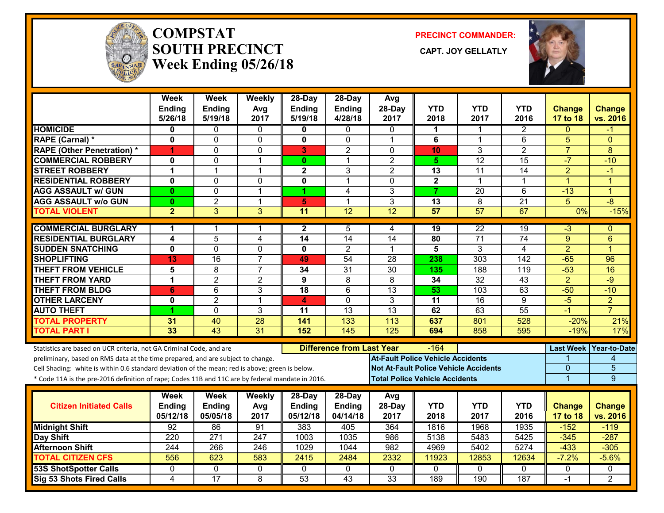

#### **COMPSTATSOUTH PRECINCT** CAPT. JOY GELLATLY **Week Ending 05/26/18**

**PRECINCT COMMANDER:**



|                                                                                                  | Week<br>Ending<br>5/26/18 | Week<br>Ending<br>5/19/18 | Weekly<br>Avg<br>2017   | 28-Day<br>Ending<br>5/19/18 | 28-Day<br>Ending<br>4/28/18      | Avg<br>28-Day<br>2017 | <b>YTD</b><br>2018                       | <b>YTD</b><br>2017                           | <b>YTD</b><br>2016 | <b>Change</b><br>17 to 18 | <b>Change</b><br>vs. 2016 |
|--------------------------------------------------------------------------------------------------|---------------------------|---------------------------|-------------------------|-----------------------------|----------------------------------|-----------------------|------------------------------------------|----------------------------------------------|--------------------|---------------------------|---------------------------|
| <b>HOMICIDE</b>                                                                                  | 0                         | 0                         | 0                       | 0                           | 0                                | 0                     | 1                                        | -1                                           | 2                  | $\mathbf{0}$              | -1                        |
| RAPE (Carnal) *                                                                                  | $\mathbf{0}$              | 0                         | $\mathbf 0$             | 0                           | $\Omega$                         | $\mathbf{1}$          | 6                                        | $\mathbf 1$                                  | 6                  | 5                         | $\Omega$                  |
| <b>RAPE (Other Penetration) *</b>                                                                | 4                         | $\Omega$                  | $\mathbf{0}$            | 3                           | $\overline{2}$                   | $\Omega$              | 10                                       | 3                                            | $\overline{2}$     | $\overline{7}$            | 8                         |
| <b>COMMERCIAL ROBBERY</b>                                                                        | 0                         | 0                         | $\overline{1}$          | $\mathbf{0}$                | 1                                | $\overline{2}$        | 5.                                       | $\overline{12}$                              | $\overline{15}$    | $-7$                      | $-10$                     |
| <b>STREET ROBBERY</b>                                                                            | $\mathbf 1$               | 1                         | $\mathbf 1$             | $\mathbf{2}$                | 3                                | $\overline{2}$        | 13                                       | 11                                           | 14                 | $\overline{2}$            | -1                        |
| <b>RESIDENTIAL ROBBERY</b>                                                                       | $\mathbf{0}$              | 0                         | $\mathbf 0$             | 0                           | 1                                | $\Omega$              | $\overline{2}$                           | $\mathbf 1$                                  | 1                  | $\overline{1}$            | 1                         |
| <b>AGG ASSAULT w/ GUN</b>                                                                        | $\bf{0}$                  | 0                         | $\overline{1}$          | 1                           | 4                                | 3                     | $\overline{7}$                           | 20                                           | 6                  | $-13$                     | $\mathbf{1}$              |
| <b>AGG ASSAULT w/o GUN</b>                                                                       | $\bf{0}$                  | $\overline{2}$            | $\mathbf{1}$            | 5                           | 1                                | 3                     | 13                                       | 8                                            | $\overline{21}$    | 5                         | $-8$                      |
| <b>TOTAL VIOLENT</b>                                                                             | $\overline{2}$            | $\overline{3}$            | 3                       | 11                          | $\overline{12}$                  | $\overline{12}$       | $\overline{57}$                          | 57                                           | 67                 | 0%                        | $-15%$                    |
| <b>COMMERCIAL BURGLARY</b>                                                                       | 1                         | 1                         | -1                      | 2                           | 5                                | 4                     | 19                                       | 22                                           | 19                 | $-3$                      | $\Omega$                  |
| <b>RESIDENTIAL BURGLARY</b>                                                                      | $\overline{\mathbf{4}}$   | 5                         | $\overline{\mathbf{4}}$ | $\overline{14}$             | $\overline{14}$                  | 14                    | 80                                       | $\overline{71}$                              | $\overline{74}$    | 9                         | 6                         |
| <b>SUDDEN SNATCHING</b>                                                                          | $\overline{\mathbf{0}}$   | $\overline{0}$            | $\overline{0}$          | 0                           | $\overline{2}$                   | $\mathbf 1$           | $\overline{\mathbf{5}}$                  | 3                                            | 4                  | $\overline{2}$            | 1                         |
| <b>SHOPLIFTING</b>                                                                               | 13                        | 16                        | $\overline{7}$          | 49                          | $\overline{54}$                  | 28                    | 238                                      | 303                                          | 142                | $-65$                     | 96                        |
| <b>THEFT FROM VEHICLE</b>                                                                        | 5                         | 8                         | $\overline{7}$          | 34                          | $\overline{31}$                  | $\overline{30}$       | 135                                      | 188                                          | 119                | $-53$                     | 16                        |
| <b>THEFT FROM YARD</b>                                                                           | $\mathbf 1$               | $\overline{2}$            | $\overline{2}$          | 9                           | 8                                | 8                     | 34                                       | $\overline{32}$                              | 43                 | $\overline{2}$            | $-9$                      |
| <b>THEFT FROM BLDG</b>                                                                           | $6\phantom{1}6$           | 6                         | 3                       | 18                          | 6                                | 13                    | 53                                       | 103                                          | 63                 | $-50$                     | $-10$                     |
| <b>OTHER LARCENY</b>                                                                             | $\bf{0}$                  | $\overline{2}$            | $\mathbf{1}$            | 4                           | $\overline{0}$                   | 3                     | 11                                       | 16                                           | $\overline{9}$     | $-5$                      | $\overline{2}$            |
| <b>AUTO THEFT</b>                                                                                | 4                         | 0                         | $\overline{3}$          | $\overline{11}$             | $\overline{13}$                  | $\overline{13}$       | 62                                       | 63                                           | $\overline{55}$    | $-1$                      | $\overline{7}$            |
| <b>TOTAL PROPERTY</b>                                                                            | 31                        | 40                        | 28                      | 141                         | 133                              | 113                   | 637                                      | 801                                          | 528                | $-20%$                    | 21%                       |
| <b>TOTAL PART I</b>                                                                              | 33                        | 43                        | 31                      | 152                         | 145                              | 125                   | 694                                      | 858                                          | 595                | $-19%$                    | 17%                       |
| Statistics are based on UCR criteria, not GA Criminal Code, and are                              |                           |                           |                         |                             | <b>Difference from Last Year</b> |                       | $-164$                                   |                                              |                    |                           | Last Week Year-to-Date    |
| preliminary, based on RMS data at the time prepared, and are subject to change.                  |                           |                           |                         |                             |                                  |                       | <b>At-Fault Police Vehicle Accidents</b> |                                              |                    |                           | 4                         |
| Cell Shading: white is within 0.6 standard deviation of the mean; red is above; green is below.  |                           |                           |                         |                             |                                  |                       |                                          | <b>Not At-Fault Police Vehicle Accidents</b> |                    | 0                         | 5                         |
| * Code 11A is the pre-2016 definition of rape; Codes 11B and 11C are by federal mandate in 2016. |                           |                           |                         |                             |                                  |                       | <b>Total Police Vehicle Accidents</b>    |                                              |                    | $\overline{1}$            | 9                         |
|                                                                                                  | Week                      | Week                      | Weekly                  | 28-Day                      | 28-Day                           | Avg                   |                                          |                                              |                    |                           |                           |
| <b>Citizen Initiated Calls</b>                                                                   | Ending                    | Ending                    | Avg                     | <b>Ending</b>               | <b>Ending</b>                    | 28-Day                | <b>YTD</b>                               | <b>YTD</b>                                   | <b>YTD</b>         | <b>Change</b>             | <b>Change</b>             |
|                                                                                                  | 05/12/18                  | 05/05/18                  | 2017                    | 05/12/18                    | 04/14/18                         | 2017                  | 2018                                     | 2017                                         | 2016               | 17 to 18                  | vs. 2016                  |
| <b>Midnight Shift</b>                                                                            | 92                        | 86                        | $\overline{91}$         | 383                         | 405                              | 364                   | 1816                                     | 1968                                         | 1935               | $-152$                    | $-119$                    |
| <b>Day Shift</b>                                                                                 | 220                       | $\overline{271}$          | 247                     | 1003                        | 1035                             | 986                   | 5138                                     | 5483                                         | 5425               | $-345$                    | $-287$                    |
| <b>Afternoon Shift</b>                                                                           | 244                       | 266                       | 246                     | 1029                        | 1044                             | 982                   | 4969                                     | 5402                                         | 5274               | $-433$                    | $-305$                    |
| <b>TOTAL CITIZEN CFS</b>                                                                         | 556                       | 623                       | 583                     | 2415                        | 2484                             | 2332                  | 11923                                    | 12853                                        | 12634              | $-7.2%$                   | $-5.6%$                   |
| <b>53S ShotSpotter Calls</b>                                                                     | $\mathbf{0}$              | 0                         | 0                       | $\Omega$                    | $\mathbf{0}$                     | $\mathbf{0}$          | 0                                        | $\mathbf{0}$                                 | 0                  | 0                         | 0                         |
| Sig 53 Shots Fired Calls                                                                         | 4                         | $\overline{17}$           | 8                       | $\overline{53}$             | $\overline{43}$                  | $\overline{33}$       | 189                                      | 190                                          | 187                | $-1$                      | $\overline{2}$            |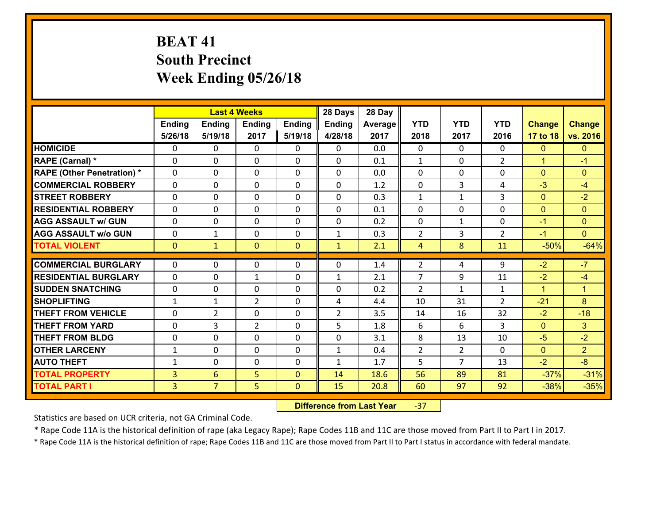# **BEAT 41 South Precinct Week Ending 05/26/18**

|                                              |                                  |                                   | <b>Last 4 Weeks</b> |                          | 28 Days        | 28 Day       |                |                |                |                  |                      |
|----------------------------------------------|----------------------------------|-----------------------------------|---------------------|--------------------------|----------------|--------------|----------------|----------------|----------------|------------------|----------------------|
|                                              | Ending                           | <b>Ending</b>                     | <b>Ending</b>       | <b>Ending</b>            | <b>Ending</b>  | Average      | <b>YTD</b>     | <b>YTD</b>     | <b>YTD</b>     | <b>Change</b>    | <b>Change</b>        |
|                                              | 5/26/18                          | 5/19/18                           | 2017                | 5/19/18                  | 4/28/18        | 2017         | 2018           | 2017           | 2016           | 17 to 18         | vs. 2016             |
| <b>HOMICIDE</b>                              | $\Omega$                         | 0                                 | $\mathbf{0}$        | 0                        | 0              | 0.0          | $\Omega$       | $\Omega$       | $\Omega$       | $\mathbf{0}$     | $\mathbf{0}$         |
| RAPE (Carnal) *                              | $\Omega$                         | 0                                 | $\mathbf{0}$        | 0                        | $\Omega$       | 0.1          | 1              | $\Omega$       | $\overline{2}$ | $\mathbf{1}$     | $-1$                 |
| <b>RAPE (Other Penetration) *</b>            | $\Omega$                         | $\Omega$                          | $\Omega$            | $\Omega$                 | $\Omega$       | 0.0          | $\Omega$       | $\Omega$       | $\Omega$       | $\Omega$         | $\Omega$             |
| <b>COMMERCIAL ROBBERY</b>                    | 0                                | 0                                 | $\mathbf 0$         | 0                        | 0              | 1.2          | 0              | 3              | 4              | $-3$             | $-4$                 |
| <b>STREET ROBBERY</b>                        | $\Omega$                         | 0                                 | $\mathbf 0$         | $\Omega$                 | 0              | 0.3          | $\mathbf{1}$   | $\mathbf{1}$   | 3              | $\mathbf{0}$     | $-2$                 |
| <b>RESIDENTIAL ROBBERY</b>                   | $\Omega$                         | $\Omega$                          | $\mathbf 0$         | $\Omega$                 | 0              | 0.1          | $\Omega$       | $\Omega$       | $\Omega$       | $\mathbf{0}$     | $\overline{0}$       |
| <b>AGG ASSAULT w/ GUN</b>                    | $\Omega$                         | 0                                 | $\mathbf 0$         | $\Omega$                 | 0              | 0.2          | 0              | $\mathbf{1}$   | $\Omega$       | $-1$             | $\mathbf{0}$         |
| <b>AGG ASSAULT w/o GUN</b>                   | 0                                | 1                                 | $\mathbf 0$         | 0                        | $\mathbf{1}$   | 0.3          | $\overline{2}$ | 3              | $\overline{2}$ | $-1$             | $\overline{0}$       |
| <b>TOTAL VIOLENT</b>                         | $\mathbf{0}$                     | $\mathbf{1}$                      | $\mathbf{0}$        | $\mathbf{0}$             | $\mathbf{1}$   | 2.1          | $\overline{4}$ | 8              | 11             | $-50%$           | $-64%$               |
| <b>COMMERCIAL BURGLARY</b>                   | $\Omega$                         | 0                                 | 0                   | 0                        | 0              | 1.4          | $\overline{2}$ | 4              | 9              | $-2$             | $-7$                 |
| <b>RESIDENTIAL BURGLARY</b>                  | $\Omega$                         | 0                                 | 1                   | 0                        | 1              | 2.1          | $\overline{7}$ | 9              | 11             | $-2$             | $-4$                 |
|                                              |                                  |                                   |                     |                          |                |              |                |                |                |                  |                      |
|                                              |                                  |                                   |                     |                          |                |              |                |                |                |                  |                      |
| <b>SUDDEN SNATCHING</b>                      | 0                                | 0                                 | $\mathbf{0}$        | $\Omega$                 | $\Omega$       | 0.2          | $\overline{2}$ | $\mathbf{1}$   | $\mathbf{1}$   | $\mathbf{1}$     | $\blacktriangleleft$ |
| <b>SHOPLIFTING</b>                           | $\mathbf{1}$                     | 1                                 | $\overline{2}$      | 0                        | 4              | 4.4          | 10             | 31             | $\overline{2}$ | $-21$            | 8                    |
| <b>THEFT FROM VEHICLE</b>                    | $\Omega$                         | $\overline{2}$                    | $\mathbf{0}$        | $\Omega$                 | $\overline{2}$ | 3.5          | 14             | 16             | 32             | $-2$             | $-18$                |
| <b>THEFT FROM YARD</b>                       | 0                                | 3                                 | $\overline{2}$      | $\Omega$                 | 5              | 1.8          | 6              | 6              | 3              | $\mathbf{0}$     | 3                    |
| <b>THEFT FROM BLDG</b>                       | 0                                | 0                                 | $\mathbf 0$         | 0                        | 0              | 3.1          | 8              | 13             | 10             | $-5$             | $-2$                 |
| <b>OTHER LARCENY</b>                         | $\mathbf{1}$                     | 0                                 | $\mathbf 0$         | 0                        | $\mathbf{1}$   | 0.4          | $\overline{2}$ | $\overline{2}$ | $\Omega$       | $\mathbf{0}$     | $\overline{2}$       |
| <b>AUTO THEFT</b>                            | $\mathbf{1}$                     | 0                                 | $\mathbf 0$         | 0                        | $\mathbf{1}$   | 1.7          | 5              | $\overline{7}$ | 13             | $-2$             | $-8$                 |
| <b>TOTAL PROPERTY</b><br><b>TOTAL PART I</b> | $\overline{3}$<br>3 <sup>1</sup> | $6\overline{6}$<br>$\overline{7}$ | 5<br>5              | $\Omega$<br>$\mathbf{0}$ | 14<br>15       | 18.6<br>20.8 | 56<br>60       | 89<br>97       | 81<br>92       | $-37%$<br>$-38%$ | $-31%$<br>$-35%$     |

 **Difference from Last Year**‐37

Statistics are based on UCR criteria, not GA Criminal Code.

\* Rape Code 11A is the historical definition of rape (aka Legacy Rape); Rape Codes 11B and 11C are those moved from Part II to Part I in 2017.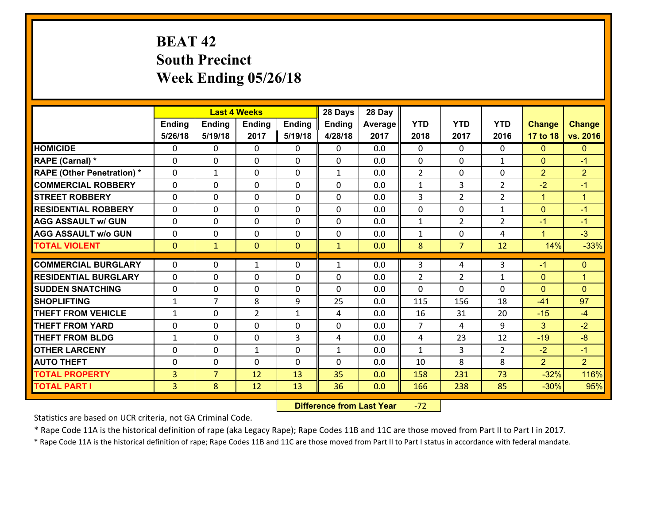# **BEAT 42 South Precinct Week Ending 05/26/18**

|                                                |                                  |                | <b>Last 4 Weeks</b>         |               | 28 Days           | 28 Day     |                     |                |                      |                  |                      |
|------------------------------------------------|----------------------------------|----------------|-----------------------------|---------------|-------------------|------------|---------------------|----------------|----------------------|------------------|----------------------|
|                                                | Ending                           | <b>Ending</b>  | <b>Ending</b>               | <b>Ending</b> | <b>Ending</b>     | Average    | <b>YTD</b>          | <b>YTD</b>     | <b>YTD</b>           | <b>Change</b>    | <b>Change</b>        |
|                                                | 5/26/18                          | 5/19/18        | 2017                        | 5/19/18       | 4/28/18           | 2017       | 2018                | 2017           | 2016                 | 17 to 18         | vs. 2016             |
| <b>HOMICIDE</b>                                | 0                                | 0              | $\mathbf{0}$                | 0             | 0                 | 0.0        | $\Omega$            | $\Omega$       | $\Omega$             | $\mathbf{0}$     | $\mathbf{0}$         |
| RAPE (Carnal) *                                | $\Omega$                         | 0              | $\mathbf{0}$                | 0             | 0                 | 0.0        | $\mathbf{0}$        | $\Omega$       | $\mathbf{1}$         | $\mathbf{0}$     | $-1$                 |
| <b>RAPE (Other Penetration) *</b>              | $\Omega$                         | $\mathbf{1}$   | $\Omega$                    | $\Omega$      | $\mathbf{1}$      | 0.0        | 2                   | $\Omega$       | $\Omega$             | $\overline{2}$   | $\overline{2}$       |
| <b>COMMERCIAL ROBBERY</b>                      | 0                                | 0              | $\mathbf 0$                 | 0             | 0                 | 0.0        | $\mathbf{1}$        | 3              | $\overline{2}$       | $-2$             | $-1$                 |
| <b>STREET ROBBERY</b>                          | $\Omega$                         | 0              | $\mathbf 0$                 | $\Omega$      | 0                 | 0.0        | 3                   | $\overline{2}$ | $\overline{2}$       | $\mathbf{1}$     | $\blacktriangleleft$ |
| <b>RESIDENTIAL ROBBERY</b>                     | $\Omega$                         | $\Omega$       | $\mathbf 0$                 | $\Omega$      | 0                 | 0.0        | 0                   | $\Omega$       | $\mathbf{1}$         | $\mathbf{0}$     | $-1$                 |
| <b>AGG ASSAULT w/ GUN</b>                      | $\Omega$                         | 0              | $\mathbf 0$                 | $\Omega$      | $\Omega$          | 0.0        | $\mathbf{1}$        | $\overline{2}$ | $\overline{2}$       | $-1$             | $-1$                 |
| <b>AGG ASSAULT w/o GUN</b>                     | 0                                | 0              | $\mathbf 0$                 | 0             | 0                 | 0.0        | $\mathbf{1}$        | $\mathbf 0$    | 4                    | $\mathbf{1}$     | $-3$                 |
| <b>TOTAL VIOLENT</b>                           | $\mathbf{0}$                     | $\mathbf{1}$   | $\mathbf{0}$                | $\mathbf{0}$  | $\mathbf{1}$      | 0.0        | 8                   | $\overline{7}$ | 12                   | 14%              | $-33%$               |
|                                                |                                  |                |                             |               |                   |            |                     |                |                      |                  |                      |
|                                                |                                  |                |                             |               |                   |            |                     |                |                      |                  |                      |
| <b>COMMERCIAL BURGLARY</b>                     | $\Omega$                         | 0              | 1                           | 0             | $\mathbf{1}$      | 0.0        | 3                   | 4              | 3                    | $-1$             | $\mathbf{0}$         |
| <b>RESIDENTIAL BURGLARY</b>                    | $\Omega$                         | 0              | $\mathbf{0}$                | 0             | $\Omega$          | 0.0        | $\overline{2}$      | 2              | $\mathbf{1}$         | $\mathbf{0}$     | 1                    |
| <b>SUDDEN SNATCHING</b>                        | 0                                | 0              | $\mathbf{0}$                | $\Omega$      | $\Omega$          | 0.0        | $\Omega$            | 0              | $\Omega$             | $\Omega$         | $\Omega$             |
| <b>SHOPLIFTING</b>                             | $\mathbf{1}$                     | $\overline{7}$ | 8                           | 9             | 25                | 0.0        | 115                 | 156            | 18                   | $-41$            | 97                   |
| <b>THEFT FROM VEHICLE</b>                      | $\mathbf{1}$                     | 0              | $\overline{2}$              | $\mathbf{1}$  | 4                 | 0.0        | 16                  | 31<br>4        | 20                   | $-15$            | $-4$                 |
| <b>THEFT FROM YARD</b>                         | 0<br>$\mathbf{1}$                | 0              | $\mathbf 0$                 | 0             | 0                 | 0.0        | $\overline{7}$<br>4 |                | 9                    | 3                | $-2$                 |
| <b>THEFT FROM BLDG</b><br><b>OTHER LARCENY</b> | 0                                | 0<br>0         | $\mathbf 0$<br>$\mathbf{1}$ | 3<br>0        | 4<br>$\mathbf{1}$ | 0.0<br>0.0 | $\mathbf{1}$        | 23<br>3        | 12<br>$\overline{2}$ | $-19$<br>$-2$    | $-8$<br>$-1$         |
| <b>AUTO THEFT</b>                              | 0                                | 0              | $\mathbf 0$                 | 0             | 0                 | 0.0        | 10                  | 8              | 8                    | $\overline{2}$   | $\overline{2}$       |
|                                                |                                  | $\overline{7}$ |                             |               |                   | 0.0        |                     |                | 73                   |                  |                      |
| <b>TOTAL PROPERTY</b><br><b>TOTAL PART I</b>   | $\overline{3}$<br>3 <sup>1</sup> | 8              | 12<br>12                    | 13<br>13      | 35<br>36          | 0.0        | 158<br>166          | 231<br>238     | 85                   | $-32%$<br>$-30%$ | 116%<br>95%          |

 **Difference from Last Year**r -72

Statistics are based on UCR criteria, not GA Criminal Code.

\* Rape Code 11A is the historical definition of rape (aka Legacy Rape); Rape Codes 11B and 11C are those moved from Part II to Part I in 2017.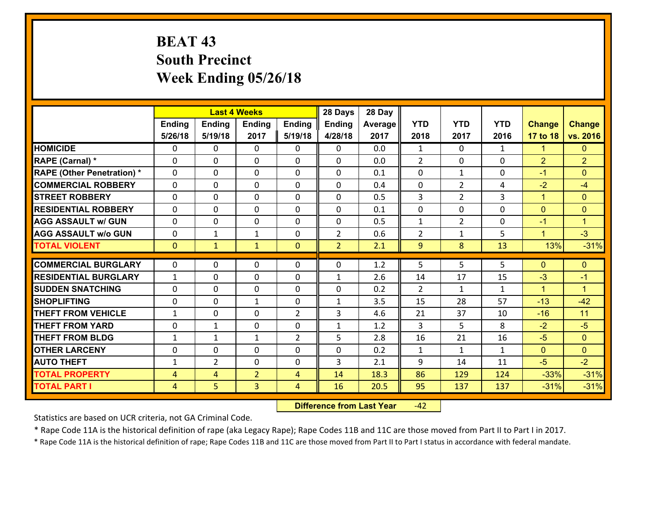# **BEAT 43 South Precinct Week Ending 05/26/18**

|                                   |                |                | <b>Last 4 Weeks</b> |                | 28 Days        | 28 Day  |                |                |              |                |                      |
|-----------------------------------|----------------|----------------|---------------------|----------------|----------------|---------|----------------|----------------|--------------|----------------|----------------------|
|                                   | Ending         | <b>Ending</b>  | <b>Ending</b>       | Ending         | <b>Ending</b>  | Average | <b>YTD</b>     | <b>YTD</b>     | <b>YTD</b>   | <b>Change</b>  | <b>Change</b>        |
|                                   | 5/26/18        | 5/19/18        | 2017                | 5/19/18        | 4/28/18        | 2017    | 2018           | 2017           | 2016         | 17 to 18       | vs. 2016             |
| <b>HOMICIDE</b>                   | $\Omega$       | 0              | $\Omega$            | 0              | $\Omega$       | 0.0     | 1              | $\Omega$       | $\mathbf{1}$ | $\mathbf{1}$   | $\mathbf{0}$         |
| RAPE (Carnal) *                   | 0              | 0              | $\mathbf{0}$        | 0              | 0              | 0.0     | 2              | 0              | 0            | $\overline{2}$ | $\overline{2}$       |
| <b>RAPE (Other Penetration) *</b> | $\Omega$       | 0              | $\mathbf{0}$        | $\Omega$       | 0              | 0.1     | $\Omega$       | $\mathbf{1}$   | $\Omega$     | $-1$           | $\Omega$             |
| <b>COMMERCIAL ROBBERY</b>         | 0              | 0              | 0                   | 0              | 0              | 0.4     | $\mathbf{0}$   | $\overline{2}$ | 4            | $-2$           | $-4$                 |
| <b>STREET ROBBERY</b>             | $\Omega$       | 0              | $\mathbf 0$         | 0              | 0              | 0.5     | $\overline{3}$ | $\overline{2}$ | 3            | $\mathbf{1}$   | $\mathbf{0}$         |
| <b>RESIDENTIAL ROBBERY</b>        | $\Omega$       | $\Omega$       | $\mathbf 0$         | $\Omega$       | 0              | 0.1     | $\mathbf 0$    | 0              | $\Omega$     | $\mathbf{0}$   | $\overline{0}$       |
| <b>AGG ASSAULT w/ GUN</b>         | $\Omega$       | 0              | $\mathbf 0$         | 0              | 0              | 0.5     | $\mathbf 1$    | $\overline{2}$ | 0            | $-1$           | $\blacktriangleleft$ |
| <b>AGG ASSAULT w/o GUN</b>        | 0              | 1              | $\mathbf{1}$        | 0              | $\overline{2}$ | 0.6     | $\overline{2}$ | $\mathbf{1}$   | 5            | $\mathbf{1}$   | $-3$                 |
| <b>TOTAL VIOLENT</b>              | $\mathbf{0}$   | $\mathbf{1}$   | $\mathbf{1}$        | $\mathbf{0}$   | $\overline{2}$ | 2.1     | 9              | 8              | 13           | 13%            | $-31%$               |
| <b>COMMERCIAL BURGLARY</b>        | $\Omega$       | 0              | $\mathbf{0}$        | $\Omega$       | $\Omega$       | 1.2     | 5              | 5.             | 5            | $\mathbf{0}$   | $\mathbf{0}$         |
|                                   |                |                |                     |                |                |         |                |                |              |                |                      |
| <b>RESIDENTIAL BURGLARY</b>       | $\mathbf{1}$   | 0              | $\mathbf 0$         | 0              | $\mathbf{1}$   | 2.6     | 14             | 17             | 15           | $-3$           | $-1$                 |
| <b>SUDDEN SNATCHING</b>           | 0              | 0              | $\mathbf 0$         | 0              | 0              | 0.2     | 2              | $\mathbf{1}$   | $\mathbf{1}$ | $\mathbf{1}$   | $\blacktriangleleft$ |
| <b>SHOPLIFTING</b>                | 0              | 0              | 1                   | 0              | $\mathbf{1}$   | 3.5     | 15             | 28             | 57           | $-13$          | $-42$                |
| <b>THEFT FROM VEHICLE</b>         | $\mathbf{1}$   | 0              | $\mathbf 0$         | $\overline{2}$ | 3              | 4.6     | 21             | 37             | 10           | $-16$          | 11                   |
| <b>THEFT FROM YARD</b>            | $\mathbf 0$    | $\mathbf 1$    | $\mathbf 0$         | 0              | $\mathbf{1}$   | 1.2     | 3              | 5              | 8            | $-2$           | $-5$                 |
| <b>THEFT FROM BLDG</b>            | $\mathbf{1}$   | 1              | 1                   | $\overline{2}$ | 5              | 2.8     | 16             | 21             | 16           | $-5$           | $\overline{0}$       |
| <b>OTHER LARCENY</b>              | 0              | 0              | $\mathbf 0$         | 0              | 0              | 0.2     | $\mathbf{1}$   | $\mathbf{1}$   | $\mathbf{1}$ | $\mathbf{0}$   | $\overline{0}$       |
| <b>AUTO THEFT</b>                 | $\mathbf{1}$   | $\overline{2}$ | $\mathbf{0}$        | 0              | 3              | 2.1     | 9              | 14             | 11           | $-5$           | $-2$                 |
| <b>TOTAL PROPERTY</b>             | $\overline{4}$ | $\overline{4}$ | $\overline{2}$      | 4              | 14             | 18.3    | 86             | 129            | 124          | $-33%$         | $-31%$               |
| <b>TOTAL PART I</b>               | $\overline{4}$ | 5              | 3                   | $\overline{4}$ | 16             | 20.5    | 95             | 137            | 137          | $-31%$         | $-31%$               |

 **Difference from Last Year**r -42

Statistics are based on UCR criteria, not GA Criminal Code.

\* Rape Code 11A is the historical definition of rape (aka Legacy Rape); Rape Codes 11B and 11C are those moved from Part II to Part I in 2017.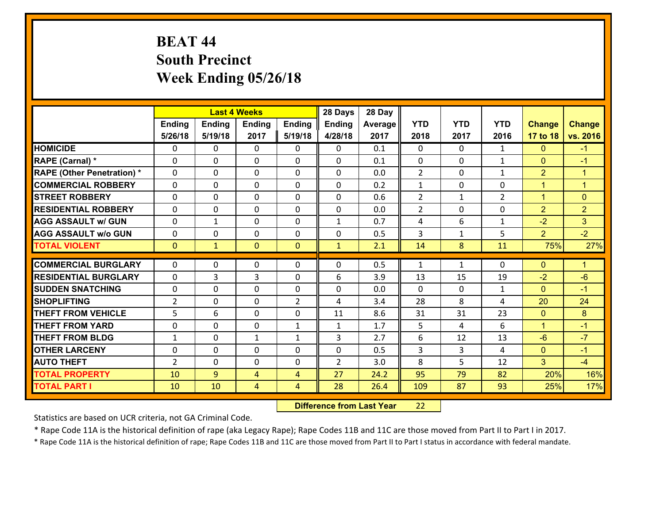# **BEAT 44 South Precinct Week Ending 05/26/18**

|                                              |                |               | <b>Last 4 Weeks</b>              |                     | 28 Days        | 28 Day       |                |              |                |                |                      |
|----------------------------------------------|----------------|---------------|----------------------------------|---------------------|----------------|--------------|----------------|--------------|----------------|----------------|----------------------|
|                                              | Ending         | <b>Ending</b> | <b>Ending</b>                    | <b>Ending</b>       | <b>Ending</b>  | Average      | <b>YTD</b>     | <b>YTD</b>   | <b>YTD</b>     | <b>Change</b>  | <b>Change</b>        |
|                                              | 5/26/18        | 5/19/18       | 2017                             | 5/19/18             | 4/28/18        | 2017         | 2018           | 2017         | 2016           | 17 to 18       | vs. 2016             |
| <b>HOMICIDE</b>                              | 0              | 0             | $\mathbf{0}$                     | 0                   | 0              | 0.1          | $\Omega$       | $\Omega$     | $\mathbf{1}$   | $\mathbf{0}$   | $-1$                 |
| RAPE (Carnal) *                              | $\Omega$       | 0             | $\mathbf{0}$                     | 0                   | 0              | 0.1          | $\mathbf{0}$   | $\Omega$     | $\mathbf{1}$   | $\mathbf{0}$   | $-1$                 |
| <b>RAPE (Other Penetration) *</b>            | $\Omega$       | $\Omega$      | $\Omega$                         | $\Omega$            | $\Omega$       | 0.0          | 2              | $\Omega$     | $\mathbf{1}$   | $\overline{2}$ | $\blacktriangleleft$ |
| <b>COMMERCIAL ROBBERY</b>                    | 0              | 0             | $\mathbf 0$                      | 0                   | 0              | 0.2          | $\mathbf{1}$   | $\mathbf{0}$ | 0              | $\mathbf{1}$   | $\mathbf{1}$         |
| <b>STREET ROBBERY</b>                        | $\Omega$       | 0             | $\mathbf 0$                      | $\Omega$            | 0              | 0.6          | $\overline{2}$ | $\mathbf{1}$ | $\overline{2}$ | $\mathbf{1}$   | $\mathbf{0}$         |
| <b>RESIDENTIAL ROBBERY</b>                   | $\Omega$       | $\Omega$      | $\mathbf 0$                      | $\Omega$            | 0              | 0.0          | $\overline{2}$ | $\Omega$     | 0              | 2              | 2 <sup>1</sup>       |
| <b>AGG ASSAULT w/ GUN</b>                    | $\Omega$       | $\mathbf 1$   | $\mathbf 0$                      | $\Omega$            | $\mathbf{1}$   | 0.7          | 4              | 6            | $\mathbf{1}$   | $-2$           | 3                    |
| <b>AGG ASSAULT w/o GUN</b>                   | 0              | 0             | $\mathbf 0$                      | 0                   | 0              | 0.5          | 3              | $\mathbf{1}$ | 5              | $\overline{2}$ | $-2$                 |
| <b>TOTAL VIOLENT</b>                         | $\mathbf{0}$   | $\mathbf{1}$  | $\mathbf{0}$                     | $\mathbf{0}$        | $\mathbf{1}$   | 2.1          | 14             | 8            | 11             | 75%            | 27%                  |
| <b>COMMERCIAL BURGLARY</b>                   | $\Omega$       |               |                                  |                     |                |              |                |              |                |                |                      |
|                                              |                |               |                                  |                     |                |              |                |              |                |                |                      |
|                                              |                | 0             | 0                                | 0                   | $\Omega$       | 0.5          | 1              | $\mathbf{1}$ | $\Omega$       | $\mathbf{0}$   | $\mathbf{1}$         |
| <b>RESIDENTIAL BURGLARY</b>                  | $\Omega$       | 3             | 3                                | 0                   | 6              | 3.9          | 13             | 15           | 19             | $-2$           | $-6$                 |
| <b>SUDDEN SNATCHING</b>                      | 0              | 0             | $\mathbf{0}$                     | $\Omega$            | $\Omega$       | 0.0          | $\Omega$       | $\Omega$     | $\mathbf{1}$   | $\mathbf{0}$   | $-1$                 |
| <b>SHOPLIFTING</b>                           | $\overline{2}$ | 0             | $\mathbf 0$                      | $\overline{2}$      | 4              | 3.4          | 28             | 8            | 4              | 20             | 24                   |
| <b>THEFT FROM VEHICLE</b>                    | 5              | 6             | $\mathbf{0}$                     | $\Omega$            | 11             | 8.6          | 31             | 31           | 23             | $\mathbf{0}$   | 8                    |
| <b>THEFT FROM YARD</b>                       | 0              | 0             | $\mathbf 0$                      | $\mathbf{1}$        | $\mathbf{1}$   | 1.7          | 5              | 4            | 6              | $\mathbf{1}$   | $-1$                 |
| <b>THEFT FROM BLDG</b>                       | $\mathbf{1}$   | 0             | $\mathbf{1}$                     | $\mathbf{1}$        | 3              | 2.7          | 6              | 12           | 13             | $-6$           | $-7$                 |
| <b>OTHER LARCENY</b>                         | 0              | 0             | $\mathbf 0$                      | 0                   | 0              | 0.5          | $\overline{3}$ | 3            | 4              | $\mathbf{0}$   | $-1$                 |
| <b>AUTO THEFT</b>                            | $\overline{2}$ | 0             | $\mathbf 0$                      | 0                   | $\overline{2}$ | 3.0          | 8              | 5            | 12             | 3              | $-4$                 |
| <b>TOTAL PROPERTY</b><br><b>TOTAL PART I</b> | 10<br>10       | 9<br>10       | $\overline{4}$<br>$\overline{4}$ | $\overline{4}$<br>4 | 27<br>28       | 24.2<br>26.4 | 95<br>109      | 79<br>87     | 82<br>93       | 20%<br>25%     | 16%<br>17%           |

 **Difference from Last Year**r 22

Statistics are based on UCR criteria, not GA Criminal Code.

\* Rape Code 11A is the historical definition of rape (aka Legacy Rape); Rape Codes 11B and 11C are those moved from Part II to Part I in 2017.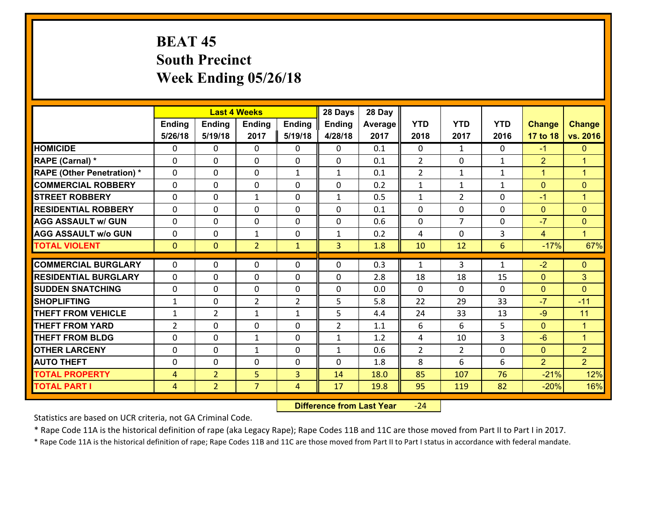# **BEAT 45 South Precinct Week Ending 05/26/18**

|                                              |                                  |                                  | <b>Last 4 Weeks</b> |                | 28 Days        | 28 Day       |                |                |              |                  |                      |
|----------------------------------------------|----------------------------------|----------------------------------|---------------------|----------------|----------------|--------------|----------------|----------------|--------------|------------------|----------------------|
|                                              | Ending                           | <b>Ending</b>                    | Ending              | <b>Ending</b>  | <b>Ending</b>  | Average      | <b>YTD</b>     | <b>YTD</b>     | <b>YTD</b>   | <b>Change</b>    | <b>Change</b>        |
|                                              | 5/26/18                          | 5/19/18                          | 2017                | 5/19/18        | 4/28/18        | 2017         | 2018           | 2017           | 2016         | 17 to 18         | vs. 2016             |
| <b>HOMICIDE</b>                              | $\Omega$                         | 0                                | $\Omega$            | 0              | 0              | 0.1          | $\Omega$       | $\mathbf{1}$   | $\Omega$     | $-1$             | $\mathbf{0}$         |
| RAPE (Carnal) *                              | 0                                | 0                                | $\mathbf{0}$        | 0              | 0              | 0.1          | $\overline{2}$ | $\mathbf{0}$   | $\mathbf{1}$ | $\overline{2}$   | $\blacktriangleleft$ |
| <b>RAPE (Other Penetration) *</b>            | $\Omega$                         | 0                                | $\mathbf{0}$        | $\mathbf{1}$   | $\mathbf{1}$   | 0.1          | $\overline{2}$ | $\mathbf{1}$   | $\mathbf{1}$ | $\mathbf{1}$     | $\blacktriangleleft$ |
| <b>COMMERCIAL ROBBERY</b>                    | 0                                | 0                                | 0                   | $\Omega$       | $\Omega$       | 0.2          | $\mathbf{1}$   | $\mathbf{1}$   | $\mathbf{1}$ | $\mathbf{0}$     | $\mathbf{0}$         |
| <b>STREET ROBBERY</b>                        | $\Omega$                         | 0                                | $\mathbf{1}$        | $\Omega$       | $\mathbf{1}$   | 0.5          | $\mathbf{1}$   | $\overline{2}$ | $\Omega$     | $-1$             | $\blacktriangleleft$ |
| <b>RESIDENTIAL ROBBERY</b>                   | $\Omega$                         | 0                                | $\mathbf 0$         | $\Omega$       | 0              | 0.1          | 0              | $\Omega$       | 0            | $\mathbf{0}$     | $\mathbf{0}$         |
| <b>AGG ASSAULT w/ GUN</b>                    | $\Omega$                         | 0                                | $\mathbf 0$         | $\Omega$       | 0              | 0.6          | 0              | $\overline{7}$ | $\Omega$     | $-7$             | $\overline{0}$       |
| <b>AGG ASSAULT w/o GUN</b>                   | 0                                | 0                                | $\mathbf{1}$        | 0              | $\mathbf{1}$   | 0.2          | 4              | $\mathbf 0$    | 3            | $\overline{4}$   | $\blacklozenge$      |
| <b>TOTAL VIOLENT</b>                         | $\mathbf{0}$                     | $\overline{0}$                   | $\overline{2}$      | $\mathbf{1}$   | $\overline{3}$ | 1.8          | 10             | 12             | 6            | $-17%$           | 67%                  |
| <b>COMMERCIAL BURGLARY</b>                   | $\Omega$                         | 0                                | $\mathbf{0}$        | 0              | $\Omega$       | 0.3          | 1              | 3              | $\mathbf{1}$ | $-2$             | $\mathbf{0}$         |
|                                              |                                  |                                  |                     |                |                |              |                |                |              |                  |                      |
|                                              |                                  |                                  |                     |                |                |              |                |                |              |                  |                      |
| <b>RESIDENTIAL BURGLARY</b>                  | $\Omega$                         | 0                                | $\mathbf{0}$        | $\Omega$       | $\Omega$       | 2.8          | 18             | 18             | 15           | $\mathbf{0}$     | 3                    |
| <b>SUDDEN SNATCHING</b>                      | 0                                | 0                                | $\mathbf 0$         | 0              | 0              | 0.0          | $\Omega$       | $\Omega$       | $\Omega$     | $\mathbf{0}$     | $\Omega$             |
| <b>SHOPLIFTING</b>                           | $\mathbf{1}$                     | $\Omega$                         | $\overline{2}$      | $\overline{2}$ | 5              | 5.8          | 22             | 29             | 33           | $-7$             | $-11$                |
| <b>THEFT FROM VEHICLE</b>                    | $\mathbf{1}$                     | $\overline{2}$                   | 1                   | $\mathbf{1}$   | 5              | 4.4          | 24             | 33             | 13           | $-9$             | 11                   |
| <b>THEFT FROM YARD</b>                       | $\overline{2}$                   | 0                                | $\mathbf 0$         | 0              | $\overline{2}$ | 1.1          | 6              | 6              | 5            | $\mathbf{0}$     | $\mathbf{1}$         |
| <b>THEFT FROM BLDG</b>                       | 0                                | 0                                | 1                   | 0              | $\mathbf{1}$   | 1.2          | 4              | 10             | 3            | $-6$             | $\mathbf{1}$         |
| <b>OTHER LARCENY</b>                         | $\mathbf 0$                      | 0                                | 1                   | 0              | $\mathbf{1}$   | 0.6          | $\overline{2}$ | $\overline{2}$ | 0            | $\overline{0}$   | $\overline{2}$       |
| <b>AUTO THEFT</b>                            | 0                                | 0                                | 0                   | 0              | 0              | 1.8          | 8              | 6              | 6            | $\overline{2}$   | 2 <sup>1</sup>       |
| <b>TOTAL PROPERTY</b><br><b>TOTAL PART I</b> | $\overline{4}$<br>$\overline{4}$ | $\overline{2}$<br>$\overline{2}$ | 5<br>$\overline{7}$ | 3<br>4         | 14<br>17       | 18.0<br>19.8 | 85<br>95       | 107<br>119     | 76<br>82     | $-21%$<br>$-20%$ | 12%<br>16%           |

 **Difference from Last Year**‐24

Statistics are based on UCR criteria, not GA Criminal Code.

\* Rape Code 11A is the historical definition of rape (aka Legacy Rape); Rape Codes 11B and 11C are those moved from Part II to Part I in 2017.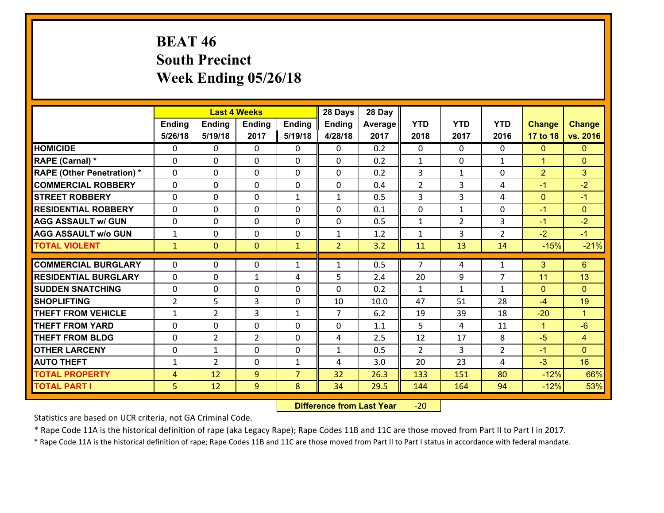# **BEAT 46 South Precinct Week Ending 05/26/18**

|                                   |                |                | <b>Last 4 Weeks</b> |                | 28 Days        | 28 Day         |                |                |                |                |                      |
|-----------------------------------|----------------|----------------|---------------------|----------------|----------------|----------------|----------------|----------------|----------------|----------------|----------------------|
|                                   | <b>Ending</b>  | <b>Ending</b>  | <b>Ending</b>       | Ending         | <b>Ending</b>  | <b>Average</b> | <b>YTD</b>     | <b>YTD</b>     | <b>YTD</b>     | <b>Change</b>  | <b>Change</b>        |
|                                   | 5/26/18        | 5/19/18        | 2017                | 5/19/18        | 4/28/18        | 2017           | 2018           | 2017           | 2016           | 17 to 18       | vs. 2016             |
| <b>HOMICIDE</b>                   | 0              | 0              | $\Omega$            | 0              | 0              | 0.2            | $\Omega$       | $\Omega$       | 0              | $\mathbf{0}$   | $\mathbf{0}$         |
| RAPE (Carnal) *                   | $\Omega$       | 0              | $\mathbf{0}$        | $\Omega$       | 0              | 0.2            | $\mathbf{1}$   | $\mathbf{0}$   | $\mathbf{1}$   | $\mathbf{1}$   | $\mathbf{0}$         |
| <b>RAPE (Other Penetration) *</b> | 0              | 0              | $\mathbf{0}$        | $\Omega$       | 0              | 0.2            | 3              | $\mathbf{1}$   | 0              | $\overline{2}$ | 3                    |
| <b>COMMERCIAL ROBBERY</b>         | 0              | 0              | $\mathbf{0}$        | $\Omega$       | 0              | 0.4            | $\overline{2}$ | 3              | 4              | $-1$           | $-2$                 |
| <b>STREET ROBBERY</b>             | 0              | 0              | $\mathbf 0$         | $\mathbf{1}$   | 1              | 0.5            | 3              | 3              | 4              | $\mathbf{0}$   | $-1$                 |
| <b>RESIDENTIAL ROBBERY</b>        | $\Omega$       | $\Omega$       | $\mathbf{0}$        | 0              | $\mathbf{0}$   | 0.1            | $\mathbf{0}$   | $\mathbf{1}$   | $\Omega$       | $-1$           | $\mathbf{0}$         |
| <b>AGG ASSAULT w/ GUN</b>         | 0              | 0              | $\mathbf 0$         | 0              | 0              | 0.5            | $\mathbf{1}$   | $\overline{2}$ | 3              | $-1$           | $-2$                 |
| <b>AGG ASSAULT W/o GUN</b>        | $\mathbf{1}$   | 0              | 0                   | $\Omega$       | $\mathbf{1}$   | 1.2            | $\mathbf{1}$   | $\overline{3}$ | $\overline{2}$ | $-2$           | $-1$                 |
| <b>TOTAL VIOLENT</b>              | $\mathbf{1}$   | $\overline{0}$ | $\mathbf{0}$        | $\mathbf{1}$   | $\overline{2}$ | 3.2            | 11             | 13             | 14             | $-15%$         | $-21%$               |
| <b>COMMERCIAL BURGLARY</b>        | 0              | 0              | $\mathbf{0}$        | $\mathbf{1}$   | $\mathbf{1}$   | 0.5            | $\overline{7}$ | 4              | $\mathbf{1}$   | 3              | 6                    |
| <b>RESIDENTIAL BURGLARY</b>       | 0              | 0              | $\mathbf{1}$        | 4              | 5              | 2.4            | 20             | 9              | $\overline{7}$ | 11             | 13                   |
| <b>SUDDEN SNATCHING</b>           | 0              | 0              | $\mathbf 0$         | $\Omega$       | 0              | 0.2            | $\mathbf{1}$   | $\mathbf{1}$   | $\mathbf{1}$   | $\mathbf{0}$   | $\Omega$             |
| <b>SHOPLIFTING</b>                | $\overline{2}$ | 5              | 3                   | 0              | 10             | 10.0           | 47             | 51             | 28             | $-4$           | 19                   |
| <b>THEFT FROM VEHICLE</b>         | $\mathbf{1}$   | $\overline{2}$ | 3                   | $\mathbf{1}$   | $\overline{7}$ | 6.2            | 19             | 39             | 18             | $-20$          | $\blacktriangleleft$ |
| <b>THEFT FROM YARD</b>            | 0              | $\mathbf 0$    | 0                   | $\Omega$       | 0              | 1.1            | 5              | 4              | 11             | $\mathbf{1}$   | $-6$                 |
| <b>THEFT FROM BLDG</b>            | 0              | $\overline{2}$ | $\overline{2}$      | $\Omega$       | 4              | 2.5            | 12             | 17             | 8              | $-5$           | $\overline{4}$       |
| <b>OTHER LARCENY</b>              | 0              | $\mathbf{1}$   | 0                   | $\Omega$       | $\mathbf{1}$   | 0.5            | $\overline{2}$ | $\overline{3}$ | $\overline{2}$ | $-1$           | $\overline{0}$       |
| <b>AUTO THEFT</b>                 | $\mathbf{1}$   | $\overline{2}$ | 0                   | $\mathbf{1}$   | 4              | 3.0            | 20             | 23             | 4              | $-3$           | 16                   |
| <b>TOTAL PROPERTY</b>             | 4              | 12             | 9                   | $\overline{7}$ | 32             | 26.3           | 133            | 151            | 80             | $-12%$         | 66%                  |
| <b>TOTAL PART I</b>               | 5              | 12             | 9                   | 8              | 34             | 29.5           | 144            | 164            | 94             | $-12%$         | 53%                  |

 **Difference from Last Year**‐20

Statistics are based on UCR criteria, not GA Criminal Code.

\* Rape Code 11A is the historical definition of rape (aka Legacy Rape); Rape Codes 11B and 11C are those moved from Part II to Part I in 2017.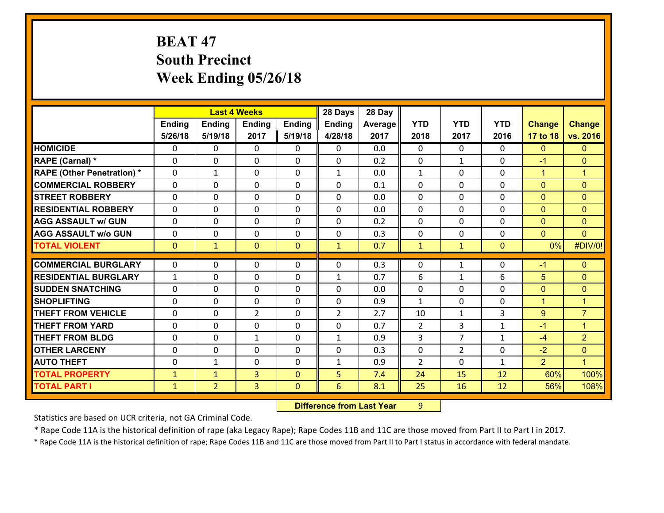# **BEAT 47 South Precinct Week Ending 05/26/18**

|                                   |              |                | <b>Last 4 Weeks</b> |               | 28 Days        | 28 Day  |                |                |              |                |                      |
|-----------------------------------|--------------|----------------|---------------------|---------------|----------------|---------|----------------|----------------|--------------|----------------|----------------------|
|                                   | Ending       | <b>Ending</b>  | <b>Ending</b>       | <b>Ending</b> | <b>Ending</b>  | Average | <b>YTD</b>     | <b>YTD</b>     | <b>YTD</b>   | <b>Change</b>  | <b>Change</b>        |
|                                   | 5/26/18      | 5/19/18        | 2017                | 5/19/18       | 4/28/18        | 2017    | 2018           | 2017           | 2016         | 17 to 18       | vs. 2016             |
| <b>HOMICIDE</b>                   | $\Omega$     | 0              | $\Omega$            | 0             | 0              | 0.0     | $\Omega$       | $\Omega$       | 0            | $\mathbf{0}$   | $\mathbf{0}$         |
| RAPE (Carnal) *                   | $\Omega$     | 0              | $\mathbf{0}$        | 0             | 0              | 0.2     | $\mathbf{0}$   | $\mathbf{1}$   | 0            | $-1$           | $\mathbf{0}$         |
| <b>RAPE (Other Penetration) *</b> | $\Omega$     | $\mathbf{1}$   | $\mathbf 0$         | $\Omega$      | $\mathbf{1}$   | 0.0     | $\mathbf{1}$   | $\Omega$       | $\Omega$     | $\mathbf{1}$   | $\blacktriangleleft$ |
| <b>COMMERCIAL ROBBERY</b>         | 0            | 0              | $\mathbf 0$         | 0             | 0              | 0.1     | 0              | 0              | 0            | $\mathbf{0}$   | $\mathbf{0}$         |
| <b>STREET ROBBERY</b>             | $\Omega$     | 0              | $\Omega$            | $\Omega$      | $\Omega$       | 0.0     | $\Omega$       | $\Omega$       | $\Omega$     | $\mathbf{0}$   | $\mathbf{0}$         |
| <b>RESIDENTIAL ROBBERY</b>        | 0            | 0              | $\mathbf{0}$        | 0             | $\Omega$       | 0.0     | $\mathbf{0}$   | 0              | $\Omega$     | $\mathbf{0}$   | $\mathbf{0}$         |
| <b>AGG ASSAULT w/ GUN</b>         | $\Omega$     | 0              | $\mathbf{0}$        | $\Omega$      | $\Omega$       | 0.2     | $\Omega$       | $\Omega$       | $\Omega$     | $\mathbf{0}$   | $\mathbf{0}$         |
| <b>AGG ASSAULT w/o GUN</b>        | 0            | 0              | $\mathbf 0$         | $\Omega$      | 0              | 0.3     | 0              | 0              | $\Omega$     | $\mathbf{0}$   | $\Omega$             |
| <b>TOTAL VIOLENT</b>              | $\mathbf{0}$ | $\mathbf{1}$   | $\mathbf{0}$        | $\mathbf{0}$  | $\mathbf{1}$   | 0.7     | $\mathbf{1}$   | $\mathbf{1}$   | $\mathbf{0}$ | 0%             | #DIV/0!              |
|                                   |              |                |                     |               |                |         |                |                |              |                |                      |
| <b>COMMERCIAL BURGLARY</b>        | 0            | 0              | 0                   | 0             | 0              | 0.3     | 0              | $\mathbf{1}$   | 0            | $-1$           | $\mathbf{0}$         |
| <b>RESIDENTIAL BURGLARY</b>       | 1            | 0              | $\mathbf{0}$        | 0             | 1              | 0.7     | 6              | $\mathbf{1}$   | 6            | 5              | $\mathbf{0}$         |
|                                   |              |                |                     |               |                |         |                |                |              |                | $\mathbf{0}$         |
| <b>SUDDEN SNATCHING</b>           | 0            | 0              | $\mathbf 0$         | 0             | 0              | 0.0     | $\mathbf 0$    | 0              | 0            | $\mathbf{0}$   |                      |
| <b>SHOPLIFTING</b>                | 0            | 0              | $\mathbf 0$         | 0             | 0              | 0.9     | $\mathbf{1}$   | $\Omega$       | 0            | $\overline{1}$ | $\overline{1}$       |
| <b>THEFT FROM VEHICLE</b>         | 0            | 0              | $\overline{2}$      | 0             | $\overline{2}$ | 2.7     | 10             | $\mathbf{1}$   | 3            | 9              | $\overline{7}$       |
| <b>THEFT FROM YARD</b>            | 0            | 0              | $\mathbf{0}$        | 0             | 0              | 0.7     | 2              | 3              | $\mathbf{1}$ | $-1$           | $\blacktriangleleft$ |
| <b>THEFT FROM BLDG</b>            | 0            | 0              | $\mathbf{1}$        | 0             | $\mathbf{1}$   | 0.9     | 3              | $\overline{7}$ | $\mathbf{1}$ | $-4$           | $\overline{2}$       |
| <b>OTHER LARCENY</b>              | $\mathbf{0}$ | 0              | $\mathbf{0}$        | 0             | 0              | 0.3     | 0              | $\overline{2}$ | $\Omega$     | $-2$           | $\mathbf{0}$         |
| <b>AUTO THEFT</b>                 | 0            | 1              | $\mathbf{0}$        | $\Omega$      | $\mathbf{1}$   | 0.9     | $\overline{2}$ | $\Omega$       | $\mathbf{1}$ | $\overline{2}$ | $\blacktriangleleft$ |
| <b>TOTAL PROPERTY</b>             | $\mathbf{1}$ | $\mathbf{1}$   | 3                   | $\Omega$      | 5 <sub>1</sub> | 7.4     | 24             | 15             | 12           | 60%            | 100%                 |
| <b>TOTAL PART I</b>               | $\mathbf{1}$ | $\overline{2}$ | 3                   | $\mathbf{0}$  | 6              | 8.1     | 25             | 16             | 12           | 56%            | 108%                 |

 **Difference from Last Year**r 9

Statistics are based on UCR criteria, not GA Criminal Code.

\* Rape Code 11A is the historical definition of rape (aka Legacy Rape); Rape Codes 11B and 11C are those moved from Part II to Part I in 2017.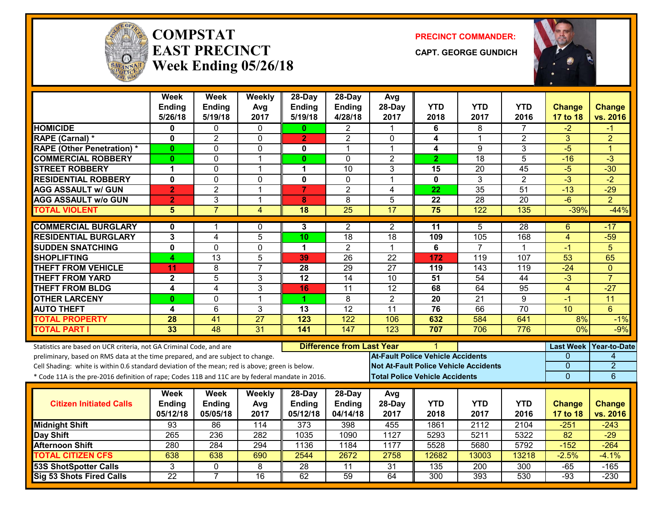

#### **COMPSTATEAST PRECINCTWeek Ending 05/26/18**

**PRECINCT COMMANDER:**

**CAPT. GEORGE GUNDICH**



|                                                                                                  | <b>Week</b><br>Ending   | <b>Week</b><br><b>Ending</b> | Weekly<br>Avg   | 28-Day<br>Ending | 28-Day<br>Ending                 | Avg<br>28-Day    | <b>YTD</b>                                   | <b>YTD</b>       | <b>YTD</b>      | <b>Change</b>   | <b>Change</b>          |
|--------------------------------------------------------------------------------------------------|-------------------------|------------------------------|-----------------|------------------|----------------------------------|------------------|----------------------------------------------|------------------|-----------------|-----------------|------------------------|
|                                                                                                  | 5/26/18                 | 5/19/18                      | 2017            | 5/19/18          | 4/28/18                          | 2017             | 2018                                         | 2017             | 2016            | 17 to 18        | vs. 2016               |
| <b>HOMICIDE</b>                                                                                  | 0                       | 0                            | $\Omega$        | 0                | $\overline{2}$                   | -1               | 6                                            | 8                | 7               | $-2$            | -1                     |
| <b>RAPE (Carnal) *</b>                                                                           | $\mathbf 0$             | $\overline{2}$               | $\mathbf 0$     | $\overline{2}$   | $\overline{2}$                   | $\Omega$         | 4                                            | $\mathbf 1$      | $\overline{2}$  | 3               | $\overline{2}$         |
| <b>RAPE (Other Penetration) *</b>                                                                | 0                       | 0                            | 0               | 0                | 1                                | $\mathbf{1}$     | 4                                            | $\overline{9}$   | 3               | $-5$            | 1                      |
| <b>COMMERCIAL ROBBERY</b>                                                                        | $\bf{0}$                | 0                            | $\overline{1}$  | $\mathbf{0}$     | $\mathbf{0}$                     | $\overline{2}$   | $\mathbf{2}$                                 | 18               | 5               | $-16$           | $-3$                   |
| <b>STREET ROBBERY</b>                                                                            | $\blacktriangleleft$    | $\overline{0}$               | $\mathbf 1$     | 1                | 10                               | 3                | 15                                           | 20               | 45              | $-5$            | $-30$                  |
| <b>RESIDENTIAL ROBBERY</b>                                                                       | $\mathbf{0}$            | $\mathbf 0$                  | $\mathbf{0}$    | 0                | $\mathbf{0}$                     | $\mathbf 1$      | $\mathbf{0}$                                 | $\overline{3}$   | $\overline{2}$  | $-3$            | $-2$                   |
| <b>AGG ASSAULT w/ GUN</b>                                                                        | $\overline{2}$          | $\overline{2}$               | $\overline{1}$  | $\overline{7}$   | $\overline{2}$                   | 4                | 22                                           | 35               | 51              | $-13$           | $-29$                  |
| <b>AGG ASSAULT W/o GUN</b>                                                                       | $\overline{2}$          | 3                            | $\mathbf{1}$    | 8                | $\overline{8}$                   | $\overline{5}$   | $\overline{22}$                              | 28               | $\overline{20}$ | $-6$            | $\overline{2}$         |
| <b>TOTAL VIOLENT</b>                                                                             | 5                       | $\overline{7}$               | 4               | $\overline{18}$  | $\overline{25}$                  | 17               | 75                                           | 122              | 135             | $-39%$          | $-44%$                 |
| <b>COMMERCIAL BURGLARY</b>                                                                       | $\mathbf{0}$            | 1                            | $\mathbf{0}$    | 3                | $\overline{2}$                   | $\overline{2}$   | 11                                           | 5                | 28              | 6               | -17                    |
| <b>RESIDENTIAL BURGLARY</b>                                                                      | 3                       | $\overline{4}$               | $\overline{5}$  | 10               | 18                               | 18               | 109                                          | 105              | 168             | $\overline{4}$  | $-59$                  |
| <b>SUDDEN SNATCHING</b>                                                                          | $\overline{\mathbf{0}}$ | 0                            | 0               | 1                | $\overline{2}$                   | 1                | 6                                            | $\overline{7}$   | 1               | -1              | $\overline{5}$         |
| <b>SHOPLIFTING</b>                                                                               | 4                       | 13                           | 5               | 39               | 26                               | $\overline{22}$  | 172                                          | 119              | 107             | 53              | 65                     |
| <b>THEFT FROM VEHICLE</b>                                                                        | 11                      | 8                            | $\overline{7}$  | 28               | $\overline{29}$                  | $\overline{27}$  | 119                                          | 143              | 119             | $-24$           | $\mathbf{0}$           |
| <b>THEFT FROM YARD</b>                                                                           | $\overline{2}$          | $\overline{5}$               | 3               | $\overline{12}$  | $\overline{14}$                  | 10               | $\overline{51}$                              | $\overline{54}$  | $\overline{44}$ | $-3$            | $\overline{7}$         |
| <b>THEFT FROM BLDG</b>                                                                           | 4                       | 4                            | 3               | 16               | 11                               | $\overline{12}$  | 68                                           | 64               | 95              | 4               | $-27$                  |
| <b>OTHER LARCENY</b>                                                                             | $\mathbf{0}$            | $\overline{0}$               | $\mathbf{1}$    | 1                | $\overline{8}$                   | $\overline{2}$   | $\overline{20}$                              | $\overline{21}$  | $\overline{9}$  | $-1$            | 11                     |
| <b>AUTO THEFT</b>                                                                                | 4                       | 6                            | 3               | 13               | 12                               | 11               | 76                                           | 66               | 70              | 10              | $6\phantom{1}$         |
| <b>TOTAL PROPERTY</b>                                                                            | 28                      | 41                           | $\overline{27}$ | 123              | 122                              | 106              | 632                                          | 584              | 641             | 8%              | $-1%$                  |
| <b>TOTAL PART I</b>                                                                              | 33                      | 48                           | 31              | 141              | 147                              | $\overline{123}$ | 707                                          | 706              | 776             | 0%              | $-9%$                  |
| Statistics are based on UCR criteria, not GA Criminal Code, and are                              |                         |                              |                 |                  | <b>Difference from Last Year</b> |                  |                                              |                  |                 |                 | Last Week Year-to-Date |
| preliminary, based on RMS data at the time prepared, and are subject to change.                  |                         |                              |                 |                  |                                  |                  | <b>At-Fault Police Vehicle Accidents</b>     |                  |                 | 0               | $\overline{4}$         |
| Cell Shading: white is within 0.6 standard deviation of the mean; red is above; green is below.  |                         |                              |                 |                  |                                  |                  | <b>Not At-Fault Police Vehicle Accidents</b> |                  |                 | 0               | $\overline{2}$         |
| * Code 11A is the pre-2016 definition of rape; Codes 11B and 11C are by federal mandate in 2016. |                         |                              |                 |                  |                                  |                  | <b>Total Police Vehicle Accidents</b>        |                  |                 | $\overline{0}$  | $\overline{6}$         |
|                                                                                                  | Week                    | Week                         | Weekly          | $28$ -Day        | 28-Day                           | Avg              |                                              |                  |                 |                 |                        |
| <b>Citizen Initiated Calls</b>                                                                   | Ending                  | Ending                       | Avg             | <b>Ending</b>    | Ending                           | 28-Day           | <b>YTD</b>                                   | <b>YTD</b>       | <b>YTD</b>      | <b>Change</b>   | <b>Change</b>          |
|                                                                                                  | 05/12/18                | 05/05/18                     | 2017            | 05/12/18         | 04/14/18                         | 2017             | 2018                                         | 2017             | 2016            | 17 to 18        | vs. 2016               |
| <b>Midnight Shift</b>                                                                            | 93                      | 86                           | 114             | $\overline{373}$ | 398                              | 455              | 1861                                         | 2112             | 2104            | $-251$          | $-243$                 |
| <b>Day Shift</b>                                                                                 | 265                     | 236                          | 282             | 1035             | 1090                             | 1127             | 5293                                         | 5211             | 5322            | $\overline{82}$ | $-29$                  |
| <b>Afternoon Shift</b>                                                                           | 280                     | 284                          | 294             | 1136             | 1184                             | 1177             | 5528                                         | 5680             | 5792            | $-152$          | $-264$                 |
| <b>TOTAL CITIZEN CFS</b>                                                                         | 638                     | 638                          | 690             | 2544             | 2672                             | 2758             | 12682                                        | 13003            | 13218           | $-2.5%$         | $-4.1%$                |
| <b>53S ShotSpotter Calls</b>                                                                     | 3                       | 0                            | 8               | 28               | 11                               | 31               | 135                                          | $\overline{200}$ | 300             | $-65$           | $-165$                 |
| Sig 53 Shots Fired Calls                                                                         | $\overline{22}$         | $\overline{7}$               | $\overline{16}$ | 62               | 59                               | 64               | 300                                          | 393              | 530             | $-93$           | $-230$                 |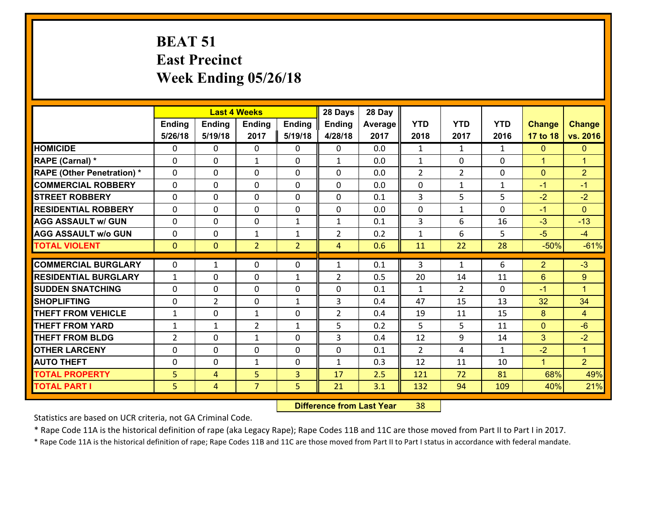# **BEAT 51 East Precinct Week Ending 05/26/18**

|                                              |                     |                     | <b>Last 4 Weeks</b> |                | 28 Days        | 28 Day     |                |                |              |                |                      |
|----------------------------------------------|---------------------|---------------------|---------------------|----------------|----------------|------------|----------------|----------------|--------------|----------------|----------------------|
|                                              | Ending              | <b>Ending</b>       | <b>Ending</b>       | <b>Ending</b>  | <b>Ending</b>  | Average    | <b>YTD</b>     | <b>YTD</b>     | <b>YTD</b>   | <b>Change</b>  | <b>Change</b>        |
|                                              | 5/26/18             | 5/19/18             | 2017                | 5/19/18        | 4/28/18        | 2017       | 2018           | 2017           | 2016         | 17 to 18       | vs. 2016             |
| <b>HOMICIDE</b>                              | $\Omega$            | 0                   | 0                   | 0              | 0              | 0.0        | $\mathbf{1}$   | $\mathbf{1}$   | $\mathbf{1}$ | $\mathbf{0}$   | $\mathbf{0}$         |
| RAPE (Carnal) *                              | 0                   | 0                   | 1                   | 0              | $\mathbf{1}$   | 0.0        | $\mathbf{1}$   | 0              | 0            | $\mathbf{1}$   | $\blacktriangleleft$ |
| <b>RAPE (Other Penetration) *</b>            | $\Omega$            | 0                   | $\mathbf{0}$        | 0              | $\Omega$       | 0.0        | $\overline{2}$ | $\overline{2}$ | $\Omega$     | $\mathbf{0}$   | $\overline{2}$       |
| <b>COMMERCIAL ROBBERY</b>                    | $\Omega$            | 0                   | $\mathbf{0}$        | $\Omega$       | $\Omega$       | 0.0        | $\Omega$       | $\mathbf{1}$   | $\mathbf{1}$ | $-1$           | $-1$                 |
| <b>STREET ROBBERY</b>                        | $\Omega$            | 0                   | $\mathbf{0}$        | $\Omega$       | $\Omega$       | 0.1        | 3              | 5              | 5            | $-2$           | $-2$                 |
| <b>RESIDENTIAL ROBBERY</b>                   | $\Omega$            | 0                   | $\mathbf{0}$        | $\Omega$       | $\Omega$       | 0.0        | $\Omega$       | $\mathbf{1}$   | $\Omega$     | $-1$           | $\Omega$             |
| <b>AGG ASSAULT w/ GUN</b>                    | 0                   | 0                   | $\mathbf 0$         | $\mathbf{1}$   | $\mathbf{1}$   | 0.1        | 3              | 6              | 16           | $-3$           | $-13$                |
| <b>AGG ASSAULT w/o GUN</b>                   | 0                   | 0                   | 1                   | $\mathbf{1}$   | $\overline{2}$ | 0.2        | $\mathbf{1}$   | 6              | 5            | $-5$           | $-4$                 |
| <b>TOTAL VIOLENT</b>                         | $\mathbf{0}$        | $\overline{0}$      | $\overline{2}$      | $\overline{2}$ | $\overline{4}$ | 0.6        | 11             | 22             | 28           | $-50%$         | $-61%$               |
| <b>COMMERCIAL BURGLARY</b>                   | $\mathbf{0}$        | 1                   | 0                   | 0              | $\mathbf{1}$   | 0.1        | 3              | $\mathbf{1}$   | 6            | $\overline{2}$ | $-3$                 |
| <b>RESIDENTIAL BURGLARY</b>                  | $\mathbf{1}$        | 0                   | $\mathbf 0$         | $\mathbf{1}$   | $\overline{2}$ | 0.5        | 20             | 14             | 11           | 6              | 9                    |
| <b>SUDDEN SNATCHING</b>                      | $\Omega$            | 0                   | $\mathbf{0}$        | 0              | $\Omega$       | 0.1        | $\mathbf{1}$   | $\overline{2}$ | $\Omega$     | $-1$           | $\blacktriangleleft$ |
| <b>SHOPLIFTING</b>                           | $\Omega$            | $\overline{2}$      | $\mathbf 0$         | $\mathbf{1}$   | 3              | 0.4        | 47             | 15             | 13           | 32             | 34                   |
| <b>THEFT FROM VEHICLE</b>                    |                     |                     |                     |                |                |            |                |                |              |                |                      |
|                                              |                     |                     |                     |                |                |            |                |                |              |                |                      |
|                                              | $\mathbf{1}$        | 0                   | $\mathbf{1}$        | 0              | $\overline{2}$ | 0.4        | 19             | 11             | 15           | 8              | $\overline{4}$       |
| <b>THEFT FROM YARD</b>                       | $\mathbf{1}$        | $\mathbf{1}$        | $\overline{2}$      | $\mathbf{1}$   | 5              | 0.2        | 5              | 5              | 11           | $\mathbf{0}$   | $-6$                 |
| <b>THEFT FROM BLDG</b>                       | $\overline{2}$      | 0                   | $\mathbf{1}$        | $\Omega$       | $\overline{3}$ | 0.4        | 12             | 9              | 14           | 3              | $-2$                 |
| <b>OTHER LARCENY</b>                         | 0                   | 0                   | $\mathbf{0}$        | $\Omega$       | $\Omega$       | 0.1        | 2              | 4              | $\mathbf{1}$ | $-2$           | $\blacktriangleleft$ |
| <b>AUTO THEFT</b>                            | 0                   | 0                   | 1                   | 0              | $\mathbf{1}$   | 0.3        | 12             | 11             | 10           | $\mathbf{1}$   | 2 <sup>1</sup>       |
| <b>TOTAL PROPERTY</b><br><b>TOTAL PART I</b> | 5<br>5 <sup>1</sup> | 4<br>$\overline{4}$ | 5<br>$\overline{7}$ | 3<br>5         | 17<br>21       | 2.5<br>3.1 | 121<br>132     | 72<br>94       | 81<br>109    | 68%<br>40%     | 49%<br>21%           |

 **Difference from Last Year**r 38

Statistics are based on UCR criteria, not GA Criminal Code.

\* Rape Code 11A is the historical definition of rape (aka Legacy Rape); Rape Codes 11B and 11C are those moved from Part II to Part I in 2017.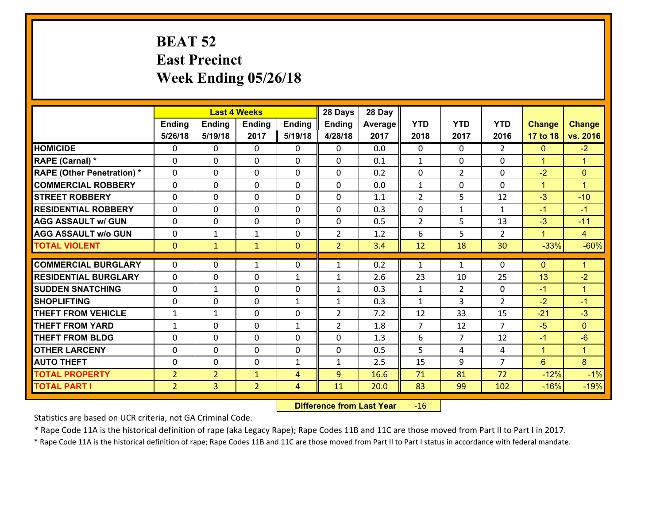### **BEAT 52 East Precinct Week Ending 05/26/18**

|                                              |                                  |                                  | <b>Last 4 Weeks</b>            |                | 28 Days        | 28 Day       |                |                |                |                  |                      |
|----------------------------------------------|----------------------------------|----------------------------------|--------------------------------|----------------|----------------|--------------|----------------|----------------|----------------|------------------|----------------------|
|                                              | Ending                           | <b>Ending</b>                    | <b>Ending</b>                  | <b>Ending</b>  | <b>Ending</b>  | Average      | <b>YTD</b>     | <b>YTD</b>     | <b>YTD</b>     | <b>Change</b>    | <b>Change</b>        |
|                                              | 5/26/18                          | 5/19/18                          | 2017                           | 5/19/18        | 4/28/18        | 2017         | 2018           | 2017           | 2016           | 17 to 18         | vs. 2016             |
| <b>HOMICIDE</b>                              | 0                                | 0                                | $\mathbf{0}$                   | 0              | 0              | 0.0          | $\Omega$       | $\Omega$       | $\overline{2}$ | $\mathbf{0}$     | $-2$                 |
| RAPE (Carnal) *                              | $\Omega$                         | 0                                | $\mathbf{0}$                   | 0              | $\Omega$       | 0.1          | 1              | $\Omega$       | $\Omega$       | $\mathbf{1}$     | $\blacktriangleleft$ |
| <b>RAPE (Other Penetration) *</b>            | $\Omega$                         | $\Omega$                         | $\Omega$                       | $\Omega$       | $\Omega$       | 0.2          | $\Omega$       | $\overline{2}$ | $\Omega$       | $-2$             | $\mathbf{0}$         |
| <b>COMMERCIAL ROBBERY</b>                    | 0                                | 0                                | $\mathbf 0$                    | 0              | 0              | 0.0          | $\mathbf{1}$   | $\mathbf 0$    | $\Omega$       | $\mathbf{1}$     | $\blacktriangleleft$ |
| <b>STREET ROBBERY</b>                        | $\Omega$                         | 0                                | $\mathbf 0$                    | $\Omega$       | 0              | 1.1          | $\overline{2}$ | 5              | 12             | $-3$             | $-10$                |
| <b>RESIDENTIAL ROBBERY</b>                   | $\Omega$                         | $\Omega$                         | $\mathbf 0$                    | $\Omega$       | 0              | 0.3          | 0              | $\mathbf{1}$   | $\mathbf{1}$   | $-1$             | $-1$                 |
| <b>AGG ASSAULT w/ GUN</b>                    | $\Omega$                         | 0                                | $\mathbf 0$                    | $\Omega$       | 0              | 0.5          | $\overline{2}$ | 5              | 13             | $-3$             | $-11$                |
| <b>AGG ASSAULT w/o GUN</b>                   | 0                                | 1                                | $\mathbf{1}$                   | 0              | $\overline{2}$ | 1.2          | 6              | 5              | $\overline{2}$ | $\mathbf{1}$     | $\overline{4}$       |
| <b>TOTAL VIOLENT</b>                         | $\mathbf{0}$                     | $\mathbf{1}$                     | $\mathbf{1}$                   | $\overline{0}$ | $\overline{2}$ | 3.4          | 12             | 18             | 30             | $-33%$           | $-60%$               |
| <b>COMMERCIAL BURGLARY</b>                   | $\Omega$                         | 0                                | 1                              | 0              |                |              | $\mathbf{1}$   |                |                |                  |                      |
|                                              |                                  |                                  |                                |                |                |              |                |                |                |                  |                      |
|                                              |                                  |                                  |                                |                | $\mathbf{1}$   | 0.2          |                | $\mathbf{1}$   | $\Omega$       | $\mathbf{0}$     | $\mathbf{1}$         |
| <b>RESIDENTIAL BURGLARY</b>                  | $\Omega$                         | 0                                | $\mathbf{0}$                   | $\mathbf{1}$   | 1              | 2.6          | 23             | 10             | 25             | 13               | $-2$                 |
| <b>SUDDEN SNATCHING</b>                      | $\Omega$                         | $\mathbf{1}$                     | $\mathbf{0}$                   | $\Omega$       | $\mathbf{1}$   | 0.3          | $\mathbf{1}$   | $\overline{2}$ | $\Omega$       | $-1$             | $\blacktriangleleft$ |
| <b>SHOPLIFTING</b>                           | 0                                | 0                                | $\mathbf 0$                    | $\mathbf{1}$   | $\mathbf{1}$   | 0.3          | $\mathbf{1}$   | 3              | $\overline{2}$ | $-2$             | $-1$                 |
| <b>THEFT FROM VEHICLE</b>                    | $\mathbf{1}$                     | 1                                | $\mathbf{0}$                   | $\Omega$       | $\overline{2}$ | 7.2          | 12             | 33             | 15             | $-21$            | $-3$                 |
| <b>THEFT FROM YARD</b>                       | $\mathbf{1}$                     | 0                                | $\mathbf 0$                    | $\mathbf{1}$   | $\overline{2}$ | 1.8          | $\overline{7}$ | 12             | $\overline{7}$ | $-5$             | $\Omega$             |
| <b>THEFT FROM BLDG</b>                       | 0                                | 0                                | $\mathbf 0$                    | 0              | 0              | 1.3          | 6              | $\overline{7}$ | 12             | $-1$             | $-6$                 |
| <b>OTHER LARCENY</b>                         | 0                                | 0                                | $\mathbf 0$                    | 0              | 0              | 0.5          | 5              | 4              | 4              | $\mathbf{1}$     | $\mathbf{1}$         |
| <b>AUTO THEFT</b>                            | 0                                | 0                                | $\mathbf 0$                    | $\mathbf{1}$   | $\mathbf{1}$   | 2.5          | 15             | 9              | $\overline{7}$ | $6^{\circ}$      | 8                    |
| <b>TOTAL PROPERTY</b><br><b>TOTAL PART I</b> | $\overline{2}$<br>2 <sup>1</sup> | $\overline{2}$<br>$\overline{3}$ | $\mathbf{1}$<br>$\overline{2}$ | 4<br>4         | 9<br>11        | 16.6<br>20.0 | 71<br>83       | 81<br>99       | 72<br>102      | $-12%$<br>$-16%$ | $-1%$<br>$-19%$      |

 **Difference from Last Year**r -16

Statistics are based on UCR criteria, not GA Criminal Code.

\* Rape Code 11A is the historical definition of rape (aka Legacy Rape); Rape Codes 11B and 11C are those moved from Part II to Part I in 2017.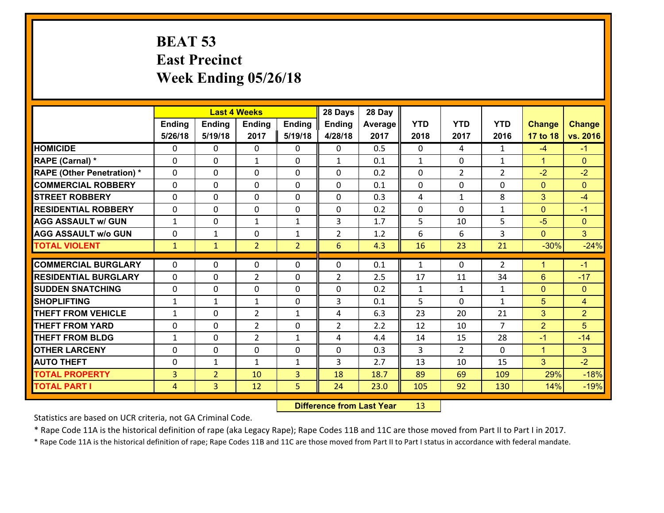### **BEAT 53 East Precinct Week Ending 05/26/18**

|                                              |                                  |                                  | <b>Last 4 Weeks</b> |                     | 28 Days         | 28 Day       |              |                |                |                |                  |
|----------------------------------------------|----------------------------------|----------------------------------|---------------------|---------------------|-----------------|--------------|--------------|----------------|----------------|----------------|------------------|
|                                              | Ending                           | <b>Ending</b>                    | <b>Ending</b>       | <b>Ending</b>       | <b>Ending</b>   | Average      | <b>YTD</b>   | <b>YTD</b>     | <b>YTD</b>     | <b>Change</b>  | <b>Change</b>    |
|                                              | 5/26/18                          | 5/19/18                          | 2017                | 5/19/18             | 4/28/18         | 2017         | 2018         | 2017           | 2016           | 17 to 18       | vs. 2016         |
| <b>HOMICIDE</b>                              | 0                                | 0                                | $\mathbf{0}$        | 0                   | 0               | 0.5          | $\Omega$     | 4              | $\mathbf{1}$   | $-4$           | $-1$             |
| RAPE (Carnal) *                              | $\Omega$                         | 0                                | 1                   | 0                   | $\mathbf{1}$    | 0.1          | 1            | 0              | $\mathbf{1}$   | $\mathbf{1}$   | $\mathbf{0}$     |
| <b>RAPE (Other Penetration) *</b>            | $\Omega$                         | $\Omega$                         | $\Omega$            | $\Omega$            | $\Omega$        | 0.2          | $\Omega$     | $\overline{2}$ | $\overline{2}$ | $-2$           | $-2$             |
| <b>COMMERCIAL ROBBERY</b>                    | 0                                | 0                                | $\mathbf 0$         | $\Omega$            | 0               | 0.1          | 0            | $\mathbf 0$    | 0              | $\mathbf{0}$   | $\mathbf{0}$     |
| <b>STREET ROBBERY</b>                        | $\Omega$                         | 0                                | $\mathbf 0$         | $\Omega$            | 0               | 0.3          | 4            | $\mathbf{1}$   | 8              | 3              | $-4$             |
| <b>RESIDENTIAL ROBBERY</b>                   | $\Omega$                         | $\Omega$                         | $\mathbf 0$         | $\Omega$            | 0               | 0.2          | 0            | $\Omega$       | $\mathbf{1}$   | $\mathbf{0}$   | $-1$             |
| <b>AGG ASSAULT w/ GUN</b>                    | $\mathbf{1}$                     | 0                                | $\mathbf{1}$        | $\mathbf{1}$        | 3               | 1.7          | 5            | 10             | 5              | $-5$           | $\mathbf{0}$     |
| <b>AGG ASSAULT w/o GUN</b>                   | 0                                | 1                                | $\mathbf 0$         | $\mathbf{1}$        | $\overline{2}$  | 1.2          | 6            | 6              | 3              | $\mathbf{0}$   | 3 <sup>1</sup>   |
| <b>TOTAL VIOLENT</b>                         | $\mathbf{1}$                     | $\mathbf{1}$                     | $\overline{2}$      | $\overline{2}$      | $6\overline{6}$ | 4.3          | 16           | 23             | 21             | $-30%$         | $-24%$           |
|                                              |                                  |                                  |                     |                     |                 |              |              |                |                |                |                  |
|                                              |                                  |                                  |                     |                     |                 |              |              |                |                |                |                  |
| <b>COMMERCIAL BURGLARY</b>                   | $\Omega$                         | 0                                | 0                   | 0                   | $\Omega$        | 0.1          | $\mathbf{1}$ | $\Omega$       | 2              | $\mathbf{1}$   | $-1$             |
| <b>RESIDENTIAL BURGLARY</b>                  | $\Omega$                         | 0                                | $\overline{2}$      | 0                   | $\overline{2}$  | 2.5          | 17           | 11             | 34             | 6              | $-17$            |
| <b>SUDDEN SNATCHING</b>                      | 0                                | 0                                | $\mathbf{0}$        | $\Omega$            | $\Omega$        | 0.2          | $\mathbf{1}$ | $\mathbf{1}$   | $\mathbf{1}$   | $\mathbf{0}$   | $\mathbf{0}$     |
| <b>SHOPLIFTING</b>                           | $\mathbf{1}$                     | 1                                | $\mathbf{1}$        | 0                   | 3               | 0.1          | 5            | $\Omega$       | $\mathbf{1}$   | 5              | $\overline{4}$   |
| <b>THEFT FROM VEHICLE</b>                    | $\mathbf{1}$                     | 0                                | $\overline{2}$      | $\mathbf{1}$        | 4               | 6.3          | 23           | 20             | 21             | 3              | $\overline{2}$   |
| <b>THEFT FROM YARD</b>                       | 0                                | 0                                | $\overline{2}$      | 0                   | $\overline{2}$  | 2.2          | 12           | 10             | $\overline{7}$ | $\overline{2}$ | 5                |
| <b>THEFT FROM BLDG</b>                       | $\mathbf{1}$                     | 0                                | $\overline{2}$      | $\mathbf{1}$        | 4               | 4.4          | 14           | 15             | 28             | $-1$           | $-14$            |
| <b>OTHER LARCENY</b>                         | 0                                | 0                                | $\mathbf 0$         | 0                   | 0               | 0.3          | 3            | $\overline{2}$ | $\Omega$       | $\mathbf{1}$   | 3                |
| <b>AUTO THEFT</b>                            | 0                                | $\mathbf{1}$                     | $\mathbf{1}$        | $\mathbf{1}$        | 3               | 2.7          | 13           | 10             | 15             | 3              | $-2$             |
| <b>TOTAL PROPERTY</b><br><b>TOTAL PART I</b> | $\overline{3}$<br>$\overline{4}$ | $\overline{2}$<br>$\overline{3}$ | 10<br>12            | $\overline{3}$<br>5 | 18<br>24        | 18.7<br>23.0 | 89<br>105    | 69<br>92       | 109<br>130     | 29%<br>14%     | $-18%$<br>$-19%$ |

 **Difference from Last Year**r 13

Statistics are based on UCR criteria, not GA Criminal Code.

\* Rape Code 11A is the historical definition of rape (aka Legacy Rape); Rape Codes 11B and 11C are those moved from Part II to Part I in 2017.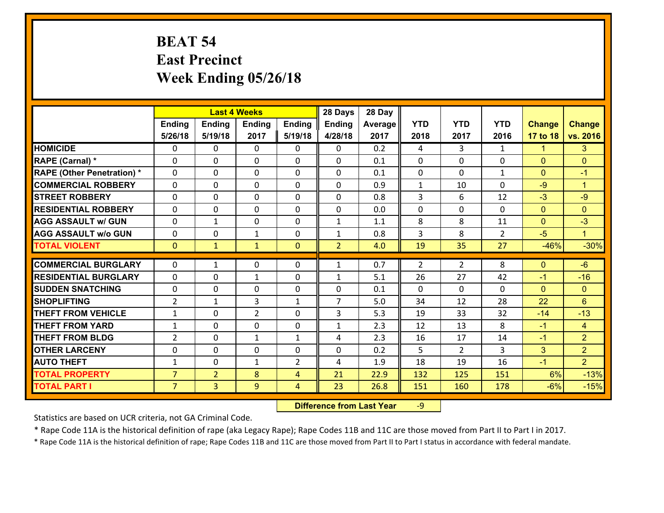# **BEAT 54 East Precinct Week Ending 05/26/18**

|                                              |                                  | <b>Last 4 Weeks</b>              |                |                                  | 28 Days        | 28 Day       |                |                |                |               |                      |
|----------------------------------------------|----------------------------------|----------------------------------|----------------|----------------------------------|----------------|--------------|----------------|----------------|----------------|---------------|----------------------|
|                                              | Ending                           | <b>Ending</b>                    | <b>Ending</b>  | <b>Ending</b>                    | <b>Ending</b>  | Average      | <b>YTD</b>     | <b>YTD</b>     | <b>YTD</b>     | <b>Change</b> | <b>Change</b>        |
|                                              | 5/26/18                          | 5/19/18                          | 2017           | 5/19/18                          | 4/28/18        | 2017         | 2018           | 2017           | 2016           | 17 to 18      | vs. 2016             |
| <b>HOMICIDE</b>                              | $\Omega$                         | 0                                | $\Omega$       | $\mathbf{0}$                     | 0              | 0.2          | 4              | 3              | $\mathbf{1}$   | $\mathbf{1}$  | 3 <sup>2</sup>       |
| <b>RAPE (Carnal) *</b>                       | $\Omega$                         | 0                                | $\mathbf{0}$   | $\mathbf{0}$                     | $\Omega$       | 0.1          | $\mathbf{0}$   | 0              | 0              | $\mathbf{0}$  | $\mathbf{0}$         |
| <b>RAPE (Other Penetration) *</b>            | $\Omega$                         | $\Omega$                         | $\Omega$       | $\Omega$                         | $\Omega$       | 0.1          | $\Omega$       | $\Omega$       | $\mathbf{1}$   | $\Omega$      | $-1$                 |
| <b>COMMERCIAL ROBBERY</b>                    | 0                                | 0                                | 0              | 0                                | 0              | 0.9          | $\mathbf{1}$   | 10             | 0              | $-9$          | $\blacktriangleleft$ |
| <b>STREET ROBBERY</b>                        | $\Omega$                         | 0                                | $\mathbf{0}$   | $\Omega$                         | 0              | 0.8          | 3              | 6              | 12             | $-3$          | $-9$                 |
| <b>RESIDENTIAL ROBBERY</b>                   | $\Omega$                         | 0                                | 0              | $\Omega$                         | $\Omega$       | 0.0          | $\Omega$       | $\Omega$       | $\Omega$       | $\mathbf{0}$  | $\Omega$             |
| <b>AGG ASSAULT w/ GUN</b>                    | $\Omega$                         | $\mathbf{1}$                     | 0              | 0                                | $\mathbf{1}$   | 1.1          | 8              | 8              | 11             | $\mathbf{0}$  | $-3$                 |
| <b>AGG ASSAULT w/o GUN</b>                   | 0                                | 0                                | $\mathbf{1}$   | 0                                | $\mathbf{1}$   | 0.8          | $\overline{3}$ | 8              | $\overline{2}$ | $-5$          | $\mathbf{1}$         |
| <b>TOTAL VIOLENT</b>                         | $\overline{0}$                   | $\mathbf{1}$                     | $\mathbf{1}$   | $\overline{0}$                   | $\overline{2}$ | 4.0          | 19             | 35             | 27             | $-46%$        | $-30%$               |
| <b>COMMERCIAL BURGLARY</b>                   | $\Omega$                         | $\mathbf{1}$                     | 0              | $\mathbf{0}$                     | $\mathbf{1}$   | 0.7          | 2              | 2              | 8              | $\mathbf{0}$  | $-6$                 |
|                                              |                                  |                                  |                |                                  |                |              |                |                |                |               |                      |
|                                              |                                  |                                  |                |                                  |                |              |                |                |                |               |                      |
| <b>RESIDENTIAL BURGLARY</b>                  | $\Omega$                         | 0                                | $\mathbf{1}$   | 0                                | 1              | 5.1          | 26             | 27             | 42             | $-1$          | $-16$                |
| <b>SUDDEN SNATCHING</b>                      | $\Omega$                         | 0                                | $\mathbf{0}$   | 0                                | $\Omega$       | 0.1          | $\Omega$       | 0              | 0              | $\Omega$      | $\Omega$             |
| <b>SHOPLIFTING</b>                           | $\overline{2}$                   | $\mathbf{1}$                     | 3              | $\mathbf{1}$                     | $\overline{7}$ | 5.0          | 34             | 12             | 28             | 22            | 6                    |
| <b>THEFT FROM VEHICLE</b>                    | $\mathbf{1}$                     | 0                                | $\overline{2}$ | $\Omega$                         | 3              | 5.3          | 19             | 33             | 32             | $-14$         | $-13$                |
| <b>THEFT FROM YARD</b>                       | $\mathbf{1}$                     | 0                                | 0              | 0                                | $\mathbf{1}$   | 2.3          | 12             | 13             | 8              | $-1$          | $\overline{4}$       |
| <b>THEFT FROM BLDG</b>                       | $\overline{2}$                   | 0                                | $\mathbf{1}$   | $\mathbf{1}$                     | 4              | 2.3          | 16             | 17             | 14             | $-1$          | 2                    |
| <b>OTHER LARCENY</b>                         | 0                                | 0                                | 0              | 0                                | 0              | 0.2          | 5              | $\overline{2}$ | 3              | 3             | 2 <sup>1</sup>       |
| <b>AUTO THEFT</b>                            | $\mathbf{1}$                     | 0                                | $\mathbf{1}$   | $\overline{2}$                   | 4              | 1.9          | 18             | 19             | 16             | $-1$          | $\overline{2}$       |
| <b>TOTAL PROPERTY</b><br><b>TOTAL PART I</b> | $\overline{7}$<br>$\overline{7}$ | $\overline{2}$<br>$\overline{3}$ | 8<br>9         | $\overline{4}$<br>$\overline{4}$ | 21<br>23       | 22.9<br>26.8 | 132<br>151     | 125<br>160     | 151<br>178     | 6%<br>$-6%$   | $-13%$<br>$-15%$     |

 **Difference from Last Year**r -9

Statistics are based on UCR criteria, not GA Criminal Code.

\* Rape Code 11A is the historical definition of rape (aka Legacy Rape); Rape Codes 11B and 11C are those moved from Part II to Part I in 2017.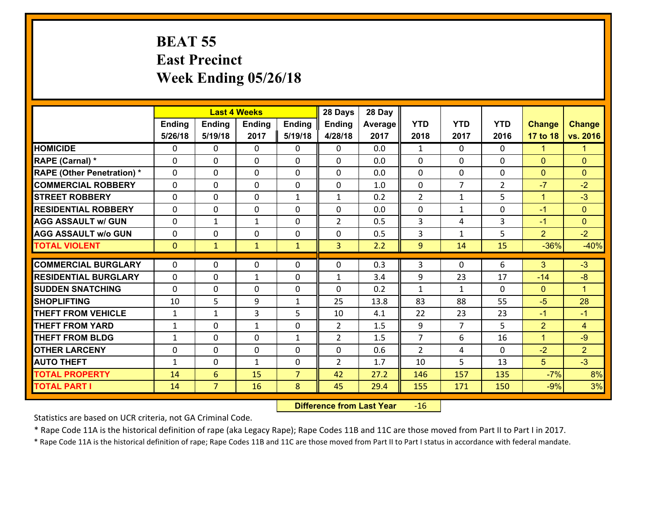#### **BEAT 55 East Precinct Week Ending 05/26/18**

|                                   |              |                | <b>Last 4 Weeks</b> |                | 28 Days        | 28 Day  |                |                |                |                |                      |
|-----------------------------------|--------------|----------------|---------------------|----------------|----------------|---------|----------------|----------------|----------------|----------------|----------------------|
|                                   | Ending       | <b>Ending</b>  | <b>Ending</b>       | Ending         | <b>Ending</b>  | Average | <b>YTD</b>     | <b>YTD</b>     | <b>YTD</b>     | <b>Change</b>  | <b>Change</b>        |
|                                   | 5/26/18      | 5/19/18        | 2017                | 5/19/18        | 4/28/18        | 2017    | 2018           | 2017           | 2016           | 17 to 18       | vs. 2016             |
| <b>HOMICIDE</b>                   | 0            | 0              | $\Omega$            | 0              | 0              | 0.0     | 1              | $\Omega$       | $\Omega$       | $\mathbf{1}$   | $\mathbf{1}$         |
| RAPE (Carnal) *                   | 0            | 0              | $\mathbf{0}$        | 0              | $\Omega$       | 0.0     | $\mathbf{0}$   | 0              | $\Omega$       | $\mathbf{0}$   | $\mathbf{0}$         |
| <b>RAPE (Other Penetration) *</b> | $\Omega$     | 0              | $\mathbf{0}$        | $\Omega$       | $\Omega$       | 0.0     | $\Omega$       | $\Omega$       | $\Omega$       | $\mathbf{0}$   | $\mathbf{0}$         |
| <b>COMMERCIAL ROBBERY</b>         | 0            | 0              | 0                   | 0              | 0              | 1.0     | $\mathbf{0}$   | $\overline{7}$ | $\overline{2}$ | $-7$           | $-2$                 |
| <b>STREET ROBBERY</b>             | $\Omega$     | 0              | $\mathbf 0$         | $\mathbf{1}$   | $\mathbf{1}$   | 0.2     | $\overline{2}$ | $\mathbf{1}$   | 5              | $\mathbf{1}$   | $-3$                 |
| <b>RESIDENTIAL ROBBERY</b>        | $\Omega$     | 0              | $\mathbf 0$         | $\Omega$       | 0              | 0.0     | $\mathbf 0$    | $\mathbf{1}$   | $\Omega$       | $-1$           | $\overline{0}$       |
| <b>AGG ASSAULT w/ GUN</b>         | 0            | 1              | $\mathbf{1}$        | 0              | $\overline{2}$ | 0.5     | 3              | 4              | 3              | $-1$           | $\overline{0}$       |
| <b>AGG ASSAULT w/o GUN</b>        | 0            | 0              | $\mathbf 0$         | 0              | 0              | 0.5     | 3              | $\mathbf{1}$   | 5              | $\overline{2}$ | $-2$                 |
| <b>TOTAL VIOLENT</b>              | $\mathbf{0}$ | $\mathbf{1}$   | $\mathbf{1}$        | $\mathbf{1}$   | $\overline{3}$ | 2.2     | 9              | 14             | 15             | $-36%$         | $-40%$               |
| <b>COMMERCIAL BURGLARY</b>        | $\Omega$     | 0              | $\mathbf{0}$        | $\Omega$       | $\Omega$       | 0.3     | 3              | $\Omega$       | 6              | 3              | $-3$                 |
|                                   |              |                |                     |                |                |         |                |                |                |                | $-8$                 |
| <b>RESIDENTIAL BURGLARY</b>       | 0            | 0              | $\mathbf{1}$        | 0              | $\mathbf{1}$   | 3.4     | 9              | 23             | 17             | $-14$          |                      |
| <b>SUDDEN SNATCHING</b>           | $\Omega$     | 0              | $\mathbf 0$         | 0              | 0              | 0.2     | $\mathbf{1}$   | $\mathbf{1}$   | 0              | $\mathbf{0}$   | $\blacktriangleleft$ |
| <b>SHOPLIFTING</b>                | 10           | 5              | 9                   | $\mathbf{1}$   | 25             | 13.8    | 83             | 88             | 55             | $-5$           | 28                   |
| <b>THEFT FROM VEHICLE</b>         | $\mathbf{1}$ | $\mathbf{1}$   | 3                   | 5              | 10             | 4.1     | 22             | 23             | 23             | $-1$           | $-1$                 |
| <b>THEFT FROM YARD</b>            | $\mathbf{1}$ | 0              | $\mathbf{1}$        | 0              | $\overline{2}$ | 1.5     | 9              | $\overline{7}$ | 5              | $\overline{2}$ | $\overline{4}$       |
| <b>THEFT FROM BLDG</b>            | $\mathbf{1}$ | 0              | $\mathbf 0$         | $\mathbf{1}$   | $\overline{2}$ | 1.5     | $\overline{7}$ | 6              | 16             | $\mathbf{1}$   | $-9$                 |
| <b>OTHER LARCENY</b>              | 0            | 0              | $\mathbf 0$         | 0              | 0              | 0.6     | $\overline{2}$ | 4              | 0              | $-2$           | $\overline{2}$       |
| <b>AUTO THEFT</b>                 | $\mathbf{1}$ | 0              | $\mathbf{1}$        | 0              | $\overline{2}$ | 1.7     | 10             | 5              | 13             | 5 <sup>5</sup> | $-3$                 |
| <b>TOTAL PROPERTY</b>             | 14           | 6              | 15                  | $\overline{7}$ | 42             | 27.2    | 146            | 157            | 135            | $-7%$          | 8%                   |
| <b>TOTAL PART I</b>               | 14           | $\overline{7}$ | 16                  | 8              | 45             | 29.4    | 155            | 171            | 150            | $-9%$          | 3%                   |

 **Difference from Last Year**r -16

Statistics are based on UCR criteria, not GA Criminal Code.

\* Rape Code 11A is the historical definition of rape (aka Legacy Rape); Rape Codes 11B and 11C are those moved from Part II to Part I in 2017.